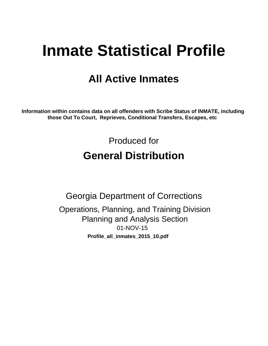# **Inmate Statistical Profile**

# **All Active Inmates**

Information within contains data on all offenders with Scribe Status of INMATE, including those Out To Court, Reprieves, Conditional Transfers, Escapes, etc

> Produced for **General Distribution**

**Georgia Department of Corrections** Operations, Planning, and Training Division **Planning and Analysis Section** 01-NOV-15 Profile\_all\_inmates\_2015\_10.pdf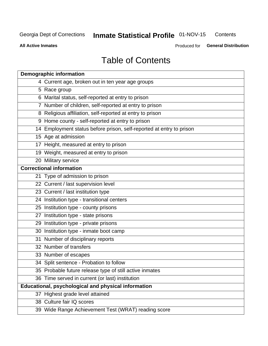#### **Inmate Statistical Profile 01-NOV-15** Contents

**All Active Inmates** 

Produced for General Distribution

# **Table of Contents**

| <b>Demographic information</b>                                       |
|----------------------------------------------------------------------|
| 4 Current age, broken out in ten year age groups                     |
| 5 Race group                                                         |
| 6 Marital status, self-reported at entry to prison                   |
| 7 Number of children, self-reported at entry to prison               |
| 8 Religious affiliation, self-reported at entry to prison            |
| 9 Home county - self-reported at entry to prison                     |
| 14 Employment status before prison, self-reported at entry to prison |
| 15 Age at admission                                                  |
| 17 Height, measured at entry to prison                               |
| 19 Weight, measured at entry to prison                               |
| 20 Military service                                                  |
| <b>Correctional information</b>                                      |
| 21 Type of admission to prison                                       |
| 22 Current / last supervision level                                  |
| 23 Current / last institution type                                   |
| 24 Institution type - transitional centers                           |
| 25 Institution type - county prisons                                 |
| 27 Institution type - state prisons                                  |
| 29 Institution type - private prisons                                |
| 30 Institution type - inmate boot camp                               |
| 31 Number of disciplinary reports                                    |
| 32 Number of transfers                                               |
| 33 Number of escapes                                                 |
| 34 Split sentence - Probation to follow                              |
| 35 Probable future release type of still active inmates              |
| 36 Time served in current (or last) institution                      |
| <b>Educational, psychological and physical information</b>           |
| 37 Highest grade level attained                                      |
| 38 Culture fair IQ scores                                            |
| 39 Wide Range Achievement Test (WRAT) reading score                  |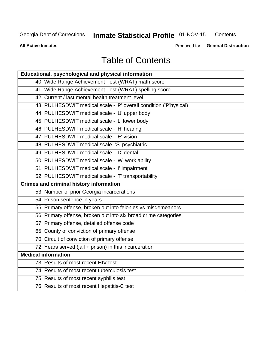#### **Inmate Statistical Profile 01-NOV-15** Contents

#### **All Active Inmates**

Produced for General Distribution

# **Table of Contents**

| Educational, psychological and physical information              |
|------------------------------------------------------------------|
| 40 Wide Range Achievement Test (WRAT) math score                 |
| 41 Wide Range Achievement Test (WRAT) spelling score             |
| 42 Current / last mental health treatment level                  |
| 43 PULHESDWIT medical scale - 'P' overall condition ('P'hysical) |
| 44 PULHESDWIT medical scale - 'U' upper body                     |
| 45 PULHESDWIT medical scale - 'L' lower body                     |
| 46 PULHESDWIT medical scale - 'H' hearing                        |
| 47 PULHESDWIT medical scale - 'E' vision                         |
| 48 PULHESDWIT medical scale -'S' psychiatric                     |
| 49 PULHESDWIT medical scale - 'D' dental                         |
| 50 PULHESDWIT medical scale - 'W' work ability                   |
| 51 PULHESDWIT medical scale - 'I' impairment                     |
| 52 PULHESDWIT medical scale - 'T' transportability               |
|                                                                  |
| <b>Crimes and criminal history information</b>                   |
| 53 Number of prior Georgia incarcerations                        |
| 54 Prison sentence in years                                      |
| 55 Primary offense, broken out into felonies vs misdemeanors     |
| 56 Primary offense, broken out into six broad crime categories   |
| 57 Primary offense, detailed offense code                        |
| 65 County of conviction of primary offense                       |
| 70 Circuit of conviction of primary offense                      |
| 72 Years served (jail + prison) in this incarceration            |
| <b>Medical information</b>                                       |
| 73 Results of most recent HIV test                               |
| 74 Results of most recent tuberculosis test                      |
| 75 Results of most recent syphilis test                          |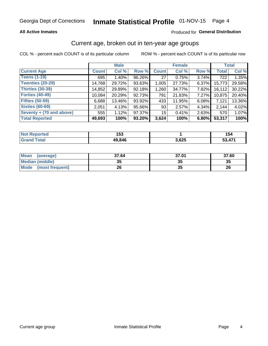#### **All Active Inmates**

#### Produced for General Distribution

### Current age, broken out in ten-year age groups

COL % - percent each COUNT is of its particular column

|                          | <b>Male</b>  |          |        | <b>Female</b>   |        |          | <b>Total</b> |        |
|--------------------------|--------------|----------|--------|-----------------|--------|----------|--------------|--------|
| <b>Current Age</b>       | <b>Count</b> | Col %    | Row %  | <b>Count</b>    | Col %  | Row %    | <b>Total</b> | Col %  |
| <b>Teens (1-19)</b>      | 695          | $1.40\%$ | 96.26% | 27              | 0.75%  | 3.74%    | 722          | 1.35%  |
| <b>Twenties (20-29)</b>  | 14,768       | 29.72%   | 93.63% | 1,005           | 27.73% | $6.37\%$ | 15,773       | 29.58% |
| Thirties (30-39)         | 14,852       | 29.89%   | 92.18% | 1,260           | 34.77% | $7.82\%$ | 16, 112      | 30.22% |
| <b>Forties (40-49)</b>   | 10,084       | 20.29%   | 92.73% | 791             | 21.83% | 7.27%    | 10,875       | 20.40% |
| <b>Fifties (50-59)</b>   | 6,688        | 13.46%   | 93.92% | 433             | 11.95% | $6.08\%$ | 7,121        | 13.36% |
| <b>Sixties (60-69)</b>   | 2.051        | 4.13%    | 95.66% | 93              | 2.57%  | 4.34%    | 2.144        | 4.02%  |
| Seventy + (70 and above) | 555          | 1.12%    | 97.37% | 15 <sup>2</sup> | 0.41%  | 2.63%    | 570          | 1.07%  |
| <b>Total Reported</b>    | 49,693       | 100%     | 93.20% | 3,624           | 100%   | 6.80%    | 53,317       | 100%   |

| <b>Not Repo</b><br><b>Experience</b> | 1 P A<br>טטו |       | 154 |
|--------------------------------------|--------------|-------|-----|
| Total                                | 49,846       | 3,625 | 474 |

| <b>Mean</b><br>(average)       | 37.64    | 37.01 | 37.60 |
|--------------------------------|----------|-------|-------|
| Median (middle)                | つん<br>vu | JJ    | 35    |
| <b>Mode</b><br>(most frequent) | 26       | vu    | 26    |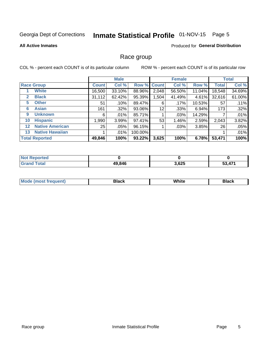# Inmate Statistical Profile 01-NOV-15 Page 5

#### **All Active Inmates**

#### Produced for General Distribution

### Race group

COL % - percent each COUNT is of its particular column

|                   |                        | <b>Male</b>  |         |           | <b>Female</b> |         |        | <b>Total</b> |        |
|-------------------|------------------------|--------------|---------|-----------|---------------|---------|--------|--------------|--------|
|                   | <b>Race Group</b>      | <b>Count</b> | Col %   |           | Row % Count   | Col %   | Row %  | <b>Total</b> | Col %  |
|                   | <b>White</b>           | 16,500       | 33.10%  | 88.96%    | 2,048         | 56.50%  | 11.04% | 18,548       | 34.69% |
| $\mathbf{2}$      | <b>Black</b>           | 31,112       | 62.42%  | 95.39%    | 1,504         | 41.49%  | 4.61%  | 32,616       | 61.00% |
| 5.                | <b>Other</b>           | 51           | .10%    | 89.47%    | 6             | .17%    | 10.53% | 57           | .11%   |
| 6                 | <b>Asian</b>           | 161          | $.32\%$ | 93.06%    | 12            | $.33\%$ | 6.94%  | 173          | .32%   |
| 9                 | <b>Unknown</b>         | 6            | .01%    | 85.71%    |               | .03%    | 14.29% |              | .01%   |
| 10                | <b>Hispanic</b>        | 1,990        | 3.99%   | 97.41%    | 53            | 1.46%   | 2.59%  | 2,043        | 3.82%  |
| $12 \overline{ }$ | <b>Native American</b> | 25           | $.05\%$ | 96.15%    |               | .03%    | 3.85%  | 26           | .05%   |
| 13                | <b>Native Hawaiian</b> |              | .01%    | 100.00%   |               |         |        |              | .01%   |
|                   | <b>Total Reported</b>  | 49,846       | 100%    | $93.22\%$ | 3,625         | 100%    | 6.78%  | 53,471       | 100%   |

| <b>Not Reported</b> |        |       |   |
|---------------------|--------|-------|---|
| <b>Grand Total</b>  | 49,846 | 3,625 | . |

| <b>Mode</b><br>---<br>most frequent) | Black | White | <b>Black</b> |
|--------------------------------------|-------|-------|--------------|
|                                      |       |       |              |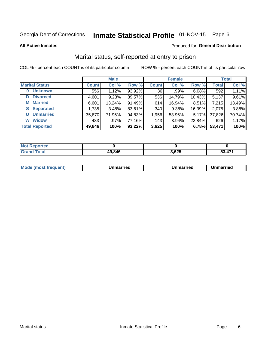# Inmate Statistical Profile 01-NOV-15 Page 6

**All Active Inmates** 

#### Produced for General Distribution

### Marital status, self-reported at entry to prison

COL % - percent each COUNT is of its particular column

|                            | <b>Male</b>  |        |        |              | <b>Female</b> | <b>Total</b> |              |        |
|----------------------------|--------------|--------|--------|--------------|---------------|--------------|--------------|--------|
| <b>Marital Status</b>      | <b>Count</b> | Col %  | Row %  | <b>Count</b> | Col %         | Row %        | <b>Total</b> | Col %  |
| <b>Unknown</b><br>$\bf{0}$ | 556          | 1.12%  | 93.92% | 36           | .99%          | 6.08%        | 592          | 1.11%  |
| <b>Divorced</b><br>D       | 4,601        | 9.23%  | 89.57% | 536          | 14.79%        | 10.43%       | 5,137        | 9.61%  |
| <b>Married</b><br>М        | 6,601        | 13.24% | 91.49% | 614          | 16.94%        | 8.51%        | 7,215        | 13.49% |
| <b>Separated</b><br>S.     | 1,735        | 3.48%  | 83.61% | 340          | 9.38%         | 16.39%       | 2,075        | 3.88%  |
| <b>Unmarried</b><br>U      | 35,870       | 71.96% | 94.83% | 1,956        | 53.96%        | $5.17\%$     | 37,826       | 70.74% |
| <b>Widow</b><br>W          | 483          | .97%   | 77.16% | 143          | 3.94%         | 22.84%       | 626          | 1.17%  |
| <b>Total Reported</b>      | 49,846       | 100%   | 93.22% | 3,625        | 100%          | 6.78%        | 53,471       | 100%   |

| $N$ nt F<br><b>Enorted</b> |        |              |        |
|----------------------------|--------|--------------|--------|
| Total                      | 49,846 | COF<br>כ∠ס,כ | 53 171 |

| <b>Mode (most frequent)</b><br>Unmarried<br>Unmarried<br>Jnmarried |
|--------------------------------------------------------------------|
|--------------------------------------------------------------------|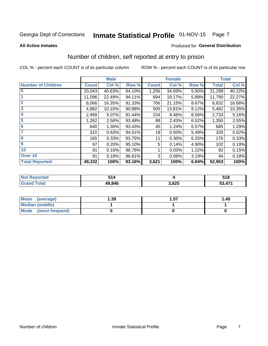# Inmate Statistical Profile 01-NOV-15 Page 7

#### **All Active Inmates**

#### Produced for General Distribution

## Number of children, self reported at entry to prison

COL % - percent each COUNT is of its particular column

|                           |              | <b>Male</b> |        |              | <b>Female</b> |       |              | <b>Total</b> |
|---------------------------|--------------|-------------|--------|--------------|---------------|-------|--------------|--------------|
| <b>Number of Children</b> | <b>Count</b> | Col %       | Row %  | <b>Count</b> | Col %         | Row % | <b>Total</b> | Col %        |
| $\overline{\mathbf{0}}$   | 20,043       | 40.63%      | 94.10% | 1,256        | 34.69%        | 5.90% | 21,299       | 40.22%       |
|                           | 11,096       | 22.49%      | 94.11% | 694          | 19.17%        | 5.89% | 11,790       | 22.27%       |
| $\overline{2}$            | 8,066        | 16.35%      | 91.33% | 766          | 21.15%        | 8.67% | 8,832        | 16.68%       |
| $\overline{\mathbf{3}}$   | 4,982        | 10.10%      | 90.88% | 500          | 13.81%        | 9.12% | 5,482        | 10.35%       |
| 4                         | 2,499        | 5.07%       | 91.44% | 234          | 6.46%         | 8.56% | 2,733        | 5.16%        |
| $\overline{\mathbf{5}}$   | 1,262        | 2.56%       | 93.48% | 88           | 2.43%         | 6.52% | 1,350        | 2.55%        |
| 6                         | 640          | 1.30%       | 93.43% | 45           | 1.24%         | 6.57% | 685          | 1.29%        |
| 7                         | 310          | 0.63%       | 94.51% | 18           | 0.50%         | 5.49% | 328          | 0.62%        |
| $\overline{\mathbf{8}}$   | 165          | 0.33%       | 93.75% | 11           | 0.30%         | 6.25% | 176          | 0.33%        |
| 9                         | 97           | 0.20%       | 95.10% | 5            | 0.14%         | 4.90% | 102          | 0.19%        |
| 10                        | 81           | 0.16%       | 98.78% |              | 0.03%         | 1.22% | 82           | 0.15%        |
| Over 10                   | 91           | 0.18%       | 96.81% | 3            | 0.08%         | 3.19% | 94           | 0.18%        |
| <b>Total Reported</b>     | 49,332       | 100%        | 93.16% | 3,621        | 100%          | 6.84% | 52,953       | 100%         |

| rteo<br>NO                    | -4<br>JIT |      | 518             |
|-------------------------------|-----------|------|-----------------|
| $f \wedge f \wedge f$<br>υιαι | 49.846    | ,625 | A71<br>-0<br>◡◡ |

| Mean<br>(average)       | 1.39 | 1.57 | 1.40 |
|-------------------------|------|------|------|
| <b>Median (middle)</b>  |      |      |      |
| Mode<br>(most frequent) |      |      |      |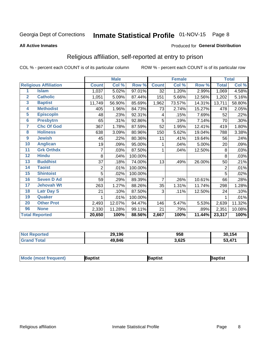# Inmate Statistical Profile 01-NOV-15 Page 8

#### **All Active Inmates**

#### Produced for General Distribution

### Religious affiliation, self-reported at entry to prison

COL % - percent each COUNT is of its particular column

|                |                              |              | <b>Male</b> |         |                | <b>Female</b>             |        |              | <b>Total</b> |
|----------------|------------------------------|--------------|-------------|---------|----------------|---------------------------|--------|--------------|--------------|
|                | <b>Religious Affiliation</b> | <b>Count</b> | Col %       | Row %   | <b>Count</b>   | $\overline{\text{Col}}$ % | Row %  | <b>Total</b> | Col %        |
| 1              | <b>Islam</b>                 | 1,037        | 5.02%       | 97.01%  | 32             | 1.20%                     | 2.99%  | 1,069        | 4.58%        |
| $\overline{2}$ | <b>Catholic</b>              | 1,051        | 5.09%       | 87.44%  | 151            | 5.66%                     | 12.56% | 1,202        | 5.16%        |
| 3              | <b>Baptist</b>               | 11,749       | 56.90%      | 85.69%  | 1,962          | 73.57%                    | 14.31% | 13,711       | 58.80%       |
| 4              | <b>Methodist</b>             | 405          | 1.96%       | 84.73%  | 73             | 2.74%                     | 15.27% | 478          | 2.05%        |
| 5              | <b>EpiscopIn</b>             | 48           | .23%        | 92.31%  | 4              | .15%                      | 7.69%  | 52           | .22%         |
| $6\phantom{a}$ | <b>Presbytrn</b>             | 65           | .31%        | 92.86%  | 5              | .19%                      | 7.14%  | 70           | .30%         |
| 7              | <b>Chc Of God</b>            | 367          | 1.78%       | 87.59%  | 52             | 1.95%                     | 12.41% | 419          | 1.80%        |
| 8              | <b>Holiness</b>              | 638          | 3.09%       | 80.96%  | 150            | 5.62%                     | 19.04% | 788          | 3.38%        |
| 9              | <b>Jewish</b>                | 45           | .22%        | 80.36%  | 11             | .41%                      | 19.64% | 56           | .24%         |
| 10             | <b>Anglican</b>              | 19           | .09%        | 95.00%  | 1              | .04%                      | 5.00%  | 20           | .09%         |
| 11             | <b>Grk Orthdx</b>            | 7            | .03%        | 87.50%  | 1              | .04%                      | 12.50% | 8            | .03%         |
| 12             | <b>Hindu</b>                 | 8            | .04%        | 100.00% |                |                           |        | 8            | .03%         |
| 13             | <b>Buddhist</b>              | 37           | .18%        | 74.00%  | 13             | .49%                      | 26.00% | 50           | .21%         |
| 14             | <b>Taoist</b>                | 2            | .01%        | 100.00% |                |                           |        | 2            | .01%         |
| 15             | <b>Shintoist</b>             | 5            | .02%        | 100.00% |                |                           |        | 5            | .02%         |
| 16             | <b>Seven D Ad</b>            | 59           | .29%        | 89.39%  | $\overline{7}$ | .26%                      | 10.61% | 66           | .28%         |
| 17             | <b>Jehovah Wt</b>            | 263          | 1.27%       | 88.26%  | 35             | 1.31%                     | 11.74% | 298          | 1.28%        |
| 18             | <b>Latr Day S</b>            | 21           | .10%        | 87.50%  | 3              | .11%                      | 12.50% | 24           | .10%         |
| 19             | Quaker                       |              | .01%        | 100.00% |                |                           |        |              | .01%         |
| 20             | <b>Other Prot</b>            | 2,493        | 12.07%      | 94.47%  | 146            | 5.47%                     | 5.53%  | 2,639        | 11.32%       |
| 96             | <b>None</b>                  | 2,330        | 11.28%      | 99.11%  | 21             | .79%                      | .89%   | 2,351        | 10.08%       |
|                | <b>Total Reported</b>        | 20,650       | 100%        | 88.56%  | 2,667          | 100%                      | 11.44% | 23,317       | 100%         |

| ported<br>' Not       | 29,196 | 958   | 30,154             |
|-----------------------|--------|-------|--------------------|
| <b>otal</b><br>' Gra. | 49,846 | 3,625 | A71<br>-0<br>JJ,47 |

|  | <b>Mode (most frequent)</b> | ıntist<br>ິ | <b>'a</b> ptist | aptist |
|--|-----------------------------|-------------|-----------------|--------|
|--|-----------------------------|-------------|-----------------|--------|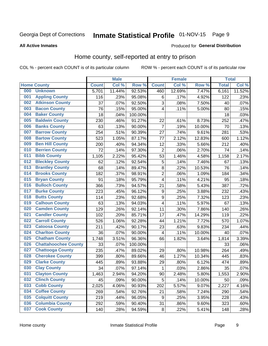# Inmate Statistical Profile 01-NOV-15 Page 9

#### **All Active Inmates**

#### **Produced for General Distribution**

### Home county, self-reported at entry to prison

COL % - percent each COUNT is of its particular column

|     |                             |              | <b>Male</b> |                  |                  | <b>Female</b> |        | <b>Total</b> |        |
|-----|-----------------------------|--------------|-------------|------------------|------------------|---------------|--------|--------------|--------|
|     | <b>Home County</b>          | <b>Count</b> | Col %       | Row <sup>%</sup> | <b>Count</b>     | Col %         | Row %  | <b>Total</b> | Col %  |
| 000 | <b>Unknown</b>              | 5,701        | 11.44%      | 92.53%           | 460              | 12.69%        | 7.47%  | 6,161        | 11.52% |
| 001 | <b>Appling County</b>       | 116          | .23%        | 95.08%           | $\,6$            | .17%          | 4.92%  | 122          | .23%   |
| 002 | <b>Atkinson County</b>      | 37           | .07%        | 92.50%           | 3                | .08%          | 7.50%  | 40           | .07%   |
| 003 | <b>Bacon County</b>         | 76           | .15%        | 95.00%           | $\overline{4}$   | .11%          | 5.00%  | 80           | .15%   |
| 004 | <b>Baker County</b>         | 18           | .04%        | 100.00%          |                  |               |        | 18           | .03%   |
| 005 | <b>Baldwin County</b>       | 230          | .46%        | 91.27%           | 22               | .61%          | 8.73%  | 252          | .47%   |
| 006 | <b>Banks County</b>         | 63           | .13%        | 90.00%           | $\overline{7}$   | .19%          | 10.00% | 70           | .13%   |
| 007 | <b>Barrow County</b>        | 254          | .51%        | 90.39%           | 27               | .74%          | 9.61%  | 281          | .53%   |
| 008 | <b>Bartow County</b>        | 523          | 1.05%       | 87.17%           | 77               | 2.12%         | 12.83% | 600          | 1.12%  |
| 009 | <b>Ben Hill County</b>      | 200          | .40%        | 94.34%           | 12               | .33%          | 5.66%  | 212          | .40%   |
| 010 | <b>Berrien County</b>       | 72           | .14%        | 97.30%           | $\overline{2}$   | .06%          | 2.70%  | 74           | .14%   |
| 011 | <b>Bibb County</b>          | 1,105        | 2.22%       | 95.42%           | 53               | 1.46%         | 4.58%  | 1,158        | 2.17%  |
| 012 | <b>Bleckley County</b>      | 62           | .12%        | 92.54%           | 5                | .14%          | 7.46%  | 67           | .13%   |
| 013 | <b>Brantley County</b>      | 68           | .14%        | 89.47%           | $\bf 8$          | .22%          | 10.53% | 76           | .14%   |
| 014 | <b>Brooks County</b>        | 182          | .37%        | 98.91%           | $\overline{2}$   | .06%          | 1.09%  | 184          | .34%   |
| 015 | <b>Bryan County</b>         | 91           | .18%        | 95.79%           | 4                | .11%          | 4.21%  | 95           | .18%   |
| 016 | <b>Bulloch County</b>       | 366          | .73%        | 94.57%           | 21               | .58%          | 5.43%  | 387          | .72%   |
| 017 | <b>Burke County</b>         | 223          | .45%        | 96.12%           | $\boldsymbol{9}$ | .25%          | 3.88%  | 232          | .43%   |
| 018 | <b>Butts County</b>         | 114          | .23%        | 92.68%           | $\boldsymbol{9}$ | .25%          | 7.32%  | 123          | .23%   |
| 019 | <b>Calhoun County</b>       | 63           | .13%        | 94.03%           | 4                | .11%          | 5.97%  | 67           | .13%   |
| 020 | <b>Camden County</b>        | 129          | .26%        | 92.14%           | 11               | .30%          | 7.86%  | 140          | .26%   |
| 021 | <b>Candler County</b>       | 102          | .20%        | 85.71%           | 17               | .47%          | 14.29% | 119          | .22%   |
| 022 | <b>Carroll County</b>       | 526          | 1.06%       | 92.28%           | 44               | 1.21%         | 7.72%  | 570          | 1.07%  |
| 023 | <b>Catoosa County</b>       | 211          | .42%        | 90.17%           | 23               | .63%          | 9.83%  | 234          | .44%   |
| 024 | <b>Charlton County</b>      | 36           | .07%        | 90.00%           | 4                | .11%          | 10.00% | 40           | .07%   |
| 025 | <b>Chatham County</b>       | 1,748        | 3.51%       | 96.36%           | 66               | 1.82%         | 3.64%  | 1,814        | 3.39%  |
| 026 | <b>Chattahoochee County</b> | 33           | .07%        | 100.00%          |                  |               |        | 33           | .06%   |
| 027 | <b>Chattooga County</b>     | 235          | .47%        | 89.02%           | 29               | .80%          | 10.98% | 264          | .49%   |
| 028 | <b>Cherokee County</b>      | 399          | .80%        | 89.66%           | 46               | 1.27%         | 10.34% | 445          | .83%   |
| 029 | <b>Clarke County</b>        | 445          | .89%        | 93.88%           | 29               | .80%          | 6.12%  | 474          | .89%   |
| 030 | <b>Clay County</b>          | 34           | .07%        | 97.14%           | $\mathbf{1}$     | .03%          | 2.86%  | 35           | .07%   |
| 031 | <b>Clayton County</b>       | 1,463        | 2.94%       | 94.20%           | 90               | 2.48%         | 5.80%  | 1,553        | 2.90%  |
| 032 | <b>Clinch County</b>        | 45           | .09%        | 90.00%           | 5                | .14%          | 10.00% | 50           | .09%   |
| 033 | <b>Cobb County</b>          | 2,025        | 4.06%       | 90.93%           | 202              | 5.57%         | 9.07%  | 2,227        | 4.16%  |
| 034 | <b>Coffee County</b>        | 269          | .54%        | 92.76%           | 21               | .58%          | 7.24%  | 290          | .54%   |
| 035 | <b>Colquitt County</b>      | 219          | .44%        | 96.05%           | 9                | .25%          | 3.95%  | 228          | .43%   |
| 036 | <b>Columbia County</b>      | 292          | .59%        | 90.40%           | 31               | .86%          | 9.60%  | 323          | .60%   |
| 037 | <b>Cook County</b>          | 140          | .28%        | 94.59%           | $\bf 8$          | .22%          | 5.41%  | 148          | .28%   |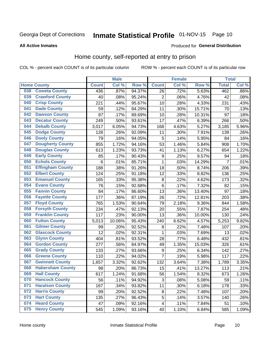# Inmate Statistical Profile 01-NOV-15 Page 10

#### **All Active Inmates**

#### Produced for General Distribution

### Home county, self-reported at entry to prison

COL % - percent each COUNT is of its particular column

|     |                         |              | <b>Male</b> |        |                  | <b>Female</b> |        | <b>Total</b>   |       |
|-----|-------------------------|--------------|-------------|--------|------------------|---------------|--------|----------------|-------|
|     | <b>Home County</b>      | <b>Count</b> | Col %       | Row %  | <b>Count</b>     | Col %         | Row %  | <b>Total</b>   | Col % |
| 038 | <b>Coweta County</b>    | 436          | .87%        | 94.37% | $\overline{26}$  | .72%          | 5.63%  | 462            | .86%  |
| 039 | <b>Crawford County</b>  | 40           | .08%        | 95.24% | $\overline{2}$   | .06%          | 4.76%  | 42             | .08%  |
| 040 | <b>Crisp County</b>     | 221          | .44%        | 95.67% | 10               | .28%          | 4.33%  | 231            | .43%  |
| 041 | <b>Dade County</b>      | 59           | .12%        | 84.29% | 11               | .30%          | 15.71% | 70             | .13%  |
| 042 | <b>Dawson County</b>    | 87           | .17%        | 89.69% | 10               | .28%          | 10.31% | 97             | .18%  |
| 043 | <b>Decatur County</b>   | 249          | .50%        | 93.61% | 17               | .47%          | 6.39%  | 266            | .50%  |
| 044 | <b>Dekalb County</b>    | 3,017        | 6.05%       | 94.73% | 168              | 4.63%         | 5.27%  | 3,185          | 5.96% |
| 045 | <b>Dodge County</b>     | 128          | .26%        | 92.09% | 11               | .30%          | 7.91%  | 139            | .26%  |
| 046 | <b>Dooly County</b>     | 79           | .16%        | 94.05% | 5                | .14%          | 5.95%  | 84             | .16%  |
| 047 | <b>Dougherty County</b> | 855          | 1.72%       | 94.16% | 53               | 1.46%         | 5.84%  | 908            | 1.70% |
| 048 | <b>Douglas County</b>   | 613          | 1.23%       | 93.73% | 41               | 1.13%         | 6.27%  | 654            | 1.22% |
| 049 | <b>Early County</b>     | 85           | .17%        | 90.43% | $\boldsymbol{9}$ | .25%          | 9.57%  | 94             | .18%  |
| 050 | <b>Echols County</b>    | 6            | .01%        | 85.71% | 1                | .03%          | 14.29% | $\overline{7}$ | .01%  |
| 051 | <b>Effingham County</b> | 188          | .38%        | 91.26% | 18               | .50%          | 8.74%  | 206            | .39%  |
| 052 | <b>Elbert County</b>    | 124          | .25%        | 91.18% | 12               | .33%          | 8.82%  | 136            | .25%  |
| 053 | <b>Emanuel County</b>   | 165          | .33%        | 95.38% | 8                | .22%          | 4.62%  | 173            | .32%  |
| 054 | <b>Evans County</b>     | 76           | .15%        | 92.68% | $\,6$            | .17%          | 7.32%  | 82             | .15%  |
| 055 | <b>Fannin County</b>    | 84           | .17%        | 86.60% | 13               | .36%          | 13.40% | 97             | .18%  |
| 056 | <b>Fayette County</b>   | 177          | .36%        | 87.19% | 26               | .72%          | 12.81% | 203            | .38%  |
| 057 | <b>Floyd County</b>     | 765          | 1.53%       | 90.64% | 79               | 2.18%         | 9.36%  | 844            | 1.58% |
| 058 | <b>Forsyth County</b>   | 234          | .47%        | 92.13% | 20               | .55%          | 7.87%  | 254            | .48%  |
| 059 | <b>Franklin County</b>  | 117          | .23%        | 90.00% | 13               | .36%          | 10.00% | 130            | .24%  |
| 060 | <b>Fulton County</b>    | 5,013        | 10.06%      | 95.43% | 240              | 6.62%         | 4.57%  | 5,253          | 9.82% |
| 061 | <b>Gilmer County</b>    | 99           | .20%        | 92.52% | 8                | .22%          | 7.48%  | 107            | .20%  |
| 062 | <b>Glascock County</b>  | 12           | .02%        | 92.31% | 1                | .03%          | 7.69%  | 13             | .02%  |
| 063 | <b>Glynn County</b>     | 404          | .81%        | 93.52% | 28               | .77%          | 6.48%  | 432            | .81%  |
| 064 | <b>Gordon County</b>    | 277          | .56%        | 84.97% | 49               | 1.35%         | 15.03% | 326            | .61%  |
| 065 | <b>Grady County</b>     | 133          | .27%        | 93.66% | $\boldsymbol{9}$ | .25%          | 6.34%  | 142            | .27%  |
| 066 | <b>Greene County</b>    | 110          | .22%        | 94.02% | $\overline{7}$   | .19%          | 5.98%  | 117            | .22%  |
| 067 | <b>Gwinnett County</b>  | 1,657        | 3.32%       | 92.62% | 132              | 3.64%         | 7.38%  | 1,789          | 3.35% |
| 068 | <b>Habersham County</b> | 98           | .20%        | 86.73% | 15               | .41%          | 13.27% | 113            | .21%  |
| 069 | <b>Hall County</b>      | 617          | 1.24%       | 91.68% | 56               | 1.54%         | 8.32%  | 673            | 1.26% |
| 070 | <b>Hancock County</b>   | 56           | .11%        | 94.92% | 3                | .08%          | 5.08%  | 59             | .11%  |
| 071 | <b>Haralson County</b>  | 167          | .34%        | 93.82% | 11               | .30%          | 6.18%  | 178            | .33%  |
| 072 | <b>Harris County</b>    | 99           | .20%        | 92.52% | $\bf 8$          | .22%          | 7.48%  | 107            | .20%  |
| 073 | <b>Hart County</b>      | 135          | .27%        | 96.43% | 5                | .14%          | 3.57%  | 140            | .26%  |
| 074 | <b>Heard County</b>     | 47           | .09%        | 92.16% | $\overline{4}$   | .11%          | 7.84%  | 51             | .10%  |
| 075 | <b>Henry County</b>     | 545          | 1.09%       | 93.16% | 40               | 1.10%         | 6.84%  | 585            | 1.09% |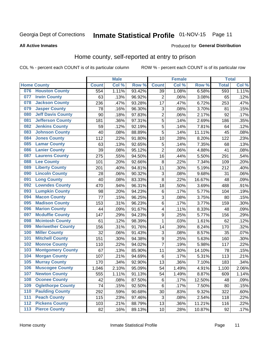#### Inmate Statistical Profile 01-NOV-15 Page 11

#### **All Active Inmates**

#### Produced for General Distribution

### Home county, self-reported at entry to prison

COL % - percent each COUNT is of its particular column

|                  |                          |              | <b>Male</b> |                  |                         | <b>Female</b>     |        | <b>Total</b> |       |
|------------------|--------------------------|--------------|-------------|------------------|-------------------------|-------------------|--------|--------------|-------|
|                  | <b>Home County</b>       | <b>Count</b> | Col %       | Row <sup>%</sup> | <b>Count</b>            | Col %             | Row %  | <b>Total</b> | Col % |
| 076              | <b>Houston County</b>    | 554          | 1.11%       | 93.42%           | 39                      | 1.08%             | 6.58%  | 593          | 1.11% |
| 077              | <b>Irwin County</b>      | 63           | .13%        | 96.92%           | $\overline{2}$          | .06%              | 3.08%  | 65           | .12%  |
| 078              | <b>Jackson County</b>    | 236          | .47%        | 93.28%           | 17                      | .47%              | 6.72%  | 253          | .47%  |
| 079              | <b>Jasper County</b>     | 78           | .16%        | 96.30%           | 3                       | .08%              | 3.70%  | 81           | .15%  |
| 080              | <b>Jeff Davis County</b> | 90           | .18%        | 97.83%           | $\overline{c}$          | .06%              | 2.17%  | 92           | .17%  |
| 081              | <b>Jefferson County</b>  | 181          | .36%        | 97.31%           | 5                       | .14%              | 2.69%  | 186          | .35%  |
| 082              | <b>Jenkins County</b>    | 59           | .12%        | 92.19%           | 5                       | .14%              | 7.81%  | 64           | .12%  |
| 083              | <b>Johnson County</b>    | 40           | .08%        | 88.89%           | 5                       | .14%              | 11.11% | 45           | .08%  |
| 084              | <b>Jones County</b>      | 112          | .22%        | 91.80%           | 10                      | .28%              | 8.20%  | 122          | .23%  |
| 085              | <b>Lamar County</b>      | 63           | .13%        | 92.65%           | 5                       | .14%              | 7.35%  | 68           | .13%  |
| 086              | <b>Lanier County</b>     | 39           | .08%        | 95.12%           | $\overline{2}$          | .06%              | 4.88%  | 41           | .08%  |
| 087              | <b>Laurens County</b>    | 275          | .55%        | 94.50%           | 16                      | .44%              | 5.50%  | 291          | .54%  |
| 088              | <b>Lee County</b>        | 101          | .20%        | 92.66%           | 8                       | $\overline{2}2\%$ | 7.34%  | 109          | .20%  |
| 089              | <b>Liberty County</b>    | 201          | .40%        | 94.81%           | 11                      | .30%              | 5.19%  | 212          | .40%  |
| 090              | <b>Lincoln County</b>    | 28           | .06%        | 90.32%           | 3                       | .08%              | 9.68%  | 31           | .06%  |
| 091              | <b>Long County</b>       | 40           | .08%        | 83.33%           | 8                       | .22%              | 16.67% | 48           | .09%  |
| 092              | <b>Lowndes County</b>    | 470          | .94%        | 96.31%           | 18                      | .50%              | 3.69%  | 488          | .91%  |
| 093              | <b>Lumpkin County</b>    | 98           | .20%        | 94.23%           | $\,6$                   | .17%              | 5.77%  | 104          | .19%  |
| 094              | <b>Macon County</b>      | 77           | .15%        | 96.25%           | 3                       | .08%              | 3.75%  | 80           | .15%  |
| 095              | <b>Madison County</b>    | 153          | .31%        | 96.23%           | 6                       | .17%              | 3.77%  | 159          | .30%  |
| 096              | <b>Marion County</b>     | 44           | .09%        | 91.67%           | $\overline{\mathbf{4}}$ | .11%              | 8.33%  | 48           | .09%  |
| 097              | <b>Mcduffie County</b>   | 147          | .29%        | 94.23%           | 9                       | .25%              | 5.77%  | 156          | .29%  |
| 098              | <b>Mcintosh County</b>   | 61           | .12%        | 98.39%           | 1                       | .03%              | 1.61%  | 62           | .12%  |
| 099              | <b>Meriwether County</b> | 156          | .31%        | 91.76%           | 14                      | .39%              | 8.24%  | 170          | .32%  |
| 100              | <b>Miller County</b>     | 32           | .06%        | 91.43%           | 3                       | .08%              | 8.57%  | 35           | .07%  |
| 101              | <b>Mitchell County</b>   | 151          | .30%        | 94.38%           | $\boldsymbol{9}$        | .25%              | 5.63%  | 160          | .30%  |
| 102              | <b>Monroe County</b>     | 110          | .22%        | 94.02%           | $\overline{7}$          | .19%              | 5.98%  | 117          | .22%  |
| 103              | <b>Montgomery County</b> | 67           | .13%        | 85.90%           | 11                      | .30%              | 14.10% | 78           | .15%  |
| 104              | <b>Morgan County</b>     | 107          | .21%        | 94.69%           | 6                       | .17%              | 5.31%  | 113          | .21%  |
| 105              | <b>Murray County</b>     | 170          | .34%        | 92.90%           | 13                      | .36%              | 7.10%  | 183          | .34%  |
| 106              | <b>Muscogee County</b>   | 1,046        | 2.10%       | 95.09%           | 54                      | 1.49%             | 4.91%  | 1,100        | 2.06% |
| 107              | <b>Newton County</b>     | 555          | 1.11%       | 91.13%           | 54                      | 1.49%             | 8.87%  | 609          | 1.14% |
| 108              | <b>Oconee County</b>     | 42           | .08%        | 87.50%           | 6                       | .17%              | 12.50% | 48           | .09%  |
| 109              | <b>Oglethorpe County</b> | 74           | .15%        | 92.50%           | 6                       | .17%              | 7.50%  | 80           | .15%  |
| 110              | <b>Paulding County</b>   | 292          | .59%        | 90.68%           | 30                      | .83%              | 9.32%  | 322          | .60%  |
| 111              | <b>Peach County</b>      | 115          | .23%        | 97.46%           | 3                       | .08%              | 2.54%  | 118          | .22%  |
| $\overline{112}$ | <b>Pickens County</b>    | 103          | .21%        | 88.79%           | 13                      | .36%              | 11.21% | 116          | .22%  |
| 113              | <b>Pierce County</b>     | 82           | .16%        | 89.13%           | 10                      | .28%              | 10.87% | 92           | .17%  |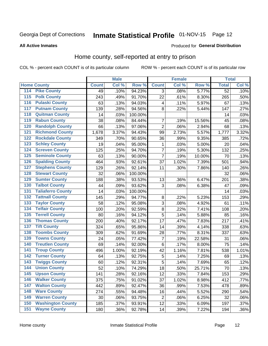# Inmate Statistical Profile 01-NOV-15 Page 12

#### **All Active Inmates**

#### Produced for General Distribution

### Home county, self-reported at entry to prison

COL % - percent each COUNT is of its particular column

|                  |                          |              | <b>Male</b> |                  |                | <b>Female</b> |        | <b>Total</b>    |         |
|------------------|--------------------------|--------------|-------------|------------------|----------------|---------------|--------|-----------------|---------|
|                  | <b>Home County</b>       | <b>Count</b> | Col %       | Row <sup>%</sup> | <b>Count</b>   | Col %         | Row %  | <b>Total</b>    | Col %   |
| 114              | <b>Pike County</b>       | 49           | .10%        | 94.23%           | 3              | .08%          | 5.77%  | $\overline{52}$ | .10%    |
| 115              | <b>Polk County</b>       | 243          | .49%        | 91.70%           | 22             | .61%          | 8.30%  | 265             | .50%    |
| 116              | <b>Pulaski County</b>    | 63           | .13%        | 94.03%           | $\overline{4}$ | .11%          | 5.97%  | 67              | .13%    |
| 117              | <b>Putnam County</b>     | 139          | .28%        | 94.56%           | 8              | .22%          | 5.44%  | 147             | .27%    |
| 118              | <b>Quitman County</b>    | 14           | .03%        | 100.00%          |                |               |        | 14              | .03%    |
| 119              | <b>Rabun County</b>      | 38           | .08%        | 84.44%           | $\overline{7}$ | .19%          | 15.56% | 45              | .08%    |
| 120              | <b>Randolph County</b>   | 66           | .13%        | 97.06%           | $\overline{2}$ | .06%          | 2.94%  | 68              | .13%    |
| 121              | <b>Richmond County</b>   | 1,678        | 3.37%       | 94.43%           | 99             | 2.73%         | 5.57%  | 1,777           | 3.32%   |
| 122              | <b>Rockdale County</b>   | 349          | .70%        | 90.65%           | 36             | .99%          | 9.35%  | 385             | .72%    |
| 123              | <b>Schley County</b>     | 19           | .04%        | 95.00%           | 1              | .03%          | 5.00%  | 20              | .04%    |
| 124              | <b>Screven County</b>    | 125          | .25%        | 94.70%           | 7              | .19%          | 5.30%  | 132             | .25%    |
| 125              | <b>Seminole County</b>   | 63           | .13%        | 90.00%           | $\overline{7}$ | .19%          | 10.00% | 70              | .13%    |
| 126              | <b>Spalding County</b>   | 464          | .93%        | 92.61%           | 37             | 1.02%         | 7.39%  | 501             | .94%    |
| 127              | <b>Stephens County</b>   | 129          | .26%        | 92.14%           | 11             | .30%          | 7.86%  | 140             | .26%    |
| 128              | <b>Stewart County</b>    | 32           | .06%        | 100.00%          |                |               |        | 32              | .06%    |
| 129              | <b>Sumter County</b>     | 188          | .38%        | 93.53%           | 13             | .36%          | 6.47%  | 201             | .38%    |
| 130              | <b>Talbot County</b>     | 44           | .09%        | 93.62%           | 3              | .08%          | 6.38%  | 47              | .09%    |
| 131              | <b>Taliaferro County</b> | 14           | .03%        | 100.00%          |                |               |        | 14              | .03%    |
| 132              | <b>Tattnall County</b>   | 145          | .29%        | 94.77%           | 8              | .22%          | 5.23%  | 153             | .29%    |
| 133              | <b>Taylor County</b>     | 58           | .12%        | 95.08%           | 3              | .08%          | 4.92%  | 61              | .11%    |
| 134              | <b>Telfair County</b>    | 100          | .20%        | 92.59%           | $\bf 8$        | .22%          | 7.41%  | 108             | .20%    |
| $\overline{135}$ | <b>Terrell County</b>    | 80           | .16%        | 94.12%           | 5              | .14%          | 5.88%  | 85              | .16%    |
| 136              | <b>Thomas County</b>     | 200          | .40%        | 92.17%           | 17             | .47%          | 7.83%  | 217             | .41%    |
| 137              | <b>Tift County</b>       | 324          | .65%        | 95.86%           | 14             | .39%          | 4.14%  | 338             | .63%    |
| 138              | <b>Toombs County</b>     | 309          | .62%        | 91.69%           | 28             | .77%          | 8.31%  | 337             | .63%    |
| 139              | <b>Towns County</b>      | 24           | .05%        | 77.42%           | 7              | .19%          | 22.58% | 31              | .06%    |
| 140              | <b>Treutlen County</b>   | 69           | .14%        | 92.00%           | $\,6$          | .17%          | 8.00%  | 75              | .14%    |
| 141              | <b>Troup County</b>      | 496          | 1.00%       | 92.19%           | 42             | 1.16%         | 7.81%  | 538             | 1.01%   |
| $\overline{142}$ | <b>Turner County</b>     | 64           | .13%        | 92.75%           | 5              | .14%          | 7.25%  | 69              | .13%    |
| 143              | <b>Twiggs County</b>     | 60           | .12%        | 92.31%           | 5              | .14%          | 7.69%  | 65              | .12%    |
| 144              | <b>Union County</b>      | 52           | .10%        | 74.29%           | 18             | .50%          | 25.71% | 70              | .13%    |
| 145              | <b>Upson County</b>      | 141          | .28%        | 92.16%           | 12             | .33%          | 7.84%  | 153             | .29%    |
| 146              | <b>Walker County</b>     | 375          | .75%        | 91.02%           | 37             | 1.02%         | 8.98%  | 412             | .77%    |
| 147              | <b>Walton County</b>     | 442          | .89%        | 92.47%           | 36             | .99%          | 7.53%  | 478             | .89%    |
| 148              | <b>Ware County</b>       | 274          | .55%        | 94.48%           | 16             | .44%          | 5.52%  | 290             | .54%    |
| 149              | <b>Warren County</b>     | 30           | .06%        | 93.75%           | $\overline{2}$ | .06%          | 6.25%  | 32              | .06%    |
| 150              | <b>Washington County</b> | 185          | .37%        | 93.91%           | 12             | .33%          | 6.09%  | 197             | .37%    |
| 151              | <b>Wayne County</b>      | 180          | .36%        | 92.78%           | 14             | .39%          | 7.22%  | 194             | $.36\%$ |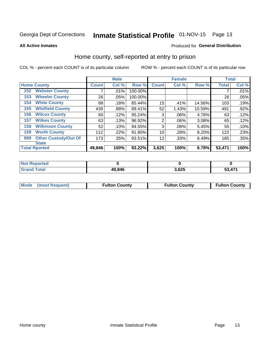# Inmate Statistical Profile 01-NOV-15 Page 13

#### **All Active Inmates**

#### Produced for General Distribution

### Home county, self-reported at entry to prison

COL % - percent each COUNT is of its particular column

|     |                             |              | <b>Male</b> |         |                | <b>Female</b> |        | <b>Total</b> |       |
|-----|-----------------------------|--------------|-------------|---------|----------------|---------------|--------|--------------|-------|
|     | <b>Home County</b>          | <b>Count</b> | Col %       | Row %   | <b>Count</b>   | Col %         | Row %  | <b>Total</b> | Col % |
| 152 | <b>Webster County</b>       |              | .01%        | 100.00% |                |               |        |              | .01%  |
| 153 | <b>Wheeler County</b>       | 26           | .05%        | 100.00% |                |               |        | 26           | .05%  |
| 154 | <b>White County</b>         | 88           | .18%        | 85.44%  | 15             | .41%          | 14.56% | 103          | .19%  |
| 155 | <b>Whitfield County</b>     | 439          | .88%        | 89.41%  | 52             | 1.43%         | 10.59% | 491          | .92%  |
| 156 | <b>Wilcox County</b>        | 60           | .12%        | 95.24%  | 3              | .08%          | 4.76%  | 63           | .12%  |
| 157 | <b>Wilkes County</b>        | 63           | .13%        | 96.92%  | $\overline{2}$ | .06%          | 3.08%  | 65           | .12%  |
| 158 | <b>Wilkinson County</b>     | 52           | .10%        | 94.55%  | 3              | .08%          | 5.45%  | 55           | .10%  |
| 159 | <b>Worth County</b>         | 112          | .22%        | 91.80%  | 10             | .28%          | 8.20%  | 122          | .23%  |
| 999 | <b>Other Custody/Out Of</b> | 173          | .35%        | 93.51%  | 12             | .33%          | 6.49%  | 185          | .35%  |
|     | <b>State</b>                |              |             |         |                |               |        |              |       |
|     | <b>Total Rported</b>        | 49,846       | 100%        | 93.22%  | 3,625          | 100%          | 6.78%  | 53,471       | 100%  |

| 'Not<br>Reported |        |       |                     |
|------------------|--------|-------|---------------------|
| <b>Total</b>     | 49,846 | 3,625 | <b>52 474</b><br>v. |

| Mode (most frequent)<br><b>Fulton County</b><br><b>Fulton County</b><br><b>Fulton County</b> |
|----------------------------------------------------------------------------------------------|
|----------------------------------------------------------------------------------------------|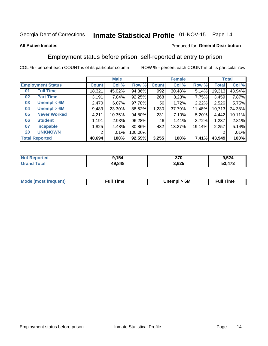# Inmate Statistical Profile 01-NOV-15 Page 14

#### **All Active Inmates**

#### Produced for General Distribution

### Employment status before prison, self-reported at entry to prison

COL % - percent each COUNT is of its particular column

|                           |              | <b>Male</b> |         |              | <b>Female</b> |        |        | <b>Total</b> |
|---------------------------|--------------|-------------|---------|--------------|---------------|--------|--------|--------------|
| <b>Employment Status</b>  | <b>Count</b> | Col %       | Row %   | <b>Count</b> | Col %         | Row %  | Total  | Col %        |
| <b>Full Time</b><br>01    | 18,321       | 45.02%      | 94.86%  | 992          | 30.48%        | 5.14%  | 19,313 | 43.94%       |
| <b>Part Time</b><br>02    | 3,191        | 7.84%       | 92.25%  | 268          | 8.23%         | 7.75%  | 3,459  | 7.87%        |
| Unempl $<$ 6M<br>03       | 2,470        | 6.07%       | 97.78%  | 56           | 1.72%         | 2.22%  | 2,526  | 5.75%        |
| Unempl > 6M<br>04         | 9,483        | 23.30%      | 88.52%  | 1,230        | 37.79%        | 11.48% | 10,713 | 24.38%       |
| <b>Never Worked</b><br>05 | 4,211        | 10.35%      | 94.80%  | 231          | 7.10%         | 5.20%  | 4,442  | 10.11%       |
| <b>Student</b><br>06      | 1,191        | 2.93%       | 96.28%  | 46           | 1.41%         | 3.72%  | 1,237  | 2.81%        |
| <b>Incapable</b><br>07    | ,825         | 4.48%       | 80.86%  | 432          | 13.27%        | 19.14% | 2,257  | 5.14%        |
| <b>UNKNOWN</b><br>20      | 2            | .01%        | 100.00% |              |               |        | 2      | .01%         |
| <b>Total Reported</b>     | 40,694       | 100%        | 92.59%  | 3,255        | 100%          | 7.41%  | 43,949 | 100%         |

| <b>Not Reported</b> | 9,154  | 370   | 9,524  |
|---------------------|--------|-------|--------|
| <b>Grand Total</b>  | 49,848 | 3,625 | 53,473 |

| <b>Mode (most frequent)</b> | Unempl > 6M | <b>Full Time</b> |
|-----------------------------|-------------|------------------|
|                             |             |                  |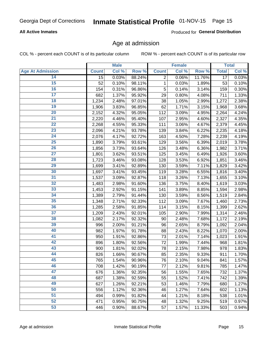#### **All Active Inmates**

Produced for General Distribution

### Age at admission

COL % - percent each COUNT is of its particular column

|                         |                 | <b>Male</b> |        |              | <b>Female</b> |        |                 | <b>Total</b> |
|-------------------------|-----------------|-------------|--------|--------------|---------------|--------|-----------------|--------------|
| <b>Age At Admission</b> | <b>Count</b>    | Col %       | Row %  | <b>Count</b> | Col %         | Row %  | <b>Total</b>    | Col %        |
| 14                      | $\overline{15}$ | 0.03%       | 88.24% | 2            | 0.06%         | 11.76% | $\overline{17}$ | 0.03%        |
| 15                      | 52              | 0.10%       | 98.11% | 1            | 0.03%         | 1.89%  | 53              | 0.10%        |
| 16                      | 154             | 0.31%       | 96.86% | 5            | 0.14%         | 3.14%  | 159             | 0.30%        |
| $\overline{17}$         | 682             | 1.37%       | 95.92% | 29           | 0.80%         | 4.08%  | 711             | 1.33%        |
| $\overline{18}$         | 1,234           | 2.48%       | 97.01% | 38           | 1.05%         | 2.99%  | 1,272           | 2.38%        |
| 19                      | 1,906           | 3.83%       | 96.85% | 62           | 1.71%         | 3.15%  | 1,968           | 3.68%        |
| 20                      | 2,152           | 4.32%       | 95.05% | 112          | 3.09%         | 4.95%  | 2,264           | 4.24%        |
| $\overline{21}$         | 2,220           | 4.46%       | 95.40% | 107          | 2.95%         | 4.60%  | 2,327           | 4.35%        |
| $\overline{22}$         | 2,268           | 4.55%       | 95.33% | 111          | 3.06%         | 4.67%  | 2,379           | 4.45%        |
| 23                      | 2,096           | 4.21%       | 93.78% | 139          | 3.84%         | 6.22%  | 2,235           | 4.18%        |
| 24                      | 2,076           | 4.17%       | 92.72% | 163          | 4.50%         | 7.28%  | 2,239           | 4.19%        |
| $\overline{25}$         | 1,890           | 3.79%       | 93.61% | 129          | 3.56%         | 6.39%  | 2,019           | 3.78%        |
| $\overline{26}$         | 1,856           | 3.73%       | 93.64% | 126          | 3.48%         | 6.36%  | 1,982           | 3.71%        |
| $\overline{27}$         | 1,801           | 3.62%       | 93.51% | 125          | 3.45%         | 6.49%  | 1,926           | 3.60%        |
| 28                      | 1,723           | 3.46%       | 93.08% | 128          | 3.53%         | 6.92%  | 1,851           | 3.46%        |
| 29                      | 1,699           | 3.41%       | 92.89% | 130          | 3.59%         | 7.11%  | 1,829           | 3.42%        |
| 30                      | 1,697           | 3.41%       | 93.45% | 119          | 3.28%         | 6.55%  | 1,816           | 3.40%        |
| 31                      | 1,537           | 3.09%       | 92.87% | 118          | 3.26%         | 7.13%  | 1,655           | 3.10%        |
| 32                      | 1,483           | 2.98%       | 91.60% | 136          | 3.75%         | 8.40%  | 1,619           | 3.03%        |
| 33                      | 1,453           | 2.92%       | 91.15% | 141          | 3.89%         | 8.85%  | 1,594           | 2.98%        |
| 34                      | 1,389           | 2.79%       | 91.44% | 130          | 3.59%         | 8.56%  | 1,519           | 2.84%        |
| 35                      | 1,348           | 2.71%       | 92.33% | 112          | 3.09%         | 7.67%  | 1,460           | 2.73%        |
| 36                      | 1,285           | 2.58%       | 91.85% | 114          | 3.15%         | 8.15%  | 1,399           | 2.62%        |
| 37                      | 1,209           | 2.43%       | 92.01% | 105          | 2.90%         | 7.99%  | 1,314           | 2.46%        |
| 38                      | 1,082           | 2.17%       | 92.32% | 90           | 2.48%         | 7.68%  | 1,172           | 2.19%        |
| 39                      | 996             | 2.00%       | 91.21% | 96           | 2.65%         | 8.79%  | 1,092           | 2.04%        |
| 40                      | 982             | 1.97%       | 91.78% | 88           | 2.43%         | 8.22%  | 1,070           | 2.00%        |
| 41                      | 950             | 1.91%       | 92.86% | 73           | 2.01%         | 7.14%  | 1,023           | 1.91%        |
| 42                      | 896             | 1.80%       | 92.56% | 72           | 1.99%         | 7.44%  | 968             | 1.81%        |
| 43                      | 900             | 1.81%       | 92.02% | 78           | 2.15%         | 7.98%  | 978             | 1.83%        |
| 44                      | 826             | 1.66%       | 90.67% | 85           | 2.35%         | 9.33%  | 911             | 1.70%        |
| 45                      | 765             | 1.54%       | 90.96% | 76           | 2.10%         | 9.04%  | 841             | 1.57%        |
| 46                      | 708             | 1.42%       | 90.19% | 77           | 2.12%         | 9.81%  | 785             | 1.47%        |
| 47                      | 676             | 1.36%       | 92.35% | 56           | 1.55%         | 7.65%  | 732             | 1.37%        |
| 48                      | 687             | 1.38%       | 92.59% | 55           | 1.52%         | 7.41%  | 742             | 1.39%        |
| 49                      | 627             | 1.26%       | 92.21% | 53           | 1.46%         | 7.79%  | 680             | 1.27%        |
| 50                      | 556             | 1.12%       | 92.36% | 46           | 1.27%         | 7.64%  | 602             | 1.13%        |
| 51                      | 494             | 0.99%       | 91.82% | 44           | 1.21%         | 8.18%  | 538             | 1.01%        |
| 52                      | 471             | 0.95%       | 90.75% | 48           | 1.32%         | 9.25%  | 519             | 0.97%        |
| 53                      | 446             | 0.90%       | 88.67% | 57           | 1.57%         | 11.33% | 503             | 0.94%        |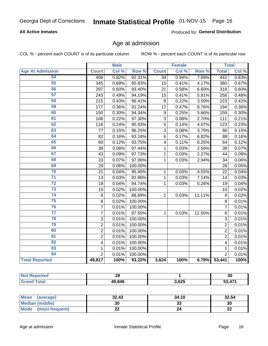#### **All Active Inmates**

Produced for General Distribution

### Age at admission

COL % - percent each COUNT is of its particular column

|                         |                           | <b>Male</b> |         |                         | <b>Female</b> |        |                         | <b>Total</b> |
|-------------------------|---------------------------|-------------|---------|-------------------------|---------------|--------|-------------------------|--------------|
| <b>Age At Admission</b> | <b>Count</b>              | Col %       | Row %   | <b>Count</b>            | Col %         | Row %  | <b>Total</b>            | Col %        |
| 54                      | 408                       | 0.82%       | 92.31%  | $\overline{34}$         | 0.94%         | 7.69%  | 442                     | 0.83%        |
| 55                      | 345                       | 0.69%       | 95.83%  | 15                      | 0.41%         | 4.17%  | 360                     | 0.67%        |
| 56                      | 297                       | 0.60%       | 93.40%  | 21                      | 0.58%         | 6.60%  | 318                     | 0.60%        |
| $\overline{57}$         | 243                       | 0.49%       | 94.19%  | 15                      | 0.41%         | 5.81%  | 258                     | 0.48%        |
| 58                      | 215                       | 0.43%       | 96.41%  | 8                       | 0.22%         | 3.59%  | 223                     | 0.42%        |
| 59                      | 177                       | 0.36%       | 91.24%  | 17                      | 0.47%         | 8.76%  | 194                     | 0.36%        |
| 60                      | 150                       | 0.30%       | 94.34%  | 9                       | 0.25%         | 5.66%  | 159                     | 0.30%        |
| 61                      | 108                       | 0.22%       | 97.30%  | $\overline{3}$          | 0.08%         | 2.70%  | 111                     | 0.21%        |
| 62                      | 118                       | 0.24%       | 95.93%  | $\overline{5}$          | 0.14%         | 4.07%  | 123                     | 0.23%        |
| 63                      | 77                        | 0.15%       | 96.25%  | 3                       | 0.08%         | 3.75%  | 80                      | 0.15%        |
| 64                      | 82                        | 0.16%       | 93.18%  | 6                       | 0.17%         | 6.82%  | 88                      | 0.16%        |
| 65                      | 60                        | 0.12%       | 93.75%  | $\overline{\mathbf{4}}$ | 0.11%         | 6.25%  | 64                      | 0.12%        |
| 66                      | 38                        | 0.08%       | 97.44%  | 1                       | 0.03%         | 2.56%  | 39                      | 0.07%        |
| 67                      | 43                        | 0.09%       | 97.73%  | 1                       | 0.03%         | 2.27%  | 44                      | 0.08%        |
| 68                      | 33                        | 0.07%       | 97.06%  | 1                       | 0.03%         | 2.94%  | 34                      | 0.06%        |
| 69                      | 28                        | 0.06%       | 100.00% |                         |               |        | 28                      | 0.05%        |
| 70                      | 21                        | 0.04%       | 95.45%  | 1                       | 0.03%         | 4.55%  | 22                      | 0.04%        |
| $\overline{71}$         | 13                        | 0.03%       | 92.86%  | 1                       | 0.03%         | 7.14%  | 14                      | 0.03%        |
| $\overline{72}$         | 18                        | 0.04%       | 94.74%  | 1                       | 0.03%         | 5.26%  | 19                      | 0.04%        |
| 73                      | 10                        | 0.02%       | 100.00% |                         |               |        | 10                      | 0.02%        |
| 74                      | 8                         | 0.02%       | 88.89%  | $\mathbf{1}$            | 0.03%         | 11.11% | 9                       | 0.02%        |
| 75                      | 8                         | 0.02%       | 100.00% |                         |               |        | 8                       | 0.01%        |
| 76                      | $\overline{7}$            | 0.01%       | 100.00% |                         |               |        | $\overline{7}$          | 0.01%        |
| $\overline{77}$         | $\overline{7}$            | 0.01%       | 87.50%  | 1                       | 0.03%         | 12.50% | 8                       | 0.01%        |
| 78                      | $\ensuremath{\mathsf{3}}$ | 0.01%       | 100.00% |                         |               |        | 3                       | 0.01%        |
| 79                      | $\overline{2}$            | 0.01%       | 100.00% |                         |               |        | $\overline{2}$          | 0.01%        |
| 80                      | $\overline{2}$            | 0.01%       | 100.00% |                         |               |        | $\overline{2}$          | 0.01%        |
| 81                      | $\overline{2}$            | 0.01%       | 100.00% |                         |               |        | $\overline{2}$          | 0.01%        |
| $\overline{82}$         | $\overline{\mathbf{4}}$   | 0.01%       | 100.00% |                         |               |        | $\overline{\mathbf{4}}$ | 0.01%        |
| 83                      | 1                         | 0.01%       | 100.00% |                         |               |        | 1                       | 0.01%        |
| 84                      | $\overline{2}$            | 0.01%       | 100.00% |                         |               |        | $\overline{2}$          | 0.01%        |
| <b>Total Reported</b>   | 49,817                    | 100%        | 93.22%  | 3,624                   | 100%          | 6.78%  | 53,441                  | 100%         |

| <b>Not</b>    | ົ      |       | ^^  |
|---------------|--------|-------|-----|
| <b>ported</b> | 23     |       | vu  |
| $T$ otol      | 49,846 | 3,625 | A74 |

| Mean (average)       | 32.43 | 34.10   | 32.54    |
|----------------------|-------|---------|----------|
| Median (middle)      | 30    | ົ<br>33 | 30       |
| Mode (most frequent) | LL    | 24      | ጣጣ<br>LL |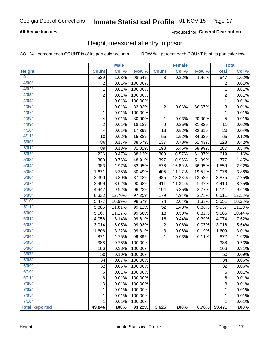#### **All Active Inmates**

#### Produced for General Distribution

### Height, measured at entry to prison

COL % - percent each COUNT is of its particular column

|                         |                | <b>Male</b> |         |                | <b>Female</b> |        |                  | <b>Total</b> |
|-------------------------|----------------|-------------|---------|----------------|---------------|--------|------------------|--------------|
| <b>Height</b>           | <b>Count</b>   | Col %       | Row %   | <b>Count</b>   | Col %         | Row %  | <b>Total</b>     | Col %        |
| $\overline{\mathbf{0}}$ | 539            | 1.08%       | 98.54%  | 8              | 0.22%         | 1.46%  | $\overline{547}$ | 1.02%        |
| 4'00"                   | $\overline{2}$ | 0.01%       | 100.00% |                |               |        | 2                | 0.01%        |
| 4'02"                   | $\mathbf 1$    | 0.01%       | 100.00% |                |               |        | $\mathbf{1}$     | 0.01%        |
| 4'03"                   | $\overline{2}$ | 0.01%       | 100.00% |                |               |        | $\overline{c}$   | 0.01%        |
| 4'04"                   | 1              | 0.01%       | 100.00% |                |               |        | 1                | 0.01%        |
| 4'06"                   | $\mathbf{1}$   | 0.01%       | 33.33%  | $\overline{2}$ | 0.06%         | 66.67% | 3                | 0.01%        |
| 4'07"                   | 1              | 0.01%       | 100.00% |                |               |        | 1                | 0.01%        |
| 4'08"                   | 4              | 0.01%       | 80.00%  | 1              | 0.03%         | 20.00% | $\mathbf 5$      | 0.01%        |
| 4'09"                   | $\overline{2}$ | 0.01%       | 18.18%  | 9              | 0.25%         | 81.82% | 11               | 0.02%        |
| 4'10"                   | 4              | 0.01%       | 17.39%  | 19             | 0.52%         | 82.61% | 23               | 0.04%        |
| 4'11''                  | 10             | 0.02%       | 15.38%  | 55             | 1.52%         | 84.62% | 65               | 0.12%        |
| 5'00''                  | 86             | 0.17%       | 38.57%  | 137            | 3.78%         | 61.43% | 223              | 0.42%        |
| 5'01''                  | 89             | 0.18%       | 31.01%  | 198            | 5.46%         | 68.99% | 287              | 0.54%        |
| 5'02"                   | 236            | 0.47%       | 38.13%  | 383            | 10.57%        | 61.87% | 619              | 1.16%        |
| 5'03''                  | 380            | 0.76%       | 48.91%  | 397            | 10.95%        | 51.09% | 777              | 1.45%        |
| 5'04"                   | 983            | 1.97%       | 63.05%  | 576            | 15.89%        | 36.95% | 1,559            | 2.92%        |
| 5'05"                   | 1,671          | 3.35%       | 80.49%  | 405            | 11.17%        | 19.51% | 2,076            | 3.88%        |
| 5'06''                  | 3,390          | 6.80%       | 87.48%  | 485            | 13.38%        | 12.52% | 3,875            | 7.25%        |
| 5'07"                   | 3,999          | 8.02%       | 90.68%  | 411            | 11.34%        | 9.32%  | 4,410            | 8.25%        |
| 5'08''                  | 4,947          | 9.92%       | 96.23%  | 194            | 5.35%         | 3.77%  | 5,141            | 9.61%        |
| 5'09''                  | 6,332          | 12.70%      | 97.25%  | 179            | 4.94%         | 2.75%  | 6,511            | 12.18%       |
| 5'10''                  | 5,477          | 10.99%      | 98.67%  | 74             | 2.04%         | 1.33%  | 5,551            | 10.38%       |
| 5'11"                   | 5,885          | 11.81%      | 99.12%  | 52             | 1.43%         | 0.88%  | 5,937            | 11.10%       |
| 6'00''                  | 5,567          | 11.17%      | 99.68%  | 18             | 0.50%         | 0.32%  | 5,585            | 10.44%       |
| 6'01''                  | 4,058          | 8.14%       | 99.61%  | 16             | 0.44%         | 0.39%  | 4,074            | 7.62%        |
| 6'02"                   | 3,014          | 6.05%       | 99.93%  | $\overline{2}$ | 0.06%         | 0.07%  | 3,016            | 5.64%        |
| 6'03''                  | 1,606          | 3.22%       | 99.81%  | 3              | 0.08%         | 0.19%  | 1,609            | 3.01%        |
| 6'04"                   | 871            | 1.75%       | 99.89%  | 1              | 0.03%         | 0.11%  | 872              | 1.63%        |
| 6'05"                   | 388            | 0.78%       | 100.00% |                |               |        | 388              | 0.73%        |
| 6'06''                  | 166            | 0.33%       | 100.00% |                |               |        | 166              | 0.31%        |
| 6'07''                  | 50             | 0.10%       | 100.00% |                |               |        | 50               | 0.09%        |
| 6'08"                   | 34             | 0.07%       | 100.00% |                |               |        | 34               | 0.06%        |
| 6'09''                  | 32             | 0.06%       | 100.00% |                |               |        | 32               | 0.06%        |
| 6'10''                  | 6              | 0.01%       | 100.00% |                |               |        | 6                | 0.01%        |
| 6'11''                  | 6              | 0.01%       | 100.00% |                |               |        | 6                | 0.01%        |
| 7'00"                   | 3              | 0.01%       | 100.00% |                |               |        | 3                | 0.01%        |
| 7'02"                   | 1              | 0.01%       | 100.00% |                |               |        | 1                | 0.01%        |
| 7'03''                  | 1              | 0.01%       | 100.00% |                |               |        | 1                | 0.01%        |
| 7'10''                  | 1              | 0.01%       | 100.00% |                |               |        | 1                | 0.01%        |
| <b>Total Reported</b>   | 49,846         | 100%        | 93.22%  | 3,625          | 100%          | 6.78%  | 53,471           | 100%         |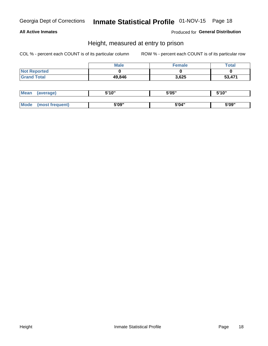#### **All Active Inmates**

Produced for General Distribution

### Height, measured at entry to prison

COL % - percent each COUNT is of its particular column

|                     | <b>Male</b> | Female | Total  |
|---------------------|-------------|--------|--------|
| <b>Not Reported</b> |             |        |        |
| <b>Grand Total</b>  | 49,846      | 3,625  | 53,471 |

| <b>Mean</b> | 'average) | EI4 OIL | 5'05" | 5'10" |
|-------------|-----------|---------|-------|-------|
|             |           |         |       |       |
| $M_{\odot}$ | frequent) | 5'09"   | 5'04" | 5'09" |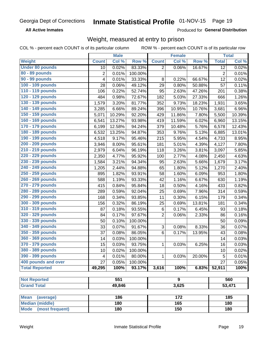**All Active Inmates** 

Produced for General Distribution

### Weight, measured at entry to prison

COL % - percent each COUNT is of its particular column ROW % - percent each COUNT is of its particular row

|                                |                | <b>Male</b> |         |                | Female           |        |                | <b>Total</b> |
|--------------------------------|----------------|-------------|---------|----------------|------------------|--------|----------------|--------------|
| Weight                         | <b>Count</b>   | Col %       | Row %   | <b>Count</b>   | Col %            | Row %  | <b>Total</b>   | Col %        |
| <b>Under 80 pounds</b>         | 10             | 0.02%       | 83.33%  | $\overline{2}$ | 0.06%            | 16.67% | 12             | 0.02%        |
| 80 - 89 pounds                 | $\overline{2}$ | 0.01%       | 100.00% |                |                  |        | $\overline{2}$ | 0.01%        |
| 90 - 99 pounds                 | 4              | 0.01%       | 33.33%  | 8              | 0.22%            | 66.67% | 12             | 0.02%        |
| 100 - 109 pounds               | 28             | 0.06%       | 49.12%  | 29             | 0.80%            | 50.88% | 57             | 0.11%        |
| 110 - 119 pounds               | 106            | 0.22%       | 52.74%  | 95             | 2.63%            | 47.26% | 201            | 0.38%        |
| 120 - 129 pounds               | 484            | 0.98%       | 72.67%  | 182            | 5.03%            | 27.33% | 666            | 1.26%        |
| 130 - 139 pounds               | 1,579          | 3.20%       | 81.77%  | 352            | 9.73%            | 18.23% | 1,931          | 3.65%        |
| 140 - 149 pounds               | 3,285          | 6.66%       | 89.24%  | 396            | 10.95%           | 10.76% | 3,681          | 6.96%        |
| 150 - 159 pounds               | 5,071          | 10.29%      | 92.20%  | 429            | 11.86%           | 7.80%  | 5,500          | 10.39%       |
| 160 - 169 pounds               | 6,541          | 13.27%      | 93.98%  | 419            | 11.59%           | 6.02%  | 6,960          | 13.15%       |
| 170 - 179 pounds               | 6,199          | 12.58%      | 94.24%  | 379            | 10.48%           | 5.76%  | 6,578          | 12.43%       |
| 180 - 189 pounds               | 6,532          | 13.25%      | 94.87%  | 353            | 9.76%            | 5.13%  | 6,885          | 13.01%       |
| 190 - 199 pounds               | 4,518          | 9.17%       | 95.46%  | 215            | 5.95%            | 4.54%  | 4,733          | 8.95%        |
| 200 - 209 pounds               | 3,946          | 8.00%       | 95.61%  | 181            | 5.01%            | 4.39%  | 4,127          | 7.80%        |
| 210 - 219 pounds               | 2,979          | 6.04%       | 96.19%  | 118            | 3.26%            | 3.81%  | 3,097          | 5.85%        |
| 220 - 229 pounds               | 2,350          | 4.77%       | 95.92%  | 100            | 2.77%            | 4.08%  | 2,450          | 4.63%        |
| 230 - 239 pounds               | 1,584          | 3.21%       | 94.34%  | 95             | 2.63%            | 5.66%  | 1,679          | 3.17%        |
| 240 - 249 pounds               | 1,205          | 2.44%       | 94.88%  | 65             | 1.80%            | 5.12%  | 1,270          | 2.40%        |
| 250 - 259 pounds               | 895            | 1.82%       | 93.91%  | 58             | 1.60%            | 6.09%  | 953            | 1.80%        |
| 260 - 269 pounds               | 588            | 1.19%       | 93.33%  | 42             | 1.16%            | 6.67%  | 630            | 1.19%        |
| 270 - 279 pounds               | 415            | 0.84%       | 95.84%  | 18             | 0.50%            | 4.16%  | 433            | 0.82%        |
| 280 - 289 pounds               | 289            | 0.59%       | 92.04%  | 25             | 0.69%            | 7.96%  | 314            | 0.59%        |
| 290 - 299 pounds               | 168            | 0.34%       | 93.85%  | 11             | 0.30%            | 6.15%  | 179            | 0.34%        |
| 300 - 309 pounds               | 156            | 0.32%       | 86.19%  | 25             | 0.69%            | 13.81% | 181            | 0.34%        |
| 310 - 319 pounds               | 87             | 0.18%       | 93.55%  | 6              | 0.17%            | 6.45%  | 93             | 0.18%        |
| 320 - 329 pounds               | 84             | 0.17%       | 97.67%  | $\overline{2}$ | 0.06%            | 2.33%  | 86             | 0.16%        |
| 330 - 339 pounds               | 50             | 0.10%       | 100.00% |                |                  |        | 50             | 0.09%        |
| 340 - 349 pounds               | 33             | 0.07%       | 91.67%  | 3              | 0.08%            | 8.33%  | 36             | 0.07%        |
| 350 - 359 pounds               | 37             | 0.08%       | 86.05%  | 6              | 0.17%            | 13.95% | 43             | 0.08%        |
| 360 - 369 pounds               | 14             | 0.03%       | 100.00% |                |                  |        | 14             | 0.03%        |
| 370 - 379 pounds               | 15             | 0.03%       | 93.75%  | 1              | 0.03%            | 6.25%  | 16             | 0.03%        |
| 380 - 389 pounds               | 10             | 0.02%       | 100.00% |                |                  |        | 10             | 0.02%        |
| 390 - 399 pounds               | 4              | 0.01%       | 80.00%  | 1              | 0.03%            | 20.00% | 5              | 0.01%        |
| 400 pounds and over            | 27             | 0.05%       | 100.00% |                |                  |        | 27             | 0.05%        |
| <b>Total Reported</b>          | 49,295         | 100%        | 93.17%  | 3,616          | 100%             | 6.83%  | 52,911         | 100%         |
|                                |                |             |         |                |                  |        |                |              |
| <b>Not Reported</b>            |                | 551         |         |                | $\overline{9}$   |        |                | 560          |
| <b>Grand Total</b>             |                | 49,846      |         |                | 3,625            |        |                | 53,471       |
| <b>Mean</b><br>(average)       |                | 186         |         |                | $\overline{172}$ |        |                | 185          |
| <b>Median (middle)</b>         |                | 180         |         |                | 165              |        |                | 180          |
| <b>Mode</b><br>(most frequent) |                | 180         |         |                | 150              |        |                | 180          |
|                                |                |             |         |                |                  |        |                |              |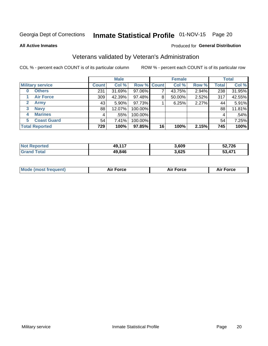# Inmate Statistical Profile 01-NOV-15 Page 20

**All Active Inmates** 

#### Produced for General Distribution

### Veterans validated by Veteran's Administration

COL % - percent each COUNT is of its particular column

|                          |              | <b>Male</b> |         |                    | <b>Female</b> |       |              | <b>Total</b> |  |
|--------------------------|--------------|-------------|---------|--------------------|---------------|-------|--------------|--------------|--|
| <b>Military service</b>  | <b>Count</b> | Col %       |         | <b>Row % Count</b> | Col %         | Row % | <b>Total</b> | Col %        |  |
| <b>Others</b><br>0       | 231          | 31.69%      | 97.06%  |                    | 43.75%        | 2.94% | 238          | 31.95%       |  |
| <b>Air Force</b>         | 309          | 42.39%      | 97.48%  | 8                  | 50.00%        | 2.52% | 317          | 42.55%       |  |
| <b>Army</b><br>2         | 43           | $5.90\%$    | 97.73%  |                    | 6.25%         | 2.27% | 44           | 5.91%        |  |
| <b>Navy</b><br>3         | 88           | 12.07%      | 100.00% |                    |               |       | 88           | 11.81%       |  |
| <b>Marines</b><br>4      | 4            | .55%        | 100.00% |                    |               |       | 4            | .54%         |  |
| <b>Coast Guard</b><br>5. | 54           | 7.41%       | 100.00% |                    |               |       | 54           | 7.25%        |  |
| <b>Total Reported</b>    | 729          | 100%        | 97.85%  | 16                 | 100%          | 2.15% | 745          | 100%         |  |

| тес<br>N | $AQ$ $117$<br>ŧЈ. | 3,609 | 52,726         |
|----------|-------------------|-------|----------------|
|          | 49,846            | 3,625 | $\overline{A}$ |

| Mode (most frequent) | Force | <b>Force</b> | <b>orce</b> |
|----------------------|-------|--------------|-------------|
|                      |       |              |             |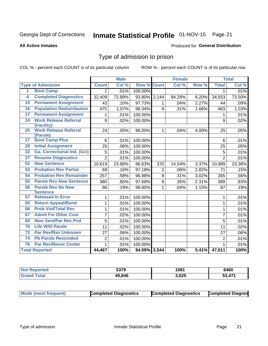# Inmate Statistical Profile 01-NOV-15 Page 21

#### **All Active Inmates**

#### Produced for General Distribution

### Type of admission to prison

COL % - percent each COUNT is of its particular column

|                 |                                          |                | <b>Male</b> |                    |                    | <b>Female</b> |       |                | <b>Total</b> |
|-----------------|------------------------------------------|----------------|-------------|--------------------|--------------------|---------------|-------|----------------|--------------|
|                 | <b>Type of Admission</b>                 | <b>Count</b>   | Col %       | <b>Row % Count</b> |                    | Col %         | Row % | <b>Total</b>   | Col %        |
| 1               | <b>Boot Camp</b>                         | 1.             | .01%        | 100.00%            |                    |               |       | 1              | .01%         |
| 4               | <b>Completed Diagnostics</b>             | 32,409         | 72.88%      | 93.80%             | $\overline{2,}144$ | 84.28%        | 6.20% | 34,553         | 73.50%       |
| 15              | <b>Permanent Assignment</b>              | 43             | .10%        | 97.73%             | 1                  | .04%          | 2.27% | 44             | .09%         |
| 16              | <b>Population Redistribution</b>         | 475            | 1.07%       | 98.34%             | 8                  | .31%          | 1.66% | 483            | 1.03%        |
| $\overline{17}$ | <b>Permanent Assignment</b>              | 1              | .01%        | 100.00%            |                    |               |       | 1              | .01%         |
| $\overline{24}$ | <b>Work Release Referral</b>             | 9              | .02%        | 100.00%            |                    |               |       | 9              | .02%         |
|                 | (Facility)                               |                |             |                    |                    |               |       |                |              |
| 25              | <b>Work Release Referral</b><br>(Parole) | 24             | .05%        | 96.00%             | 1                  | .04%          | 4.00% | 25             | .05%         |
| $\overline{27}$ | <b>Boot Camp Plus</b>                    | 6              | .01%        | 100.00%            |                    |               |       | 6              | .01%         |
| 28              | <b>Initial Assignment</b>                | 25             | .06%        | 100.00%            |                    |               |       | 25             | .05%         |
| 32              | <b>Ga. Correctional Ind. (Gci)</b>       | 5              | .01%        | 100.00%            |                    |               |       | 5              | .01%         |
| $\overline{37}$ | <b>Resume Diagnostics</b>                | $\overline{2}$ | .01%        | 100.00%            |                    |               |       | $\overline{2}$ | .01%         |
| 52              | <b>New Sentence</b>                      | 10,619         | 23.88%      | 96.63%             | 370                | 14.54%        | 3.37% | 10,989         | 23.38%       |
| 53              | <b>Probation Rev Partial</b>             | 69             | .16%        | 97.18%             | $\overline{2}$     | .08%          | 2.82% | 71             | .15%         |
| 54              | <b>Probation Rev Remainder</b>           | 257            | .58%        | 96.98%             | 8                  | .31%          | 3.02% | 265            | .56%         |
| 55              | <b>Parole Rev New Sentence</b>           | 380            | .85%        | 97.69%             | 9                  | .35%          | 2.31% | 389            | .83%         |
| 56              | <b>Parole Rev No New</b>                 | 86             | .19%        | 98.85%             | $\mathbf{1}$       | .04%          | 1.15% | 87             | .19%         |
|                 | <b>Sentence</b>                          |                |             |                    |                    |               |       |                |              |
| 57              | <b>Released In Error</b>                 | 1              | .01%        | 100.00%            |                    |               |       | 1              | .01%         |
| 65              | <b>Return Appeal/Bond</b>                | 1              | .01%        | 100.00%            |                    |               |       | 1              | .01%         |
| 66              | <b>Prob Viol/Total Rev</b>               | 1              | .01%        | 100.00%            |                    |               |       | 1              | .01%         |
| 67              | <b>Admit Fm Other Cust</b>               | $\overline{7}$ | .02%        | 100.00%            |                    |               |       | $\overline{7}$ | .01%         |
| 69              | <b>New Sent/Par Rev Pnd</b>              | $\overline{5}$ | .01%        | 100.00%            |                    |               |       | 5              | .01%         |
| 70              | <b>Life W/O Parole</b>                   | 11             | .02%        | 100.00%            |                    |               |       | 11             | .02%         |
| 72              | <b>Par Rev/Rsn Unknown</b>               | 27             | .06%        | 100.00%            |                    |               |       | 27             | .06%         |
| 74              | <b>Pb Parole Rescinded</b>               | $\overline{2}$ | .01%        | 100.00%            |                    |               |       | $\overline{2}$ | .01%         |
| 76              | <b>Par Rev/Revoc Center</b>              | $\mathbf{1}$   | .01%        | 100.00%            |                    |               |       | 1              | .01%         |
|                 | <b>Total Reported</b>                    | 44,467         | 100%        | 94.59% 2,544       |                    | 100%          | 5.41% | 47,011         | 100%         |

| <b>Not Reported</b> | 5379   | 1081  | 6460                   |
|---------------------|--------|-------|------------------------|
| fota'<br>Grs        | 49,846 | 3,625 | $A \overline{7}$<br>ГЛ |

| <b>Mode (most frequent)</b> | <b>Completed Diagnostics</b><br><b>Completed Diagnostics</b> | <b>Completed Diagnos</b> |
|-----------------------------|--------------------------------------------------------------|--------------------------|
|-----------------------------|--------------------------------------------------------------|--------------------------|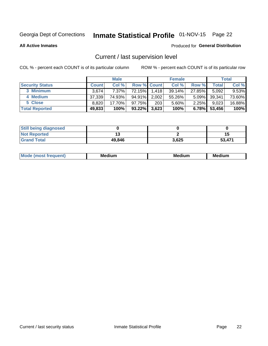# Inmate Statistical Profile 01-NOV-15 Page 22

**All Active Inmates** 

#### Produced for General Distribution

## Current / last supervision level

COL % - percent each COUNT is of its particular column

|                        | <b>Male</b>  |          | <b>Female</b>      |       |           | <b>Total</b> |        |          |
|------------------------|--------------|----------|--------------------|-------|-----------|--------------|--------|----------|
| <b>Security Status</b> | <b>Count</b> | Col %    | <b>Row % Count</b> |       | Col %     | Row %        | Total  | Col %    |
| 3 Minimum              | 3.674        | $7.37\%$ | 72.15%             | 1,418 | $39.14\%$ | 27.85%       | 5,092  | $9.53\%$ |
| 4 Medium               | 37,339       | 74.93%   | 94.91%             | 2,002 | 55.26%    | $5.09\%$     | 39,341 | 73.60%   |
| 5 Close                | 8.820        | 17.70%   | 97.75%             | 203   | 5.60%     | 2.25%        | 9,023  | 16.88%   |
| <b>Total Reported</b>  | 49,833       | 100%     | $93.22\%$          | 3,623 | 100%      | 6.78%        | 53,456 | 100%     |

| <b>Still being diagnosed</b> |        |       |        |
|------------------------------|--------|-------|--------|
| <b>Not Reported</b>          |        |       | 15     |
| <b>Grand Total</b>           | 49,846 | 3,625 | 53,471 |

| M | м | M | - - - -<br>м |
|---|---|---|--------------|
|   |   |   |              |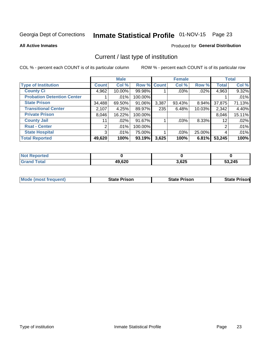# Inmate Statistical Profile 01-NOV-15 Page 23

**All Active Inmates** 

#### Produced for General Distribution

## Current / last type of institution

COL % - percent each COUNT is of its particular column

|                                   |                | <b>Male</b> |             |       | <b>Female</b> |        |              | <b>Total</b> |
|-----------------------------------|----------------|-------------|-------------|-------|---------------|--------|--------------|--------------|
| <b>Type of Institution</b>        | <b>Count</b>   | Col %       | Row % Count |       | Col %         | Row %  | <b>Total</b> | Col %        |
| <b>County Ci</b>                  | 4,962          | 10.00%      | 99.98%      |       | .03%          | .02%   | 4,963        | 9.32%        |
| <b>Probation Detention Center</b> |                | .01%        | 100.00%     |       |               |        |              | .01%         |
| <b>State Prison</b>               | 34,488         | 69.50%      | 91.06%      | 3,387 | 93.43%        | 8.94%  | 37,875       | 71.13%       |
| <b>Transitional Center</b>        | 2,107          | 4.25%       | 89.97%      | 235   | 6.48%         | 10.03% | 2,342        | 4.40%        |
| <b>Private Prison</b>             | 8,046          | 16.22%      | 100.00%     |       |               |        | 8,046        | 15.11%       |
| <b>County Jail</b>                | 11             | .02%        | 91.67%      |       | .03%          | 8.33%  | 12           | .02%         |
| <b>Rsat - Center</b>              | 2 <sub>1</sub> | .01%        | 100.00%     |       |               |        | 2            | .01%         |
| <b>State Hospital</b>             | 3 <sup>1</sup> | $.01\%$     | 75.00%      |       | .03%          | 25.00% | 4            | .01%         |
| <b>Total Reported</b>             | 49,620         | 100%        | 93.19%      | 3,625 | 100%          | 6.81%  | 53,245       | 100%         |

| <b>Not Reported</b> |        |       |        |
|---------------------|--------|-------|--------|
| <b>Grand Total</b>  | 49,620 | 3,625 | 53,245 |

| Mode (most frequent) | <b>State Prison</b> | <b>State Prison</b> | <b>State Prisonl</b> |
|----------------------|---------------------|---------------------|----------------------|
|                      |                     |                     |                      |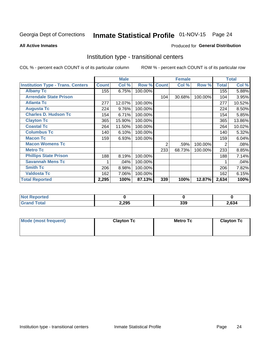# Inmate Statistical Profile 01-NOV-15 Page 24

#### **All Active Inmates**

#### Produced for General Distribution

### Institution type - transitional centers

COL % - percent each COUNT is of its particular column

|                                          |              | <b>Male</b> |         |              | <b>Female</b> |         |              | <b>Total</b> |
|------------------------------------------|--------------|-------------|---------|--------------|---------------|---------|--------------|--------------|
| <b>Institution Type - Trans. Centers</b> | <b>Count</b> | Col %       | Row %   | <b>Count</b> | Col %         | Row %   | <b>Total</b> | Col %        |
| <b>Albany Tc</b>                         | 155          | 6.75%       | 100.00% |              |               |         | 155          | 5.88%        |
| <b>Arrendale State Prison</b>            |              |             |         | 104          | 30.68%        | 100.00% | 104          | 3.95%        |
| <b>Atlanta Tc</b>                        | 277          | 12.07%      | 100.00% |              |               |         | 277          | 10.52%       |
| <b>Augusta Tc</b>                        | 224          | 9.76%       | 100.00% |              |               |         | 224          | 8.50%        |
| <b>Charles D. Hudson Tc</b>              | 154          | 6.71%       | 100.00% |              |               |         | 154          | 5.85%        |
| <b>Clayton Tc</b>                        | 365          | 15.90%      | 100.00% |              |               |         | 365          | 13.86%       |
| <b>Coastal Tc</b>                        | 264          | 11.50%      | 100.00% |              |               |         | 264          | 10.02%       |
| <b>Columbus Tc</b>                       | 140          | 6.10%       | 100.00% |              |               |         | 140          | 5.32%        |
| <b>Macon Tc</b>                          | 159          | 6.93%       | 100.00% |              |               |         | 159          | 6.04%        |
| <b>Macon Womens Tc</b>                   |              |             |         | 2            | .59%          | 100.00% | 2            | .08%         |
| <b>Metro Tc</b>                          |              |             |         | 233          | 68.73%        | 100.00% | 233          | 8.85%        |
| <b>Phillips State Prison</b>             | 188          | 8.19%       | 100.00% |              |               |         | 188          | 7.14%        |
| <b>Savannah Mens Tc</b>                  |              | .04%        | 100.00% |              |               |         |              | .04%         |
| <b>Smith Tc</b>                          | 206          | 8.98%       | 100.00% |              |               |         | 206          | 7.82%        |
| <b>Valdosta Tc</b>                       | 162          | 7.06%       | 100.00% |              |               |         | 162          | 6.15%        |
| <b>Total Reported</b>                    | 2,295        | 100%        | 87.13%  | 339          | 100%          | 12.87%  | 2,634        | 100%         |

| тес. |       |            |       |
|------|-------|------------|-------|
|      | 2,295 | າາດ<br>ააა | 2,634 |

| Mode (most frequent) | <b>Clayton Tc</b> | Metro Tc | <b>Clayton Tc</b> |
|----------------------|-------------------|----------|-------------------|
|                      |                   |          |                   |
|                      |                   |          |                   |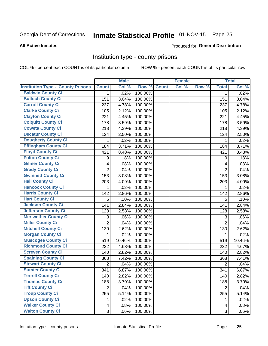# Inmate Statistical Profile 01-NOV-15 Page 25

#### **All Active Inmates**

#### Produced for General Distribution

### Institution type - county prisons

COL % - percent each COUNT is of its particular column

|                                          |                | <b>Male</b> |         |              | <b>Female</b> |       |                | <b>Total</b> |
|------------------------------------------|----------------|-------------|---------|--------------|---------------|-------|----------------|--------------|
| <b>Institution Type - County Prisons</b> | <b>Count</b>   | Col %       | Row %   | <b>Count</b> | Col %         | Row % | <b>Total</b>   | Col %        |
| <b>Baldwin County Ci</b>                 | $\mathbf{1}$   | .02%        | 100.00% |              |               |       | $\mathbf 1$    | .02%         |
| <b>Bulloch County Ci</b>                 | 151            | 3.04%       | 100.00% |              |               |       | 151            | 3.04%        |
| <b>Carroll County Ci</b>                 | 237            | 4.78%       | 100.00% |              |               |       | 237            | 4.78%        |
| <b>Clarke County Ci</b>                  | 105            | 2.12%       | 100.00% |              |               |       | 105            | 2.12%        |
| <b>Clayton County Ci</b>                 | 221            | 4.45%       | 100.00% |              |               |       | 221            | 4.45%        |
| <b>Colquitt County Ci</b>                | 178            | 3.59%       | 100.00% |              |               |       | 178            | 3.59%        |
| <b>Coweta County Ci</b>                  | 218            | 4.39%       | 100.00% |              |               |       | 218            | 4.39%        |
| <b>Decatur County Ci</b>                 | 124            | 2.50%       | 100.00% |              |               |       | 124            | 2.50%        |
| <b>Dougherty County Ci</b>               | 1              | .02%        | 100.00% |              |               |       | $\mathbf{1}$   | .02%         |
| <b>Effingham County Ci</b>               | 184            | 3.71%       | 100.00% |              |               |       | 184            | 3.71%        |
| <b>Floyd County Ci</b>                   | 421            | 8.48%       | 100.00% |              |               |       | 421            | 8.48%        |
| <b>Fulton County Ci</b>                  | 9              | .18%        | 100.00% |              |               |       | 9              | .18%         |
| <b>Gilmer County Ci</b>                  | 4              | .08%        | 100.00% |              |               |       | $\overline{4}$ | .08%         |
| <b>Grady County Ci</b>                   | $\overline{2}$ | .04%        | 100.00% |              |               |       | $\overline{2}$ | .04%         |
| <b>Gwinnett County Ci</b>                | 153            | 3.08%       | 100.00% |              |               |       | 153            | 3.08%        |
| <b>Hall County Ci</b>                    | 203            | 4.09%       | 100.00% |              |               |       | 203            | 4.09%        |
| <b>Hancock County Ci</b>                 | 1              | .02%        | 100.00% |              |               |       | 1              | .02%         |
| <b>Harris County Ci</b>                  | 142            | 2.86%       | 100.00% |              |               |       | 142            | 2.86%        |
| <b>Hart County Ci</b>                    | 5              | .10%        | 100.00% |              |               |       | 5              | .10%         |
| <b>Jackson County Ci</b>                 | 141            | 2.84%       | 100.00% |              |               |       | 141            | 2.84%        |
| Jefferson County Ci                      | 128            | 2.58%       | 100.00% |              |               |       | 128            | 2.58%        |
| <b>Meriwether County Ci</b>              | 3              | .06%        | 100.00% |              |               |       | 3              | .06%         |
| <b>Miller County Ci</b>                  | $\overline{2}$ | .04%        | 100.00% |              |               |       | $\overline{2}$ | .04%         |
| <b>Mitchell County Ci</b>                | 130            | 2.62%       | 100.00% |              |               |       | 130            | 2.62%        |
| <b>Morgan County Ci</b>                  | 1              | .02%        | 100.00% |              |               |       | 1              | .02%         |
| <b>Muscogee County Ci</b>                | 519            | 10.46%      | 100.00% |              |               |       | 519            | 10.46%       |
| <b>Richmond County Ci</b>                | 232            | 4.68%       | 100.00% |              |               |       | 232            | 4.67%        |
| <b>Screven County Ci</b>                 | 140            | 2.82%       | 100.00% |              |               |       | 140            | 2.82%        |
| <b>Spalding County Ci</b>                | 368            | 7.42%       | 100.00% |              |               |       | 368            | 7.41%        |
| <b>Stewart County Ci</b>                 | 2              | .04%        | 100.00% |              |               |       | $\overline{2}$ | .04%         |
| <b>Sumter County Ci</b>                  | 341            | 6.87%       | 100.00% |              |               |       | 341            | 6.87%        |
| <b>Terrell County Ci</b>                 | 140            | 2.82%       | 100.00% |              |               |       | 140            | 2.82%        |
| <b>Thomas County Ci</b>                  | 188            | 3.79%       | 100.00% |              |               |       | 188            | 3.79%        |
| <b>Tift County Ci</b>                    | $\overline{2}$ | .04%        | 100.00% |              |               |       | $\overline{2}$ | .04%         |
| <b>Troup County Ci</b>                   | 255            | 5.14%       | 100.00% |              |               |       | 255            | 5.14%        |
| <b>Upson County Ci</b>                   | 1.             | .02%        | 100.00% |              |               |       | 1              | .02%         |
| <b>Walker County Ci</b>                  | $\overline{4}$ | .08%        | 100.00% |              |               |       | 4              | .08%         |
| <b>Walton County Ci</b>                  | 3              | .06%        | 100.00% |              |               |       | 3              | .06%         |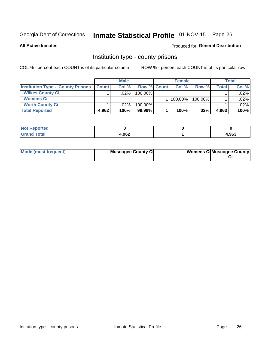# Inmate Statistical Profile 01-NOV-15 Page 26

**All Active Inmates** 

#### Produced for General Distribution

### Institution type - county prisons

COL % - percent each COUNT is of its particular column

|                                          | <b>Male</b>  |         |                    | <b>Female</b> |         |         | <b>Total</b> |         |
|------------------------------------------|--------------|---------|--------------------|---------------|---------|---------|--------------|---------|
| <b>Institution Type - County Prisons</b> | <b>Count</b> | Col%    | <b>Row % Count</b> |               | Col%    | Row %   | Total        | Col %   |
| <b>Wilkes County Ci</b>                  |              | .02%    | 100.00%            |               |         |         |              | $.02\%$ |
| <b>Womens Ci</b>                         |              |         |                    |               | 100.00% | 100.00% |              | .02%    |
| <b>Worth County Ci</b>                   |              | $.02\%$ | 100.00%            |               |         |         |              | $.02\%$ |
| <b>Total Reported</b>                    | 4,962        | 100%    | $99.98\%$          |               | 100%    | $.02\%$ | 4,963        | 100%    |

| <b>NA</b><br>τeα |       |       |
|------------------|-------|-------|
| _____            | 4,962 | 1,963 |

| Mode (most frequent) | <b>Muscogee County Ci</b> | <b>Womens Ci</b> Muscogee County |
|----------------------|---------------------------|----------------------------------|
|----------------------|---------------------------|----------------------------------|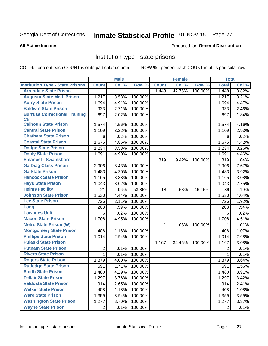# Inmate Statistical Profile 01-NOV-15 Page 27

#### **All Active Inmates**

#### Produced for General Distribution

### Institution type - state prisons

COL % - percent each COUNT is of its particular column

|                                         |                | <b>Male</b> |         |              | <b>Female</b> |         | <b>Total</b> |       |
|-----------------------------------------|----------------|-------------|---------|--------------|---------------|---------|--------------|-------|
| <b>Institution Type - State Prisons</b> | <b>Count</b>   | Col %       | Row %   | <b>Count</b> | Col %         | Row %   | <b>Total</b> | Col % |
| <b>Arrendale State Prison</b>           |                |             |         | 1,448        | 42.75%        | 100.00% | 1,448        | 3.82% |
| <b>Augusta State Med. Prison</b>        | 1,217          | 3.53%       | 100.00% |              |               |         | 1,217        | 3.21% |
| <b>Autry State Prison</b>               | 1,694          | 4.91%       | 100.00% |              |               |         | 1,694        | 4.47% |
| <b>Baldwin State Prison</b>             | 933            | 2.71%       | 100.00% |              |               |         | 933          | 2.46% |
| <b>Burruss Correctional Training</b>    | 697            | 2.02%       | 100.00% |              |               |         | 697          | 1.84% |
| <b>Ctr</b>                              |                |             |         |              |               |         |              |       |
| <b>Calhoun State Prison</b>             | 1,574          | 4.56%       | 100.00% |              |               |         | 1,574        | 4.16% |
| <b>Central State Prison</b>             | 1,109          | 3.22%       | 100.00% |              |               |         | 1,109        | 2.93% |
| <b>Chatham State Prison</b>             | 6              | .02%        | 100.00% |              |               |         | 6            | .02%  |
| <b>Coastal State Prison</b>             | 1,675          | 4.86%       | 100.00% |              |               |         | 1,675        | 4.42% |
| <b>Dodge State Prison</b>               | 1,234          | 3.58%       | 100.00% |              |               |         | 1,234        | 3.26% |
| <b>Dooly State Prison</b>               | 1,691          | 4.90%       | 100.00% |              |               |         | 1,691        | 4.46% |
| <b>Emanuel - Swainsboro</b>             |                |             |         | 319          | 9.42%         | 100.00% | 319          | .84%  |
| <b>Ga Diag Class Prison</b>             | 2,906          | 8.43%       | 100.00% |              |               |         | 2,906        | 7.67% |
| <b>Ga State Prison</b>                  | 1,483          | 4.30%       | 100.00% |              |               |         | 1,483        | 3.92% |
| <b>Hancock State Prison</b>             | 1,165          | 3.38%       | 100.00% |              |               |         | 1,165        | 3.08% |
| <b>Hays State Prison</b>                | 1,043          | 3.02%       | 100.00% |              |               |         | 1,043        | 2.75% |
| <b>Helms Facility</b>                   | 21             | .06%        | 53.85%  | 18           | .53%          | 46.15%  | 39           | .10%  |
| <b>Johnson State Prison</b>             | 1,530          | 4.44%       | 100.00% |              |               |         | 1,530        | 4.04% |
| <b>Lee State Prison</b>                 | 726            | 2.11%       | 100.00% |              |               |         | 726          | 1.92% |
| Long                                    | 203            | .59%        | 100.00% |              |               |         | 203          | .54%  |
| <b>Lowndes Unit</b>                     | 6              | .02%        | 100.00% |              |               |         | 6            | .02%  |
| <b>Macon State Prison</b>               | 1,708          | 4.95%       | 100.00% |              |               |         | 1,708        | 4.51% |
| <b>Metro State Prison (W)</b>           |                |             |         | $\mathbf 1$  | .03%          | 100.00% | 1            | .01%  |
| <b>Montgomery State Prison</b>          | 406            | 1.18%       | 100.00% |              |               |         | 406          | 1.07% |
| <b>Phillips State Prison</b>            | 1,014          | 2.94%       | 100.00% |              |               |         | 1,014        | 2.68% |
| <b>Pulaski State Prison</b>             |                |             |         | 1,167        | 34.46%        | 100.00% | 1,167        | 3.08% |
| <b>Putnam State Prison</b>              | 2              | .01%        | 100.00% |              |               |         | 2            | .01%  |
| <b>Rivers State Prison</b>              | $\mathbf{1}$   | .01%        | 100.00% |              |               |         | 1            | .01%  |
| <b>Rogers State Prison</b>              | 1,379          | 4.00%       | 100.00% |              |               |         | 1,379        | 3.64% |
| <b>Rutledge State Prison</b>            | 591            | 1.71%       | 100.00% |              |               |         | 591          | 1.56% |
| <b>Smith State Prison</b>               | 1,480          | 4.29%       | 100.00% |              |               |         | 1,480        | 3.91% |
| <b>Telfair State Prison</b>             | 1,297          | 3.76%       | 100.00% |              |               |         | 1,297        | 3.42% |
| <b>Valdosta State Prison</b>            | 914            | 2.65%       | 100.00% |              |               |         | 914          | 2.41% |
| <b>Walker State Prison</b>              | 408            | 1.18%       | 100.00% |              |               |         | 408          | 1.08% |
| <b>Ware State Prison</b>                | 1,359          | 3.94%       | 100.00% |              |               |         | 1,359        | 3.59% |
| <b>Washington State Prison</b>          | 1,277          | 3.70%       | 100.00% |              |               |         | 1,277        | 3.37% |
| <b>Wayne State Prison</b>               | $\overline{2}$ | .01%        | 100.00% |              |               |         | 2            | .01%  |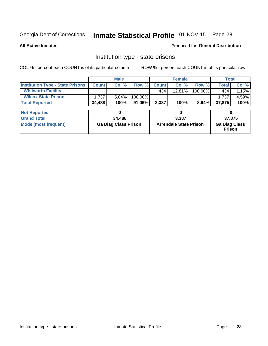# Inmate Statistical Profile 01-NOV-15 Page 28

**All Active Inmates** 

#### Produced for General Distribution

### Institution type - state prisons

COL % - percent each COUNT is of its particular column

|                                         |                             | <b>Male</b> |                               |              | <b>Female</b> |                                |              | <b>Total</b> |  |
|-----------------------------------------|-----------------------------|-------------|-------------------------------|--------------|---------------|--------------------------------|--------------|--------------|--|
| <b>Institution Type - State Prisons</b> | <b>Count</b>                | Col %       | Row %                         | <b>Count</b> | Col %         | Row %                          | <b>Total</b> | Col %        |  |
| <b>Whitworth Facility</b>               |                             |             |                               | 434          | 12.81%        | 100.00%                        | 434          | 1.15%        |  |
| <b>Wilcox State Prison</b>              | 1,737                       | 5.04%       | 100.00%                       |              |               |                                | 1,737        | 4.59%        |  |
| <b>Total Reported</b>                   | 34,488                      | 100%        | 91.06%                        | 3,387        | 100%          | $8.94\%$                       | 37,875       | 100%         |  |
| <b>Not Reported</b>                     |                             | 0           |                               |              | 0             |                                |              | 0            |  |
| <b>Grand Total</b>                      |                             | 34,488      |                               | 3,387        |               |                                | 37,875       |              |  |
| <b>Mode (most frequent)</b>             | <b>Ga Diag Class Prison</b> |             | <b>Arrendale State Prison</b> |              |               | <b>Ga Diag Class</b><br>Prison |              |              |  |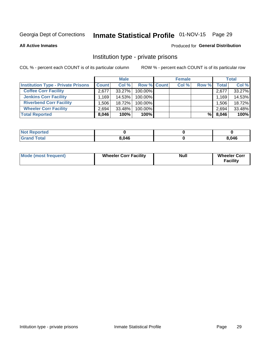# Inmate Statistical Profile 01-NOV-15 Page 29

**All Active Inmates** 

#### Produced for General Distribution

### Institution type - private prisons

COL % - percent each COUNT is of its particular column

|                                           | <b>Male</b>  |        |                    | <b>Female</b> |       |       | <b>Total</b> |        |
|-------------------------------------------|--------------|--------|--------------------|---------------|-------|-------|--------------|--------|
| <b>Institution Type - Private Prisons</b> | <b>Count</b> | Col %  | <b>Row % Count</b> |               | Col % | Row % | Total        | Col %  |
| <b>Coffee Corr Facility</b>               | 2.677        | 33.27% | 100.00%            |               |       |       | 2,677        | 33.27% |
| <b>Jenkins Corr Facility</b>              | .169         | 14.53% | $100.00\%$         |               |       |       | 1,169        | 14.53% |
| <b>Riverbend Corr Facility</b>            | .506         | 18.72% | 100.00%            |               |       |       | 1,506        | 18.72% |
| <b>Wheeler Corr Facility</b>              | 2.694        | 33.48% | 100.00%            |               |       |       | 2,694        | 33.48% |
| <b>Total Reported</b>                     | 8,046        | 100%   | 100%               |               |       | %Ⅰ    | 8,046        | 100%   |

| <b>Not Reported</b> |       |       |
|---------------------|-------|-------|
| <b>Total</b>        | 8.046 | 8,046 |

| <b>Mode (most frequent)</b> | <b>Wheeler Corr Facility</b> | <b>Null</b> | <b>Wheeler Corr</b><br><b>Facility</b> |
|-----------------------------|------------------------------|-------------|----------------------------------------|
|-----------------------------|------------------------------|-------------|----------------------------------------|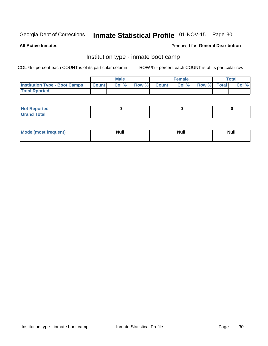# Inmate Statistical Profile 01-NOV-15 Page 30

**All Active Inmates** 

#### Produced for General Distribution

### Institution type - inmate boot camp

COL % - percent each COUNT is of its particular column

|                                      |              | <b>Male</b> |             | <b>Female</b> |             | Total |
|--------------------------------------|--------------|-------------|-------------|---------------|-------------|-------|
| <b>Institution Type - Boot Camps</b> | <b>Count</b> | Col %       | Row % Count | Col%          | Row % Total | Col % |
| <b>Total Rported</b>                 |              |             |             |               |             |       |

| <b>Not Reported</b> |  |  |
|---------------------|--|--|
| <b>Total</b><br>Cro |  |  |

| Mod<br>uamo | Nul.<br>$- - - - - -$ | <b>Null</b> | . .<br>uu.<br>------ |
|-------------|-----------------------|-------------|----------------------|
|             |                       |             |                      |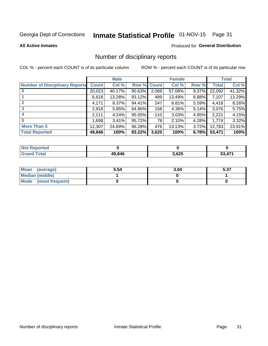# Inmate Statistical Profile 01-NOV-15 Page 31

**All Active Inmates** 

#### Produced for General Distribution

### Number of disciplinary reports

COL % - percent each COUNT is of its particular column

|                                       |              | <b>Male</b> |             |       | <b>Female</b> |          |        | <b>Total</b> |
|---------------------------------------|--------------|-------------|-------------|-------|---------------|----------|--------|--------------|
| <b>Number of Disciplinary Reports</b> | <b>Count</b> | Col %       | Row % Count |       | Col %         | Row %    | Total  | Col %        |
| $\bf{0}$                              | 20,023       | 40.17%      | 90.63%      | 2,069 | 57.08%        | 9.37%    | 22,092 | 41.32%       |
|                                       | 6,618        | 13.28%      | 93.12%      | 489   | 13.49%        | 6.88%    | 7,107  | 13.29%       |
| $\mathbf{2}$                          | 4,171        | 8.37%       | 94.41%      | 247   | 6.81%         | $5.59\%$ | 4,418  | 8.26%        |
| 3                                     | 2,918        | 5.85%       | 94.86%      | 158   | 4.36%         | 5.14%    | 3,076  | 5.75%        |
|                                       | 2,111        | 4.24%       | 95.05%      | 110   | 3.03%         | 4.95%    | 2,221  | 4.15%        |
| 5                                     | ا 698. ا     | 3.41%       | 95.72%      | 76    | 2.10%         | 4.28%    | 1,774  | 3.32%        |
| <b>More Than 5</b>                    | 12,307       | 24.69%      | 96.28%      | 476   | 13.13%        | 3.72%    | 12,783 | 23.91%       |
| <b>Total Reported</b>                 | 49,846       | 100%        | 93.22%      | 3,625 | 100%          | 6.78%    | 53,471 | 100%         |

| <b>Reported</b><br>Not F |        |       |        |
|--------------------------|--------|-------|--------|
| <b>Total</b>             | 49.846 | 3,625 | 53 171 |

| Mean (average)         | 5.54 | 3.04 | E クフ<br>ว.ง เ |
|------------------------|------|------|---------------|
| <b>Median (middle)</b> |      |      |               |
| Mode (most frequent)   |      |      |               |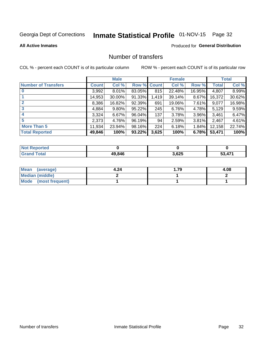# Inmate Statistical Profile 01-NOV-15 Page 32

#### **All Active Inmates**

#### Produced for General Distribution

### Number of transfers

COL % - percent each COUNT is of its particular column

|                            |         | <b>Male</b> |             |       | <b>Female</b> |          |              | <b>Total</b> |
|----------------------------|---------|-------------|-------------|-------|---------------|----------|--------------|--------------|
| <b>Number of Transfers</b> | Count l | Col %       | Row % Count |       | Col %         | Row %    | <b>Total</b> | Col %        |
|                            | 3,992   | 8.01%       | 83.05%      | 815   | 22.48%        | 16.95%   | 4,807        | 8.99%        |
|                            | 14,953  | 30.00%      | 91.33%      | 1,419 | 39.14%        | 8.67%    | 16,372       | 30.62%       |
| $\mathbf{2}$               | 8,386   | 16.82%      | 92.39%      | 691   | 19.06%        | 7.61%    | 9,077        | 16.98%       |
| 3                          | 4,884   | $9.80\%$    | 95.22%      | 245   | 6.76%         | 4.78%    | 5,129        | 9.59%        |
|                            | 3,324   | 6.67%       | 96.04%      | 137   | 3.78%         | $3.96\%$ | 3,461        | 6.47%        |
| 5                          | 2,373   | 4.76%       | 96.19%      | 94    | 2.59%         | $3.81\%$ | 2,467        | 4.61%        |
| <b>More Than 5</b>         | 11,934  | 23.94%      | 98.16%      | 224   | 6.18%         | 1.84%    | 12,158       | 22.74%       |
| <b>Total Reported</b>      | 49,846  | 100%        | 93.22%      | 3,625 | 100%          | 6.78%    | 53,471       | 100%         |

| <b>Not Reported</b> |        |       |                  |
|---------------------|--------|-------|------------------|
| <b>Total</b>        | 49,846 | 3,625 | .47 <sup>4</sup> |

| Mean (average)       | 4.24 | . .79 | 4.08 |
|----------------------|------|-------|------|
| Median (middle)      |      |       |      |
| Mode (most frequent) |      |       |      |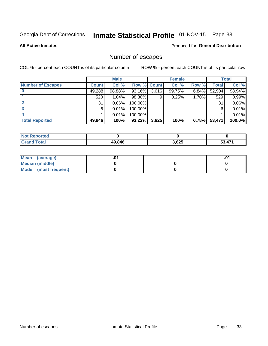# Inmate Statistical Profile 01-NOV-15 Page 33

**All Active Inmates** 

#### Produced for General Distribution

## Number of escapes

COL % - percent each COUNT is of its particular column

|                          | <b>Male</b>  |        | <b>Female</b> |       |        | <b>Total</b> |        |        |
|--------------------------|--------------|--------|---------------|-------|--------|--------------|--------|--------|
| <b>Number of Escapes</b> | <b>Count</b> | Col %  | Row % Count   |       | Col %  | Row %        | Total  | Col %  |
|                          | 49,288       | 98.88% | 93.16%        | 3,616 | 99.75% | 6.84%        | 52,904 | 98.94% |
|                          | 520          | 1.04%  | 98.30%        | 9     | 0.25%  | 1.70%        | 529    | 0.99%  |
|                          | 31           | 0.06%  | 100.00%       |       |        |              | 31     | 0.06%  |
|                          | 6            | 0.01%  | 100.00%       |       |        |              | 6      | 0.01%  |
|                          |              | 0.01%  | 100.00%       |       |        |              |        | 0.01%  |
| <b>Total Reported</b>    | 49,846       | 100%   | $93.22\%$     | 3,625 | 100%   | 6.78%        | 53,471 | 100.0% |

| <b>Not Reported</b> |        |       |            |
|---------------------|--------|-------|------------|
| <b>Grand Total</b>  | 49.846 | 3,625 | <b>471</b> |

| Mean (average)         |  | .0 |
|------------------------|--|----|
| <b>Median (middle)</b> |  |    |
| Mode (most frequent)   |  |    |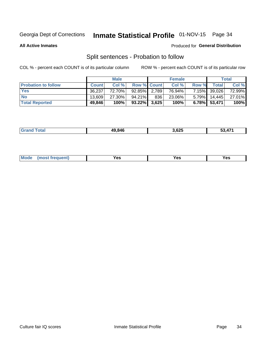# Inmate Statistical Profile 01-NOV-15 Page 34

**All Active Inmates** 

#### Produced for General Distribution

## Split sentences - Probation to follow

COL % - percent each COUNT is of its particular column

|                            | <b>Male</b>  |        |                 | <b>Female</b> |        |       | <b>Total</b>    |        |
|----------------------------|--------------|--------|-----------------|---------------|--------|-------|-----------------|--------|
| <b>Probation to follow</b> | <b>Count</b> | Col%   | Row % Count     |               | Col %  | Row % | <b>Total</b>    | Col %  |
| <b>Yes</b>                 | 36.237       | 72.70% | 92.85% 2.789    |               | 76.94% |       | 7.15% 39,026    | 72.99% |
| <b>No</b>                  | 13,609       | 27.30% | $94.21\%$       | 836           | 23.06% |       | $5.79\%$ 14,445 | 27.01% |
| <b>Total Reported</b>      | 49,846       | 100%   | $93.22\%$ 3,625 |               | 100%   |       | 6.78% 53,471    | 100%   |

| 49846 | 3.625<br>__ | $\rightarrow$<br>$\mathbf{L}$ |
|-------|-------------|-------------------------------|
|       |             |                               |

| $Moo$<br>requent<br>′es<br>Yes<br><b>YAC</b><br>. |
|---------------------------------------------------|
|---------------------------------------------------|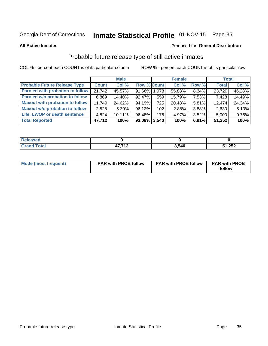# Inmate Statistical Profile 01-NOV-15 Page 35

**All Active Inmates** 

#### Produced for General Distribution

## Probable future release type of still active inmates

COL % - percent each COUNT is of its particular column

|                                         |              | <b>Male</b> |                    |     | <b>Female</b> |          | <b>Total</b> |        |
|-----------------------------------------|--------------|-------------|--------------------|-----|---------------|----------|--------------|--------|
| <b>Probable Future Release Type</b>     | <b>Count</b> | Col %       | <b>Row % Count</b> |     | Col %         | Row %    | <b>Total</b> | Col %  |
| <b>Paroled with probation to follow</b> | 21,742       | 45.57%      | 91.66% 1,978       |     | 55.88%        | 8.34%    | 23,720       | 46.28% |
| Paroled w/o probation to follow         | 6,869        | 14.40%      | 92.47%             | 559 | 15.79%        | 7.53%    | 7,428        | 14.49% |
| <b>Maxout with probation to follow</b>  | 11,749       | 24.62%      | 94.19%             | 725 | 20.48%        | $5.81\%$ | 12,474       | 24.34% |
| <b>Maxout w/o probation to follow</b>   | 2,528        | $5.30\%$    | 96.12%             | 102 | 2.88%         | 3.88%    | 2,630        | 5.13%  |
| Life, LWOP or death sentence            | 4.824        | $10.11\%$   | 96.48%             | 176 | 4.97%         | 3.52%    | 5,000        | 9.76%  |
| <b>Total Reported</b>                   | 47,712       | 100%        | $93.09\%$ 3,540    |     | 100%          | 6.91%    | 51,252       | 100%   |

| <i>i</i> otal<br>_____ | 17.710<br>. | 3.540 | 51,252 |
|------------------------|-------------|-------|--------|

| <b>Mode (most frequent)</b> | <b>PAR with PROB follow</b> | <b>PAR with PROB follow</b> | <b>PAR with PROB</b> |
|-----------------------------|-----------------------------|-----------------------------|----------------------|
|                             |                             |                             | follow               |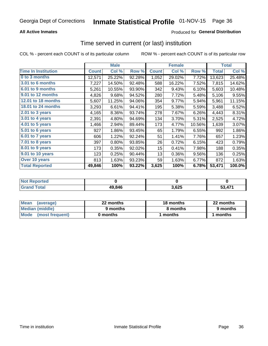#### **All Active Inmates**

### **Produced for General Distribution**

### Time served in current (or last) institution

COL % - percent each COUNT is of its particular column

|                            |              | <b>Male</b> |        |              | <b>Female</b> |        |              | <b>Total</b> |
|----------------------------|--------------|-------------|--------|--------------|---------------|--------|--------------|--------------|
| <b>Time In Institution</b> | <b>Count</b> | Col %       | Row %  | <b>Count</b> | Col %         | Row %  | <b>Total</b> | Col %        |
| 0 to 3 months              | 12,571       | 25.22%      | 92.28% | 1,052        | 29.02%        | 7.72%  | 13,623       | 25.48%       |
| <b>3.01 to 6 months</b>    | 7,227        | 14.50%      | 92.48% | 588          | 16.22%        | 7.52%  | 7,815        | 14.62%       |
| 6.01 to 9 months           | 5,261        | 10.55%      | 93.90% | 342          | 9.43%         | 6.10%  | 5,603        | 10.48%       |
| 9.01 to 12 months          | 4,826        | 9.68%       | 94.52% | 280          | 7.72%         | 5.48%  | 5,106        | 9.55%        |
| 12.01 to 18 months         | 5,607        | 11.25%      | 94.06% | 354          | 9.77%         | 5.94%  | 5,961        | 11.15%       |
| <b>18.01 to 24 months</b>  | 3,293        | 6.61%       | 94.41% | 195          | 5.38%         | 5.59%  | 3,488        | 6.52%        |
| 2.01 to 3 years            | 4,165        | 8.36%       | 93.74% | 278          | 7.67%         | 6.26%  | 4,443        | 8.31%        |
| $3.01$ to 4 years          | 2,391        | 4.80%       | 94.69% | 134          | 3.70%         | 5.31%  | 2,525        | 4.72%        |
| 4.01 to 5 years            | 1,466        | 2.94%       | 89.44% | 173          | 4.77%         | 10.56% | 1,639        | 3.07%        |
| $5.01$ to 6 years          | 927          | 1.86%       | 93.45% | 65           | 1.79%         | 6.55%  | 992          | 1.86%        |
| 6.01 to 7 years            | 606          | 1.22%       | 92.24% | 51           | 1.41%         | 7.76%  | 657          | 1.23%        |
| 7.01 to 8 years            | 397          | 0.80%       | 93.85% | 26           | 0.72%         | 6.15%  | 423          | 0.79%        |
| 8.01 to 9 years            | 173          | 0.35%       | 92.02% | 15           | 0.41%         | 7.98%  | 188          | 0.35%        |
| 9.01 to 10 years           | 123          | 0.25%       | 90.44% | 13           | 0.36%         | 9.56%  | 136          | 0.25%        |
| Over 10 years              | 813          | 1.63%       | 93.23% | 59           | 1.63%         | 6.77%  | 872          | 1.63%        |
| <b>Total Reported</b>      | 49,846       | 100%        | 93.22% | 3,625        | 100%          | 6.78%  | 53,471       | 100.0%       |

| <b>Not</b><br>Reported |        |       |           |
|------------------------|--------|-------|-----------|
| .'otal                 | 49,846 | 3,625 | A74<br>-^ |

| <b>Mean</b><br>(average) | 22 months | 18 months | 22 months |  |
|--------------------------|-----------|-----------|-----------|--|
| Median (middle)          | 9 months  | 8 months  | 9 months  |  |
| Mode<br>(most frequent)  | 0 months  | months    | ∖ months  |  |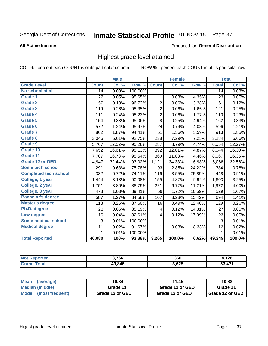# Inmate Statistical Profile 01-NOV-15 Page 37

### **All Active Inmates**

### Produced for General Distribution

# Highest grade level attained

COL % - percent each COUNT is of its particular column

|                              |                 | <b>Male</b> |         |                | <b>Female</b> |        |                 | <b>Total</b> |
|------------------------------|-----------------|-------------|---------|----------------|---------------|--------|-----------------|--------------|
| <b>Grade Level</b>           | <b>Count</b>    | Col %       | Row %   | <b>Count</b>   | Col %         | Row %  | <b>Total</b>    | Col %        |
| No school at all             | $\overline{14}$ | 0.03%       | 100.00% |                |               |        | $\overline{14}$ | 0.03%        |
| Grade 1                      | 22              | 0.05%       | 95.65%  | 1              | 0.03%         | 4.35%  | 23              | 0.05%        |
| <b>Grade 2</b>               | 59              | 0.13%       | 96.72%  | $\overline{c}$ | 0.06%         | 3.28%  | 61              | 0.12%        |
| <b>Grade 3</b>               | 119             | 0.26%       | 98.35%  | $\overline{c}$ | 0.06%         | 1.65%  | 121             | 0.25%        |
| <b>Grade 4</b>               | 111             | 0.24%       | 98.23%  | $\overline{2}$ | 0.06%         | 1.77%  | 113             | 0.23%        |
| Grade 5                      | 154             | 0.33%       | 95.06%  | $\overline{8}$ | 0.25%         | 4.94%  | 162             | 0.33%        |
| Grade 6                      | 572             | 1.24%       | 95.97%  | 24             | 0.74%         | 4.03%  | 596             | 1.21%        |
| <b>Grade 7</b>               | 862             | 1.87%       | 94.41%  | 51             | 1.56%         | 5.59%  | 913             | 1.85%        |
| Grade 8                      | 3,046           | 6.61%       | 92.75%  | 238            | 7.29%         | 7.25%  | 3,284           | 6.66%        |
| Grade 9                      | 5,767           | 12.52%      | 95.26%  | 287            | 8.79%         | 4.74%  | 6,054           | 12.27%       |
| Grade 10                     | 7,652           | 16.61%      | 95.13%  | 392            | 12.01%        | 4.87%  | 8,044           | 16.30%       |
| Grade 11                     | 7,707           | 16.73%      | 95.54%  | 360            | 11.03%        | 4.46%  | 8,067           | 16.35%       |
| <b>Grade 12 or GED</b>       | 14,947          | 32.44%      | 93.02%  | 1,121          | 34.33%        | 6.98%  | 16,068          | 32.56%       |
| <b>Some tech school</b>      | 291             | 0.63%       | 75.78%  | 93             | 2.85%         | 24.22% | 384             | 0.78%        |
| <b>Completed tech school</b> | 332             | 0.72%       | 74.11%  | 116            | 3.55%         | 25.89% | 448             | 0.91%        |
| College, 1 year              | 1,444           | 3.13%       | 90.08%  | 159            | 4.87%         | 9.92%  | 1,603           | 3.25%        |
| College, 2 year              | 1,751           | 3.80%       | 88.79%  | 221            | 6.77%         | 11.21% | 1,972           | 4.00%        |
| College, 3 year              | 473             | 1.03%       | 89.41%  | 56             | 1.72%         | 10.59% | 529             | 1.07%        |
| <b>Bachelor's degree</b>     | 587             | 1.27%       | 84.58%  | 107            | 3.28%         | 15.42% | 694             | 1.41%        |
| <b>Master's degree</b>       | 113             | 0.25%       | 87.60%  | 16             | 0.49%         | 12.40% | 129             | 0.26%        |
| Ph.D. degree                 | 23              | 0.05%       | 85.19%  | 4              | 0.12%         | 14.81% | 27              | 0.05%        |
| Law degree                   | 19              | 0.04%       | 82.61%  | 4              | 0.12%         | 17.39% | 23              | 0.05%        |
| <b>Some medical school</b>   | 3               | 0.01%       | 100.00% |                |               |        | 3               | 0.01%        |
| <b>Medical degree</b>        | 11              | 0.02%       | 91.67%  | 1              | 0.03%         | 8.33%  | 12              | 0.02%        |
|                              | 1               | 0.01%       | 100.00% |                |               |        | 1               | 0.01%        |
| <b>Total Reported</b>        | 46,080          | 100%        | 93.38%  | 3,265          | 100.0%        | 6.62%  | 49,345          | 100.0%       |

| 3,766  | 360  | 1つに<br>י בס   |
|--------|------|---------------|
| 49.846 | ,625 | $\rightarrow$ |

| Mean<br>(average)    | 10.84           | 10.88           |                 |
|----------------------|-----------------|-----------------|-----------------|
| Median (middle)      | Grade 11        | Grade 12 or GED | Grade 11        |
| Mode (most frequent) | Grade 12 or GED | Grade 12 or GED | Grade 12 or GED |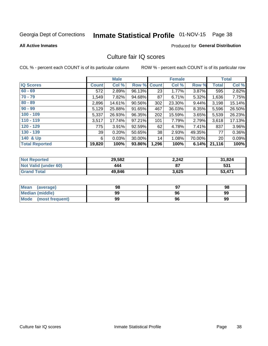# Inmate Statistical Profile 01-NOV-15 Page 38

### **All Active Inmates**

## Produced for General Distribution

# Culture fair IQ scores

COL % - percent each COUNT is of its particular column

|                       |              | <b>Male</b> |        |              | <b>Female</b> |          |              | <b>Total</b> |
|-----------------------|--------------|-------------|--------|--------------|---------------|----------|--------------|--------------|
| <b>IQ Scores</b>      | <b>Count</b> | Col %       | Row %  | <b>Count</b> | Col %         | Row %    | <b>Total</b> | Col %        |
| $60 - 69$             | 572          | 2.89%       | 96.13% | 23           | 1.77%         | 3.87%    | 595          | 2.82%        |
| $70 - 79$             | 1,549        | 7.82%       | 94.68% | 87           | 6.71%         | 5.32%    | 1,636        | 7.75%        |
| $80 - 89$             | 2,896        | 14.61%      | 90.56% | 302          | 23.30%        | $9.44\%$ | 3,198        | 15.14%       |
| $90 - 99$             | 5,129        | 25.88%      | 91.65% | 467          | 36.03%        | 8.35%    | 5,596        | 26.50%       |
| $100 - 109$           | 5,337        | 26.93%      | 96.35% | 202          | 15.59%        | $3.65\%$ | 5,539        | 26.23%       |
| $110 - 119$           | 3,517        | 17.74%      | 97.21% | 101          | 7.79%         | 2.79%    | 3,618        | 17.13%       |
| $120 - 129$           | 775          | 3.91%       | 92.59% | 62           | 4.78%         | 7.41%    | 837          | 3.96%        |
| $130 - 139$           | 39           | 0.20%       | 50.65% | 38           | 2.93%         | 49.35%   | 77           | 0.36%        |
| 140 & Up              | 6            | 0.03%       | 30.00% | 14           | 1.08%         | 70.00%   | 20           | 0.09%        |
| <b>Total Reported</b> | 19,820       | 100%        | 93.86% | 1,296        | 100%          | 6.14%    | 21,116       | 100%         |

| <b>Not Reported</b>         | 29,582 | 2,242 | 31,824 |
|-----------------------------|--------|-------|--------|
| <b>Not Valid (under 60)</b> | 444    | 87    | 531    |
| <b>Grand Total</b>          | 49,846 | 3,625 | 53,471 |

| <b>Mean</b><br>(average)       | 98 |    | 98 |
|--------------------------------|----|----|----|
| Median (middle)                | 99 | 96 | 99 |
| <b>Mode</b><br>(most frequent) | 99 | 96 | 99 |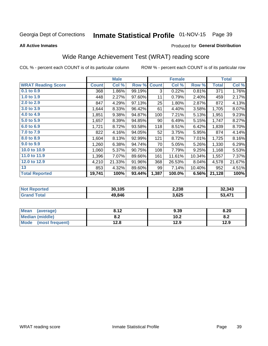# Inmate Statistical Profile 01-NOV-15 Page 39

### **All Active Inmates**

## Produced for General Distribution

# Wide Range Achievement Test (WRAT) reading score

COL % - percent each COUNT is of its particular column

|                                     |              | <b>Male</b> |        |              | <b>Female</b> |        |              | <b>Total</b> |
|-------------------------------------|--------------|-------------|--------|--------------|---------------|--------|--------------|--------------|
| <b>WRAT Reading Score</b>           | <b>Count</b> | Col %       | Row %  | <b>Count</b> | Col %         | Row %  | <b>Total</b> | Col %        |
| $0.1$ to $0.9$                      | 368          | 1.86%       | 99.19% | 3            | 0.22%         | 0.81%  | 371          | 1.76%        |
| 1.0 to 1.9                          | 448          | 2.27%       | 97.60% | 11           | 0.79%         | 2.40%  | 459          | 2.17%        |
| 2.0 to 2.9                          | 847          | 4.29%       | 97.13% | 25           | 1.80%         | 2.87%  | 872          | 4.13%        |
| 3.0 to 3.9                          | 1,644        | 8.33%       | 96.42% | 61           | 4.40%         | 3.58%  | 1,705        | 8.07%        |
| 4.0 to 4.9                          | 1,851        | 9.38%       | 94.87% | 100          | 7.21%         | 5.13%  | 1,951        | 9.23%        |
| 5.0 to 5.9                          | 1,657        | 8.39%       | 94.85% | 90           | 6.49%         | 5.15%  | 1,747        | 8.27%        |
| 6.0 to 6.9                          | 1,721        | 8.72%       | 93.58% | 118          | 8.51%         | 6.42%  | 1,839        | 8.70%        |
| 7.0 to 7.9                          | 822          | 4.16%       | 94.05% | 52           | 3.75%         | 5.95%  | 874          | 4.14%        |
| 8.0 to 8.9                          | 1,604        | 8.13%       | 92.99% | 121          | 8.72%         | 7.01%  | 1,725        | 8.16%        |
| 9.0 to 9.9                          | 1,260        | 6.38%       | 94.74% | 70           | 5.05%         | 5.26%  | 1,330        | 6.29%        |
| 10.0 to 10.9                        | 1,060        | 5.37%       | 90.75% | 108          | 7.79%         | 9.25%  | 1,168        | 5.53%        |
| 11.0 to 11.9                        | 1,396        | 7.07%       | 89.66% | 161          | 11.61%        | 10.34% | 1,557        | 7.37%        |
| 12.0 to 12.9                        | 4,210        | 21.33%      | 91.96% | 368          | 26.53%        | 8.04%  | 4,578        | 21.67%       |
| 13                                  | 853          | 4.32%       | 89.60% | 99           | 7.14%         | 10.40% | 952          | 4.51%        |
| <b>Total Reported</b>               | 19,741       | 100%        | 93.44% | 1,387        | 100.0%        | 6.56%  | 21,128       | 100%         |
|                                     |              |             |        |              |               |        |              |              |
| <b>All and Photographs and Call</b> |              | 0.0107      |        |              | 0.000         |        |              | 0.0001       |

| <b>Not</b><br>Reported | 30.105 | 2,238 | 32,343 |
|------------------------|--------|-------|--------|
| ota                    | 49.846 | 3,625 | .347'  |

| <b>Mean</b><br>(average)       | 012<br>0. IZ | 9.39 | 8.20 |
|--------------------------------|--------------|------|------|
| <b>Median (middle)</b>         | י ה<br>0.Z   | 10.2 | o.z  |
| <b>Mode</b><br>(most frequent) | 12.8         | 12.9 | 12.9 |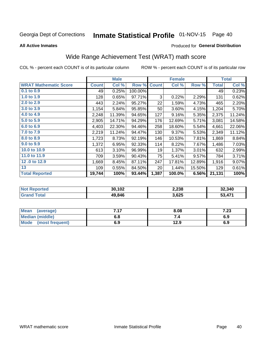# Inmate Statistical Profile 01-NOV-15 Page 40

**All Active Inmates** 

## Produced for General Distribution

# Wide Range Achievement Test (WRAT) math score

COL % - percent each COUNT is of its particular column

|                              |              | <b>Male</b> |         |              | <b>Female</b> |        |              | <b>Total</b> |
|------------------------------|--------------|-------------|---------|--------------|---------------|--------|--------------|--------------|
| <b>WRAT Mathematic Score</b> | <b>Count</b> | Col %       | Row %   | <b>Count</b> | Col %         | Row %  | <b>Total</b> | Col %        |
| $0.1$ to $0.9$               | 49           | 0.25%       | 100.00% |              |               |        | 49           | 0.23%        |
| 1.0 to 1.9                   | 128          | 0.65%       | 97.71%  | 3            | 0.22%         | 2.29%  | 131          | 0.62%        |
| 2.0 to 2.9                   | 443          | 2.24%       | 95.27%  | 22           | 1.59%         | 4.73%  | 465          | 2.20%        |
| 3.0 to 3.9                   | 1,154        | 5.84%       | 95.85%  | 50           | 3.60%         | 4.15%  | 1,204        | 5.70%        |
| 4.0 to 4.9                   | 2,248        | 11.39%      | 94.65%  | 127          | 9.16%         | 5.35%  | 2,375        | 11.24%       |
| 5.0 to 5.9                   | 2,905        | 14.71%      | 94.29%  | 176          | 12.69%        | 5.71%  | 3,081        | 14.58%       |
| 6.0 to 6.9                   | 4,403        | 22.30%      | 94.46%  | 258          | 18.60%        | 5.54%  | 4,661        | 22.06%       |
| 7.0 to 7.9                   | 2,219        | 11.24%      | 94.47%  | 130          | 9.37%         | 5.53%  | 2,349        | 11.12%       |
| 8.0 to 8.9                   | 1,723        | 8.73%       | 92.19%  | 146          | 10.53%        | 7.81%  | 1,869        | 8.84%        |
| 9.0 to 9.9                   | 1,372        | 6.95%       | 92.33%  | 114          | 8.22%         | 7.67%  | 1,486        | 7.03%        |
| 10.0 to 10.9                 | 613          | 3.10%       | 96.99%  | 19           | 1.37%         | 3.01%  | 632          | 2.99%        |
| 11.0 to 11.9                 | 709          | 3.59%       | 90.43%  | 75           | 5.41%         | 9.57%  | 784          | 3.71%        |
| 12.0 to 12.9                 | 1,669        | 8.45%       | 87.11%  | 247          | 17.81%        | 12.89% | 1,916        | 9.07%        |
| 13                           | 109          | 0.55%       | 84.50%  | 20           | 1.44%         | 15.50% | 129          | 0.61%        |
| <b>Total Reported</b>        | 19,744       | 100%        | 93.44%  | 1,387        | 100.0%        | 6.56%  | 21,131       | 100%         |

| <b>Not Reported</b> | 30,102 | 2,238 | 32,340 |
|---------------------|--------|-------|--------|
| <b>Grand Total</b>  | 49,846 | 3,625 | 53,47' |

| Mean (average)         | 7.17 | 8.08 | ר ד<br>7.ZJ |
|------------------------|------|------|-------------|
| <b>Median (middle)</b> | 6.8  |      | 6.9         |
| Mode (most frequent)   | 6.9  | 12.9 | 6.9         |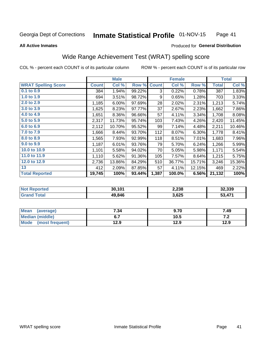#### **Inmate Statistical Profile 01-NOV-15** Page 41

### **All Active Inmates**

## Produced for General Distribution

# Wide Range Achievement Test (WRAT) spelling score

COL % - percent each COUNT is of its particular column

|                            |              | <b>Male</b> |        |              | Female |        |              | <b>Total</b> |
|----------------------------|--------------|-------------|--------|--------------|--------|--------|--------------|--------------|
| <b>WRAT Spelling Score</b> | <b>Count</b> | Col %       | Row %  | <b>Count</b> | Col %  | Row %  | <b>Total</b> | Col %        |
| $0.1$ to $0.9$             | 384          | 1.94%       | 99.22% | 3            | 0.22%  | 0.78%  | 387          | 1.83%        |
| 1.0 to 1.9                 | 694          | 3.51%       | 98.72% | 9            | 0.65%  | 1.28%  | 703          | 3.33%        |
| 2.0 to 2.9                 | 1,185        | 6.00%       | 97.69% | 28           | 2.02%  | 2.31%  | 1,213        | 5.74%        |
| 3.0 to 3.9                 | 1,625        | 8.23%       | 97.77% | 37           | 2.67%  | 2.23%  | 1,662        | 7.86%        |
| 4.0 to 4.9                 | 1,651        | 8.36%       | 96.66% | 57           | 4.11%  | 3.34%  | 1,708        | 8.08%        |
| 5.0 to 5.9                 | 2,317        | 11.73%      | 95.74% | 103          | 7.43%  | 4.26%  | 2,420        | 11.45%       |
| 6.0 to 6.9                 | 2,112        | 10.70%      | 95.52% | 99           | 7.14%  | 4.48%  | 2,211        | 10.46%       |
| 7.0 to 7.9                 | 1,666        | 8.44%       | 93.70% | 112          | 8.07%  | 6.30%  | 1,778        | 8.41%        |
| 8.0 to 8.9                 | 1,565        | 7.93%       | 92.99% | 118          | 8.51%  | 7.01%  | 1,683        | 7.96%        |
| 9.0 to 9.9                 | 1,187        | 6.01%       | 93.76% | 79           | 5.70%  | 6.24%  | 1,266        | 5.99%        |
| 10.0 to 10.9               | 1,101        | 5.58%       | 94.02% | 70           | 5.05%  | 5.98%  | 1,171        | 5.54%        |
| 11.0 to 11.9               | 1,110        | 5.62%       | 91.36% | 105          | 7.57%  | 8.64%  | 1,215        | 5.75%        |
| 12.0 to 12.9               | 2,736        | 13.86%      | 84.29% | 510          | 36.77% | 15.71% | 3,246        | 15.36%       |
| 13                         | 412          | 2.09%       | 87.85% | 57           | 4.11%  | 12.15% | 469          | 2.22%        |
| <b>Total Reported</b>      | 19,745       | 100%        | 93.44% | 1,387        | 100.0% | 6.56%  | 21,132       | 100%         |
|                            |              |             |        |              |        |        |              |              |
|                            |              |             |        |              |        |        |              |              |

| <b>Not Reported</b> | 30,101 | 2,238 | 32,339 |
|---------------------|--------|-------|--------|
| 'Grand Total        | 49,846 | 3,625 | 53,471 |

| <b>Mean</b><br>(average)       | 7.34 | 9.70 | 7.49 |
|--------------------------------|------|------|------|
| <b>Median (middle)</b>         | υ.ι  | 10.5 | .    |
| <b>Mode</b><br>(most frequent) | 12.9 | 12.9 | 12.9 |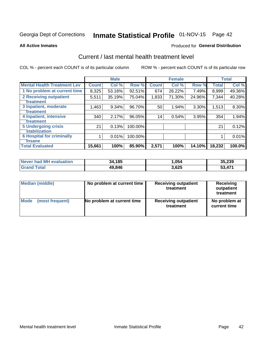# Inmate Statistical Profile 01-NOV-15 Page 42

### **All Active Inmates**

## **Produced for General Distribution**

# Current / last mental health treatment level

COL % - percent each COUNT is of its particular column

|                                    |              | <b>Male</b> |         |              | <b>Female</b> |          |              | <b>Total</b> |
|------------------------------------|--------------|-------------|---------|--------------|---------------|----------|--------------|--------------|
| <b>Mental Health Treatment Lev</b> | <b>Count</b> | Col %       | Row %   | <b>Count</b> | Col %         | Row %    | <b>Total</b> | Col %        |
| 1 No problem at current time       | 8,325        | 53.16%      | 92.51%  | 674          | 26.22%        | 7.49%    | 8,999        | 49.36%       |
| 2 Receiving outpatient             | 5,511        | 35.19%      | 75.04%  | 1,833        | 71.30%        | 24.96%   | 7,344        | 40.28%       |
| <b>Treatment</b>                   |              |             |         |              |               |          |              |              |
| 3 Inpatient, moderate              | 1,463        | 9.34%       | 96.70%  | 50           | 1.94%         | $3.30\%$ | 1,513        | 8.30%        |
| Treatment                          |              |             |         |              |               |          |              |              |
| 4 Inpatient, intensive             | 340          | 2.17%       | 96.05%  | 14           | 0.54%         | 3.95%    | 354          | 1.94%        |
| Treatment                          |              |             |         |              |               |          |              |              |
| 5 Undergoing crisis                | 21           | 0.13%       | 100.00% |              |               |          | 21           | 0.12%        |
| <b>stabilization</b>               |              |             |         |              |               |          |              |              |
| <b>6 Hospital for criminally</b>   |              | 0.01%       | 100.00% |              |               |          |              | 0.01%        |
| <b>Tinsane</b>                     |              |             |         |              |               |          |              |              |
| <b>Total Evaluated</b>             | 15,661       | 100%        | 85.90%  | 2,571        | 100%          | 14.10%   | 18,232       | 100.0%       |

| Never had MH evaluation | 34,185 | 054. ا | 35,239 |
|-------------------------|--------|--------|--------|
| <b>Grand Total</b>      | 49,846 | 3,625  | 53,471 |

| Median (middle) | No problem at current time | <b>Receiving outpatient</b><br>treatment | <b>Receiving</b><br>outpatient<br>treatment |
|-----------------|----------------------------|------------------------------------------|---------------------------------------------|
| <b>Mode</b>     | No problem at current time | <b>Receiving outpatient</b>              | No problem at                               |
| (most frequent) |                            | treatment                                | current time                                |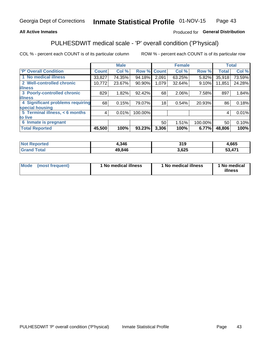## **All Active Inmates**

# Produced for General Distribution

# PULHESDWIT medical scale - 'P' overall condition ('P'hysical)

COL % - percent each COUNT is of its particular column

|                                  |              | <b>Male</b> |         |              | <b>Female</b> |         |              | <b>Total</b> |
|----------------------------------|--------------|-------------|---------|--------------|---------------|---------|--------------|--------------|
| 'P' Overall Condition            | <b>Count</b> | Col %       | Row %   | <b>Count</b> | Col %         | Row %   | <b>Total</b> | Col %        |
| 1 No medical illness             | 33,827       | 74.35%      | 94.18%  | 2,091        | 63.25%        | 5.82%   | 35,918       | 73.59%       |
| 2 Well-controlled chronic        | 10,772       | 23.67%      | 90.90%  | 1,079        | 32.64%        | 9.10%   | 11,851       | 24.28%       |
| <b>illness</b>                   |              |             |         |              |               |         |              |              |
| 3 Poorly-controlled chronic      | 829          | 1.82%       | 92.42%  | 68           | 2.06%         | 7.58%   | 897          | 1.84%        |
| <b>illness</b>                   |              |             |         |              |               |         |              |              |
| 4 Significant problems requiring | 68           | 0.15%       | 79.07%  | 18           | 0.54%         | 20.93%  | 86           | 0.18%        |
| special housing                  |              |             |         |              |               |         |              |              |
| 5 Terminal illness, < 6 months   | 4            | 0.01%       | 100.00% |              |               |         | 4            | 0.01%        |
| to live                          |              |             |         |              |               |         |              |              |
| 6 Inmate is pregnant             |              |             |         | 50           | 1.51%         | 100.00% | 50           | 0.10%        |
| <b>Total Reported</b>            | 45,500       | 100%        | 93.23%  | 3,306        | 100%          | 6.77%   | 48,806       | 100%         |

| тео | 1,346  | 319  | ,665                    |
|-----|--------|------|-------------------------|
|     | 49 84F | ,625 | $A \rightarrow A$<br>-0 |

| Mode | (most frequent) | 1 No medical illness | 1 No medical illness | 1 No medical<br>illness |
|------|-----------------|----------------------|----------------------|-------------------------|
|------|-----------------|----------------------|----------------------|-------------------------|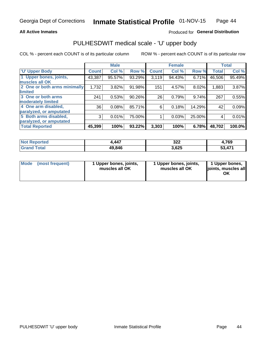## **All Active Inmates**

# Produced for General Distribution

# PULHESDWIT medical scale - 'U' upper body

COL % - percent each COUNT is of its particular column

|                              |              | <b>Male</b> |        |              | <b>Female</b> |        |              | <b>Total</b> |
|------------------------------|--------------|-------------|--------|--------------|---------------|--------|--------------|--------------|
| <b>U' Upper Body</b>         | <b>Count</b> | Col %       | Row %  | <b>Count</b> | Col %         | Row %  | <b>Total</b> | Col %        |
| 1 Upper bones, joints,       | 43,387       | 95.57%      | 93.29% | 3,119        | 94.43%        | 6.71%  | 46,506       | 95.49%       |
| muscles all OK               |              |             |        |              |               |        |              |              |
| 2 One or both arms minimally | 1,732        | 3.82%       | 91.98% | 151          | 4.57%         | 8.02%  | 1,883        | 3.87%        |
| limited                      |              |             |        |              |               |        |              |              |
| 3 One or both arms           | 241          | 0.53%       | 90.26% | 26           | 0.79%         | 9.74%  | 267          | 0.55%        |
| <b>moderately limited</b>    |              |             |        |              |               |        |              |              |
| 4 One arm disabled,          | 36           | 0.08%       | 85.71% | 6            | 0.18%         | 14.29% | 42           | 0.09%        |
| paralyzed, or amputated      |              |             |        |              |               |        |              |              |
| 5 Both arms disabled,        | 3            | 0.01%       | 75.00% |              | 0.03%         | 25.00% | 4            | 0.01%        |
| paralyzed, or amputated      |              |             |        |              |               |        |              |              |
| <b>Total Reported</b>        | 45,399       | 100%        | 93.22% | 3,303        | 100%          | 6.78%  | 48,702       | 100.0%       |

| <b>Not Reported</b> | 1,447  | 322   | 4,769  |
|---------------------|--------|-------|--------|
| <b>Grand Total</b>  | 49,846 | 3,625 | 53,471 |

|  | Mode (most frequent) | 1 Upper bones, joints,<br>muscles all OK | 1 Upper bones, joints,<br>muscles all OK | 1 Upper bones,<br>ljoints, muscles all<br>ОK |
|--|----------------------|------------------------------------------|------------------------------------------|----------------------------------------------|
|--|----------------------|------------------------------------------|------------------------------------------|----------------------------------------------|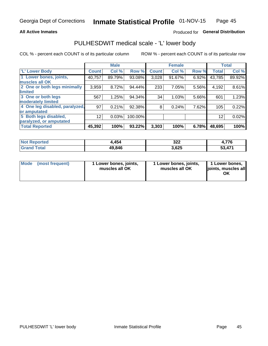## **All Active Inmates**

# Produced for General Distribution

# PULHESDWIT medical scale - 'L' lower body

COL % - percent each COUNT is of its particular column

|                                |              | <b>Male</b> |         |              | <b>Female</b> |       |              | <b>Total</b> |
|--------------------------------|--------------|-------------|---------|--------------|---------------|-------|--------------|--------------|
| 'L' Lower Body                 | <b>Count</b> | Col %       | Row %   | <b>Count</b> | Col %         | Row % | <b>Total</b> | Col %        |
| 1 Lower bones, joints,         | 40,757       | 89.79%      | 93.08%  | 3,028        | 91.67%        | 6.92% | 43,785       | 89.92%       |
| muscles all OK                 |              |             |         |              |               |       |              |              |
| 2 One or both legs minimally   | 3,959        | 8.72%       | 94.44%  | 233          | 7.05%         | 5.56% | 4,192        | 8.61%        |
| limited                        |              |             |         |              |               |       |              |              |
| 3 One or both legs             | 567          | 1.25%       | 94.34%  | 34           | 1.03%         | 5.66% | 601          | 1.23%        |
| moderately limited             |              |             |         |              |               |       |              |              |
| 4 One leg disabled, paralyzed, | 97           | 0.21%       | 92.38%  | 8            | 0.24%         | 7.62% | 105          | 0.22%        |
| or amputated                   |              |             |         |              |               |       |              |              |
| 5 Both legs disabled,          | 12           | 0.03%       | 100.00% |              |               |       | 12           | 0.02%        |
| paralyzed, or amputated        |              |             |         |              |               |       |              |              |
| <b>Total Reported</b>          | 45,392       | 100%        | 93.22%  | 3,303        | 100%          | 6.78% | 48,695       | 100%         |

| <b>Not Reported</b> | 4,454  | 322   | 4,776  |
|---------------------|--------|-------|--------|
| <b>Grand Total</b>  | 49,846 | 3,625 | 53,471 |

| Mode (most frequent) | I Lower bones, joints,<br>muscles all OK | 1 Lower bones, joints,<br>muscles all OK | 1 Lower bones,<br>joints, muscles all<br>ΟK |
|----------------------|------------------------------------------|------------------------------------------|---------------------------------------------|
|----------------------|------------------------------------------|------------------------------------------|---------------------------------------------|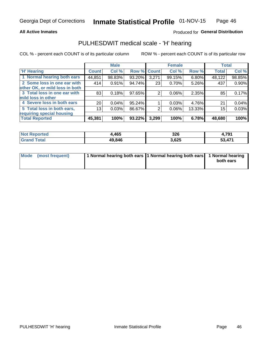## **All Active Inmates**

# Produced for General Distribution

# PULHESDWIT medical scale - 'H' hearing

COL % - percent each COUNT is of its particular column

|                                |                 | <b>Male</b> |             |       | <b>Female</b> |        | <b>Total</b> |        |
|--------------------------------|-----------------|-------------|-------------|-------|---------------|--------|--------------|--------|
| <b>'H' Hearing</b>             | <b>Count</b>    | Col %       | Row % Count |       | Col %         | Row %  | <b>Total</b> | Col %  |
| 1 Normal hearing both ears     | 44,851          | 98.83%      | 93.20%      | 3,271 | 99.15%        | 6.80%  | 48,122       | 98.85% |
| 2 Some loss in one ear with    | 414             | 0.91%       | 94.74%      | 23    | 0.70%         | 5.26%  | 437          | 0.90%  |
| other OK, or mild loss in both |                 |             |             |       |               |        |              |        |
| 3 Total loss in one ear with   | 83              | 0.18%       | 97.65%      | 2     | 0.06%         | 2.35%  | 85           | 0.17%  |
| mild loss in other             |                 |             |             |       |               |        |              |        |
| 4 Severe loss in both ears     | 20 <sub>1</sub> | 0.04%       | $95.24\%$   |       | 0.03%         | 4.76%  | 21           | 0.04%  |
| 5 Total loss in both ears,     | 13              | 0.03%       | 86.67%      | 2     | $0.06\%$      | 13.33% | 15           | 0.03%  |
| requiring special housing      |                 |             |             |       |               |        |              |        |
| <b>Total Reported</b>          | 45,381          | 100%        | 93.22%      | 3,299 | 100%          | 6.78%  | 48,680       | 100%   |

| <b>Not Reported</b> | .465،  | 326   | . 701<br>7. I J I |
|---------------------|--------|-------|-------------------|
| <b>Total</b>        | 49,846 | 3,625 | 53,471            |

| Mode (most frequent) | 1 Normal hearing both ears 11 Normal hearing both ears 1 Normal hearing | both ears |
|----------------------|-------------------------------------------------------------------------|-----------|
|                      |                                                                         |           |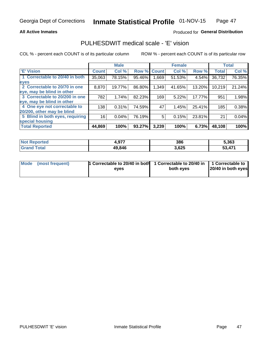## **All Active Inmates**

# Produced for General Distribution

# PULHESDWIT medical scale - 'E' vision

COL % - percent each COUNT is of its particular column

|                                 |              | <b>Male</b> |        |              | <b>Female</b> |        |              | <b>Total</b> |
|---------------------------------|--------------|-------------|--------|--------------|---------------|--------|--------------|--------------|
| 'E' Vision                      | <b>Count</b> | Col %       | Row %  | <b>Count</b> | Col %         | Row %  | <b>Total</b> | Col %        |
| 1 Correctable to 20/40 in both  | 35,063       | 78.15%      | 95.46% | ا 669.       | 51.53%        | 4.54%  | 36,732       | 76.35%       |
| eyes                            |              |             |        |              |               |        |              |              |
| 2 Correctable to 20/70 in one   | 8,870        | 19.77%      | 86.80% | 1,349        | 41.65%        | 13.20% | 10,219       | 21.24%       |
| eye, may be blind in other      |              |             |        |              |               |        |              |              |
| 3 Correctable to 20/200 in one  | 782          | 1.74%       | 82.23% | 169          | 5.22%         | 17.77% | 951          | 1.98%        |
| eye, may be blind in other      |              |             |        |              |               |        |              |              |
| 4 One eye not correctable to    | 138          | 0.31%       | 74.59% | 47           | 1.45%         | 25.41% | 185          | 0.38%        |
| 20/200, other may be blind      |              |             |        |              |               |        |              |              |
| 5 Blind in both eyes, requiring | 16           | 0.04%       | 76.19% | 5            | 0.15%         | 23.81% | 21           | 0.04%        |
| special housing                 |              |             |        |              |               |        |              |              |
| <b>Total Reported</b>           | 44,869       | 100%        | 93.27% | 3,239        | 100%          | 6.73%  | 48,108       | 100%         |

| <b>Not Reported</b> | 077<br><br>4.J | 386   | 5,363      |
|---------------------|----------------|-------|------------|
| <b>Total</b>        | 49,846         | 3,625 | <b>471</b> |

| Mode (most frequent) | 1 Correctable to 20/40 in both<br>eves | 1 Correctable to 20/40 in   1 Correctable to  <br>both eves | 20/40 in both eyes |
|----------------------|----------------------------------------|-------------------------------------------------------------|--------------------|
|                      |                                        |                                                             |                    |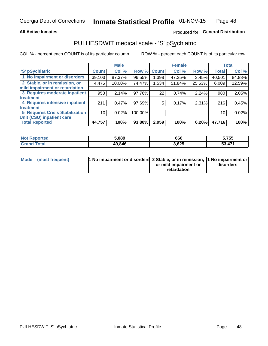## **All Active Inmates**

# Produced for General Distribution

# PULHESDWIT medical scale - 'S' pSychiatric

COL % - percent each COUNT is of its particular column

|                                        |              | <b>Male</b> |         |             | <b>Female</b> |          |              | <b>Total</b> |
|----------------------------------------|--------------|-------------|---------|-------------|---------------|----------|--------------|--------------|
| 'S' pSychiatric                        | <b>Count</b> | Col %       |         | Row % Count | Col %         | Row %    | <b>Total</b> | Col %        |
| 1 No impairment or disorders           | 39,103       | 87.37%      | 96.55%  | 1,398       | 47.25%        | $3.45\%$ | 40,501       | 84.88%       |
| 2 Stable, or in remission, or          | 4,475        | 10.00%      | 74.47%  | .534        | 51.84%        | 25.53%   | 6,009        | 12.59%       |
| mild impairment or retardation         |              |             |         |             |               |          |              |              |
| 3 Requires moderate inpatient          | 958          | 2.14%       | 97.76%  | 22          | 0.74%         | 2.24%    | 980          | 2.05%        |
| treatment                              |              |             |         |             |               |          |              |              |
| 4 Requires intensive inpatient         | 211          | 0.47%       | 97.69%  | 5           | 0.17%         | 2.31%    | 216          | 0.45%        |
| treatment                              |              |             |         |             |               |          |              |              |
| <b>5 Requires Crisis Stabilization</b> | 10           | 0.02%       | 100.00% |             |               |          | 10           | 0.02%        |
| Unit (CSU) inpatient care              |              |             |         |             |               |          |              |              |
| <b>Total Reported</b>                  | 44,757       | 100%        | 93.80%  | 2,959       | 100%          | $6.20\%$ | 47,716       | 100%         |

| <b>Not Reported</b>   | 5.089  | 666   | 5,755      |
|-----------------------|--------|-------|------------|
| Total<br><b>Grand</b> | 49,846 | 3,625 | ,471<br>-0 |

| Mode (most frequent) | <b>1 No impairment or disorders 2 Stable, or in remission, 1 No impairment or</b> |                       |           |
|----------------------|-----------------------------------------------------------------------------------|-----------------------|-----------|
|                      |                                                                                   | or mild impairment or | disorders |
|                      |                                                                                   | retardation           |           |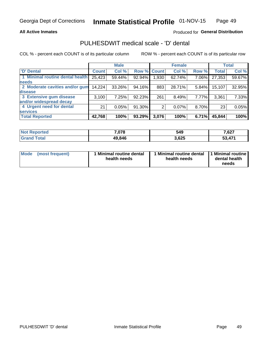## **All Active Inmates**

# Produced for General Distribution

# PULHESDWIT medical scale - 'D' dental

COL % - percent each COUNT is of its particular column

|                                 |              | <b>Male</b> |           |             | <b>Female</b> |       |              | <b>Total</b> |
|---------------------------------|--------------|-------------|-----------|-------------|---------------|-------|--------------|--------------|
| <b>D'</b> Dental                | <b>Count</b> | Col %       |           | Row % Count | Col %         | Row % | <b>Total</b> | Col %        |
| 1 Minimal routine dental health | 25,423       | 59.44%      | $92.94\%$ | .930        | 62.74%        | 7.06% | 27,353       | 59.67%       |
| <b>needs</b>                    |              |             |           |             |               |       |              |              |
| 2 Moderate cavities and/or gum  | 14,224       | 33.26%      | 94.16%    | 883         | 28.71%        | 5.84% | 15,107       | 32.95%       |
| disease                         |              |             |           |             |               |       |              |              |
| 3 Extensive gum disease         | 3,100        | 7.25%       | 92.23%    | 261         | 8.49%         | 7.77% | 3,361        | 7.33%        |
| and/or widespread decay         |              |             |           |             |               |       |              |              |
| 4 Urgent need for dental        | 21           | 0.05%       | 91.30%    | 2           | 0.07%         | 8.70% | 23           | 0.05%        |
| <b>services</b>                 |              |             |           |             |               |       |              |              |
| <b>Total Reported</b>           | 42,768       | 100%        | 93.29%    | 3,076       | 100%          | 6.71% | 45,844       | 100%         |

| <b>Not Reported</b> | 7,078  | 549   | 7,627  |
|---------------------|--------|-------|--------|
| Total<br>Grand      | 49,846 | 3,625 | 53,471 |

| Mode | (most frequent) | <b>Minimal routine dental</b><br>health needs | 1 Minimal routine dental 1 Minimal routine<br>health needs | dental health<br>needs |
|------|-----------------|-----------------------------------------------|------------------------------------------------------------|------------------------|
|------|-----------------|-----------------------------------------------|------------------------------------------------------------|------------------------|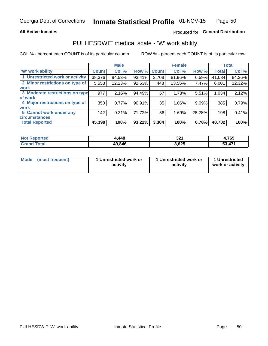## **All Active Inmates**

# Produced for General Distribution

# PULHESDWIT medical scale - 'W' work ability

COL % - percent each COUNT is of its particular column

|                                 |              | <b>Male</b> |           |             | <b>Female</b> |        |              | <b>Total</b> |
|---------------------------------|--------------|-------------|-----------|-------------|---------------|--------|--------------|--------------|
| <b>W' work ability</b>          | <b>Count</b> | Col %       |           | Row % Count | Col %         | Row %  | <b>Total</b> | Col %        |
| 1 Unrestricted work or activity | 38,376       | 84.53%      | 93.41%    | 2,708       | 81.96%        | 6.59%  | 41,084       | 84.36%       |
| 2 Minor restrictions on type of | 5,553        | 12.23%      | 92.53%    | 448         | 13.56%        | 7.47%  | 6,001        | 12.32%       |
| <b>work</b>                     |              |             |           |             |               |        |              |              |
| 3 Moderate restrictions on type | 977          | 2.15%       | 94.49%    | 57          | 1.73%         | 5.51%  | 1,034        | 2.12%        |
| lof work                        |              |             |           |             |               |        |              |              |
| 4 Major restrictions on type of | 350          | 0.77%       | $90.91\%$ | 35          | 1.06%         | 9.09%  | 385          | 0.79%        |
| <b>work</b>                     |              |             |           |             |               |        |              |              |
| 5 Cannot work under any         | 142          | 0.31%       | 71.72%    | 56          | 1.69%         | 28.28% | 198          | 0.41%        |
| <b>circumstances</b>            |              |             |           |             |               |        |              |              |
| <b>Total Reported</b>           | 45,398       | 100%        | 93.22%    | 3,304       | 100%          | 6.78%  | 48,702       | 100%         |

| <b>Not Reported</b> | ,448   | 221<br>ا عد | ,769   |
|---------------------|--------|-------------|--------|
| Total<br>Grand      | 49,846 | 3,625       | 53,471 |

| Mode            | 1 Unrestricted work or | 1 Unrestricted work or | 1 Unrestricted   |
|-----------------|------------------------|------------------------|------------------|
| (most frequent) | activity               | activity               | work or activity |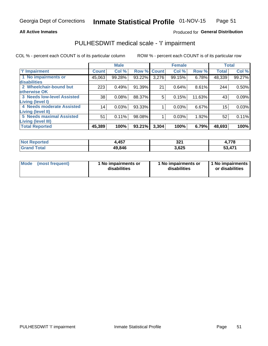## **All Active Inmates**

# Produced for General Distribution

# PULHESDWIT medical scale - 'I' impairment

COL % - percent each COUNT is of its particular column

|                                                              |                 | <b>Male</b> |           |             | <b>Female</b> |        |              | <b>Total</b> |
|--------------------------------------------------------------|-----------------|-------------|-----------|-------------|---------------|--------|--------------|--------------|
| <b>T' Impairment</b>                                         | <b>Count</b>    | Col %       |           | Row % Count | Col %         | Row %  | <b>Total</b> | Col %        |
| 1 No impairments or<br>disabilities                          | 45,063          | 99.28%      | 93.22%    | 3,276       | 99.15%        | 6.78%  | 48,339       | 99.27%       |
| 2 Wheelchair-bound but<br>otherwise OK                       | 223             | 0.49%       | 91.39%    | 21          | 0.64%         | 8.61%  | 244          | 0.50%        |
| <b>3 Needs low-level Assisted</b><br>Living (level I)        | 38              | 0.08%       | 88.37%    | 5           | 0.15%         | 11.63% | 43           | 0.09%        |
| 4 Needs moderate Assisted<br><b>Living (level II)</b>        | 14 <sub>1</sub> | 0.03%       | 93.33%    |             | 0.03%         | 6.67%  | 15           | 0.03%        |
| <b>5 Needs maximal Assisted</b><br><b>Living (level III)</b> | 51              | 0.11%       | 98.08%    |             | 0.03%         | 1.92%  | 52           | 0.11%        |
| <b>Total Reported</b>                                        | 45,389          | 100%        | $93.21\%$ | 3,304       | 100%          | 6.79%  | 48,693       | 100%         |

| <b>Not</b><br>Reported | ,457   | י ה<br>34 L<br>$\sim$ $\sim$ $\sim$ $\sim$ $\sim$ $\sim$ | 4,778  |
|------------------------|--------|----------------------------------------------------------|--------|
| Total                  | 49,846 | 3,625                                                    | 53,471 |

| <b>Mode</b> | (most frequent) | <b>No impairments or</b><br>disabilities | 1 No impairments or<br>disabilities | 1 No impairments<br>or disabilities |
|-------------|-----------------|------------------------------------------|-------------------------------------|-------------------------------------|
|-------------|-----------------|------------------------------------------|-------------------------------------|-------------------------------------|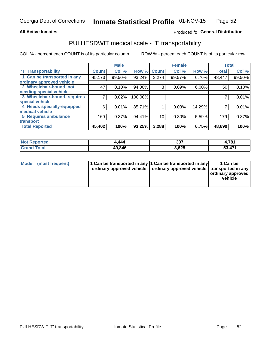## **All Active Inmates**

# Produced fo General Distribution

# PULHESDWIT medical scale - 'T' transportability

COL % - percent each COUNT is of its particular column

|                              |                    | <b>Male</b> |         |              | <b>Female</b> |        |              | <b>Total</b> |
|------------------------------|--------------------|-------------|---------|--------------|---------------|--------|--------------|--------------|
| <b>T' Transportability</b>   | Count <sup>!</sup> | Col %       | Row %   | <b>Count</b> | Col %         | Row %  | <b>Total</b> | Col %        |
| 1 Can be transported in any  | 45,173             | 99.50%      | 93.24%  | 3,274        | 99.57%        | 6.76%  | 48,447       | 99.50%       |
| ordinary approved vehicle    |                    |             |         |              |               |        |              |              |
| 2 Wheelchair-bound, not      | 47                 | 0.10%       | 94.00%  | 3            | 0.09%         | 6.00%  | 50           | 0.10%        |
| needing special vehicle      |                    |             |         |              |               |        |              |              |
| 3 Wheelchair-bound, requires |                    | 0.02%       | 100.00% |              |               |        |              | 0.01%        |
| special vehicle              |                    |             |         |              |               |        |              |              |
| 4 Needs specially-equipped   | 6                  | 0.01%       | 85.71%  |              | 0.03%         | 14.29% |              | 0.01%        |
| medical vehicle              |                    |             |         |              |               |        |              |              |
| <b>5 Requires ambulance</b>  | 169                | 0.37%       | 94.41%  | 10           | 0.30%         | 5.59%  | 179          | 0.37%        |
| transport                    |                    |             |         |              |               |        |              |              |
| <b>Total Reported</b>        | 45,402             | 100%        | 93.25%  | 3,288        | 100%          | 6.75%  | 48,690       | 100%         |

| <b>Not</b><br>Reported | ,444   | つつフ<br>აა. | 4,781  |
|------------------------|--------|------------|--------|
| Total                  | 49.846 | 3,625      | 53,471 |

|  | Mode (most frequent) | 1 Can be transported in any 1 Can be transported in any<br>ordinary approved vehicle   ordinary approved vehicle   transported in any |  | 1 Can be<br>  ordinary approved  <br>vehicle |
|--|----------------------|---------------------------------------------------------------------------------------------------------------------------------------|--|----------------------------------------------|
|--|----------------------|---------------------------------------------------------------------------------------------------------------------------------------|--|----------------------------------------------|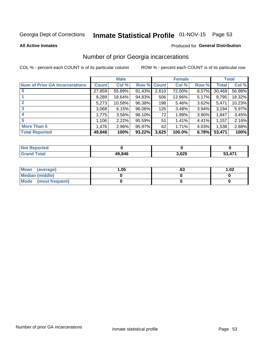# Inmate Statistical Profile 01-NOV-15 Page 53

### **All Active Inmates**

### Produced for General Distribution

# Number of prior Georgia incarcerations

COL % - percent each COUNT is of its particular column

|                                       |              | <b>Male</b> |             |       | <b>Female</b> |       |        | <b>Total</b> |
|---------------------------------------|--------------|-------------|-------------|-------|---------------|-------|--------|--------------|
| <b>Num of Prior GA Incarcerations</b> | <b>Count</b> | Col %       | Row % Count |       | Col %         | Row % | Total  | Col %        |
|                                       | 27,859       | 55.89%      | 91.43%      | 2,610 | 72.00%        | 8.57% | 30,469 | 56.98%       |
|                                       | 9,289        | 18.64%      | 94.83%      | 506   | 13.96%        | 5.17% | 9,795  | 18.32%       |
| $\overline{2}$                        | 5,273        | 10.58%      | 96.38%      | 198   | 5.46%         | 3.62% | 5,471  | 10.23%       |
| 3                                     | 3,068        | 6.15%       | $96.06\%$   | 126   | 3.48%         | 3.94% | 3,194  | 5.97%        |
| $\boldsymbol{4}$                      | 1,775        | 3.56%       | $96.10\%$   | 72    | 1.99%         | 3.90% | 1.847  | 3.45%        |
| 5                                     | 1,106        | 2.22%       | 95.59%      | 51    | 1.41%         | 4.41% | 1,157  | 2.16%        |
| <b>More Than 5</b>                    | 1,476        | 2.96%       | 95.97%      | 62    | 1.71%         | 4.03% | 1,538  | 2.88%        |
| <b>Total Reported</b>                 | 49,846       | 100%        | $93.22\%$   | 3,625 | 100.0%        | 6.78% | 53,471 | 100%         |

| enorted<br>NO1    |        |      |                |
|-------------------|--------|------|----------------|
| <b>otal</b><br>Gr | 49,846 | ,625 | 474<br>4<br>J. |

| Mean (average)       | 1.05 | .ט | 1.02 |
|----------------------|------|----|------|
| Median (middle)      |      |    |      |
| Mode (most frequent) |      |    |      |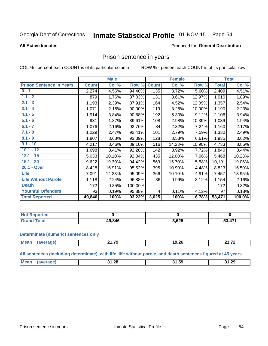#### Inmate Statistical Profile 01-NOV-15 Page 54

### **All Active Inmates**

## **Produced for General Distribution**

# Prison sentence in years

COL % - percent each COUNT is of its particular column

ROW % - percent each COUNT is of its particular row

|                                 |              | <b>Male</b> |           |              | <b>Female</b> |        |                | <b>Total</b> |
|---------------------------------|--------------|-------------|-----------|--------------|---------------|--------|----------------|--------------|
| <b>Prison Sentence In Years</b> | <b>Count</b> | Col %       | Row %     | <b>Count</b> | Col %         | Row %  | <b>Total</b>   | Col %        |
| $0 - 1$                         | 2,274        | 4.56%       | 94.40%    | 135          | 3.72%         | 5.60%  | $\sqrt{2,409}$ | 4.51%        |
| $1.1 - 2$                       | 879          | 1.76%       | 87.03%    | 131          | 3.61%         | 12.97% | 1,010          | 1.89%        |
| $2.1 - 3$                       | 1,193        | 2.39%       | 87.91%    | 164          | 4.52%         | 12.09% | 1,357          | 2.54%        |
| $3.1 - 4$                       | 1,071        | 2.15%       | 90.00%    | 119          | 3.28%         | 10.00% | 1,190          | 2.23%        |
| $4.1 - 5$                       | 1,914        | 3.84%       | 90.88%    | 192          | 5.30%         | 9.12%  | 2,106          | 3.94%        |
| $5.1 - 6$                       | 931          | 1.87%       | 89.61%    | 108          | 2.98%         | 10.39% | 1,039          | 1.94%        |
| $6.1 - 7$                       | 1,076        | 2.16%       | 92.76%    | 84           | 2.32%         | 7.24%  | 1,160          | 2.17%        |
| $7.1 - 8$                       | 1,229        | 2.47%       | 92.41%    | 101          | 2.79%         | 7.59%  | 1,330          | 2.49%        |
| $8.1 - 9$                       | 1,807        | 3.63%       | 93.39%    | 128          | 3.53%         | 6.61%  | 1,935          | 3.62%        |
| $9.1 - 10$                      | 4,217        | 8.46%       | 89.10%    | 516          | 14.23%        | 10.90% | 4,733          | 8.85%        |
| $10.1 - 12$                     | 1,698        | 3.41%       | 92.28%    | 142          | 3.92%         | 7.72%  | 1,840          | 3.44%        |
| $12.1 - 15$                     | 5,033        | 10.10%      | 92.04%    | 435          | 12.00%        | 7.96%  | 5,468          | 10.23%       |
| $15.1 - 20$                     | 9,622        | 19.30%      | 94.42%    | 569          | 15.70%        | 5.58%  | 10,191         | 19.06%       |
| 20.1 - Over                     | 8,428        | 16.91%      | 95.52%    | 395          | 10.90%        | 4.48%  | 8,823          | 16.50%       |
| <b>Life</b>                     | 7,091        | 14.23%      | 95.09%    | 366          | 10.10%        | 4.91%  | 7,457          | 13.95%       |
| <b>Life Without Parole</b>      | 1,118        | 2.24%       | 96.88%    | 36           | 0.99%         | 3.12%  | 1,154          | 2.16%        |
| <b>Death</b>                    | 172          | 0.35%       | 100.00%   |              |               |        | 172            | 0.32%        |
| <b>Youthful Offenders</b>       | 93           | 0.19%       | 95.88%    | 4            | 0.11%         | 4.12%  | 97             | 0.18%        |
| <b>Total Reported</b>           | 49,846       | 100%        | $93.22\%$ | 3,625        | 100%          | 6.78%  | 53,471         | 100.0%       |

| <b>Not Reported</b>       |        |       |              |
|---------------------------|--------|-------|--------------|
| `otal<br>. Cir $\epsilon$ | 49.846 | 3.62F | $\Lambda$ 74 |

### **Determinate (numeric) sentences only**

| $M_{\odot}$ :<br>1.1100 | 1 70<br>- 14<br>---- | ጋር<br>19.ZG<br>______ | 4 70<br>-54<br>---- |
|-------------------------|----------------------|-----------------------|---------------------|
|                         |                      |                       |                     |

All sentences (including determinate), with life, life without parole, and death sentences figured at 45 years

| <b>Mear</b><br>1.28<br><b>21.20</b><br>. .<br>כ בו<br>___ |  |  |  |
|-----------------------------------------------------------|--|--|--|
|                                                           |  |  |  |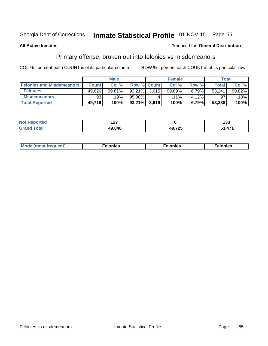# Inmate Statistical Profile 01-NOV-15 Page 55

## **All Active Inmates**

## Produced for General Distribution

# Primary offense, broken out into felonies vs misdemeanors

COL % - percent each COUNT is of its particular column

|                                  |              | <b>Male</b> |              |                    | <b>Female</b> |       | Total  |        |
|----------------------------------|--------------|-------------|--------------|--------------------|---------------|-------|--------|--------|
| <b>Felonies and Misdemeanors</b> | <b>Count</b> | Col%        |              | <b>Row % Count</b> | Col%          | Row % | Total  | Col %  |
| <b>Felonies</b>                  | 49,626       | 99.81%      | 93.21%       | 3.615              | 99.89%        | 6.79% | 53,241 | 99.82% |
| <b>Misdemeanors</b>              | 93           | 19%         | 95.88%       |                    | $.11\%$       | 4.12% | 97     | 18%    |
| <b>Total Reported</b>            | 49,719       | 100%        | 93.21% 3.619 |                    | 100%          | 6.79% | 53,338 | 100%   |

| <b>Not</b>            | $\overline{\phantom{a}}$ |        | $\sim$     |
|-----------------------|--------------------------|--------|------------|
| Reported              | .                        |        | נט ו       |
| Total<br><b>Grand</b> | 49.846                   | 49,725 | .471<br>c٥ |

| <b>Mo</b><br>requent)<br>$\sim$ | nıes | າເes | elonies |
|---------------------------------|------|------|---------|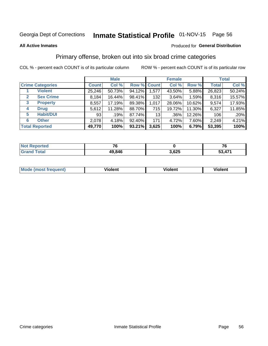# Inmate Statistical Profile 01-NOV-15 Page 56

### **All Active Inmates**

# **Produced for General Distribution**

# Primary offense, broken out into six broad crime categories

COL % - percent each COUNT is of its particular column

|                                  |              | <b>Male</b> |             |       | <b>Female</b> |        |              | <b>Total</b> |
|----------------------------------|--------------|-------------|-------------|-------|---------------|--------|--------------|--------------|
| <b>Crime Categories</b>          | <b>Count</b> | Col %       | Row % Count |       | Col %         | Row %  | <b>Total</b> | Col %        |
| <b>Violent</b>                   | 25,246       | 50.73%      | 94.12%      | 1,577 | 43.50%        | 5.88%  | 26,823       | 50.24%       |
| <b>Sex Crime</b><br>$\mathbf{2}$ | 8,184        | 16.44%      | 98.41%      | 132   | 3.64%         | 1.59%  | 8,316        | 15.57%       |
| 3<br><b>Property</b>             | 8,557        | 17.19%      | 89.38%      | 1,017 | 28.06%        | 10.62% | 9,574        | 17.93%       |
| <b>Drug</b><br>4                 | 5,612        | 11.28%      | 88.70%      | 715   | 19.72%        | 11.30% | 6,327        | 11.85%       |
| <b>Habit/DUI</b><br>5            | 93           | .19%        | 87.74%      | 13    | $.36\%$       | 12.26% | 106          | .20%         |
| <b>Other</b><br>6                | 2,078        | 4.18%       | 92.40%      | 171   | 4.72%         | 7.60%  | 2,249        | 4.21%        |
| <b>Total Reported</b>            | 49,770       | 100%        | 93.21%      | 3,625 | 100%          | 6.79%  | 53,395       | 100%         |

| <b>Reported</b><br><b>NOT</b> |        |       |           |
|-------------------------------|--------|-------|-----------|
| <b>Total</b>                  | 49,846 | 3,625 | A74<br>-^ |

| Mo<br>uent)<br>nos | .<br>/iolent | <br>Violent | - --<br><b>Tiolent</b> |
|--------------------|--------------|-------------|------------------------|
|                    |              |             |                        |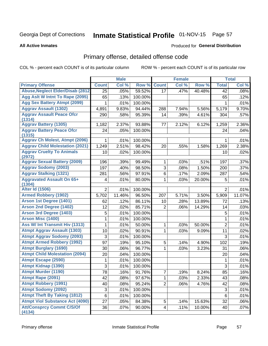# Inmate Statistical Profile 01-NOV-15 Page 57

### **All Active Inmates**

## Produced for General Distribution

# Primary offense, detailed offense code

COL % - percent each COUNT is of its particular column

|                                            |                 | <b>Male</b> |         |                | <b>Female</b> |        |                | <b>Total</b> |
|--------------------------------------------|-----------------|-------------|---------|----------------|---------------|--------|----------------|--------------|
| <b>Primary Offense</b>                     | <b>Count</b>    | Col %       | Row %   | <b>Count</b>   | Col %         | Row %  | <b>Total</b>   | Col %        |
| <b>Abuse, Neglect Elder/Disab (2812)</b>   | 25              | .05%        | 59.52%  | 17             | .47%          | 40.48% | 42             | .08%         |
| Agg Aslt W Intnt To Rape (2095)            | 65              | .13%        | 100.00% |                |               |        | 65             | .12%         |
| <b>Agg Sex Battery Atmpt (2099)</b>        | 1               | .01%        | 100.00% |                |               |        | 1              | .01%         |
| <b>Aggrav Assault (1302)</b>               | 4,891           | 9.83%       | 94.44%  | 288            | 7.94%         | 5.56%  | 5,179          | 9.70%        |
| <b>Aggrav Assault Peace Ofcr</b><br>(1314) | 290             | .58%        | 95.39%  | 14             | .39%          | 4.61%  | 304            | .57%         |
| <b>Aggrav Battery (1305)</b>               | 1,182           | 2.37%       | 93.88%  | 77             | 2.12%         | 6.12%  | 1,259          | 2.36%        |
| <b>Aggrav Battery Peace Ofcr</b><br>(1315) | 24              | .05%        | 100.00% |                |               |        | 24             | .04%         |
| <b>Aggrav Ch Molest, Atmpt (2096)</b>      | 1               | .01%        | 100.00% |                |               |        | 1              | .01%         |
| <b>Aggrav Child Molestation (2021)</b>     | 1,249           | 2.51%       | 98.42%  | 20             | .55%          | 1.58%  | 1,269          | 2.38%        |
| <b>Aggrav Cruelty To Animals</b><br>(2972) | 10              | .02%        | 100.00% |                |               |        | 10             | .02%         |
| <b>Aggrav Sexual Battery (2009)</b>        | 196             | .39%        | 99.49%  | $\mathbf{1}$   | .03%          | .51%   | 197            | .37%         |
| <b>Aggrav Sodomy (2003)</b>                | 197             | .40%        | 98.50%  | 3              | .08%          | 1.50%  | 200            | .37%         |
| <b>Aggrav Stalking (1321)</b>              | 281             | .56%        | 97.91%  | 6              | .17%          | 2.09%  | 287            | .54%         |
| <b>Aggravated Assault On 65+</b><br>(1304) | 4               | .01%        | 80.00%  | 1              | .03%          | 20.00% | 5              | .01%         |
| <b>Alter Id (1506)</b>                     | $\overline{2}$  | .01%        | 100.00% |                |               |        | 2              | .01%         |
| <b>Armed Robbery (1902)</b>                | 5,702           | 11.46%      | 96.50%  | 207            | 5.71%         | 3.50%  | 5,909          | 11.07%       |
| Arson 1st Degree (1401)                    | 62              | .12%        | 86.11%  | 10             | .28%          | 13.89% | 72             | .13%         |
| <b>Arson 2nd Degree (1402)</b>             | 12              | .02%        | 85.71%  | $\overline{2}$ | .06%          | 14.29% | 14             | .03%         |
| <b>Arson 3rd Degree (1403)</b>             | 5               | .01%        | 100.00% |                |               |        | $\mathbf 5$    | .01%         |
| Arson Misc (1400)                          | 1               | .01%        | 100.00% |                |               |        | $\mathbf{1}$   | .01%         |
| <b>Ass W/ Int Transmit Hiv (1313)</b>      | $\mathbf 1$     | .01%        | 50.00%  | $\mathbf{1}$   | .03%          | 50.00% | $\overline{2}$ | .01%         |
| <b>Atmpt Aggrav Assault (1303)</b>         | 10              | .02%        | 90.91%  | 1              | .03%          | 9.09%  | 11             | .02%         |
| <b>Atmpt Aggrav Sodomy (2093)</b>          | 3               | .01%        | 100.00% |                |               |        | 3              | .01%         |
| <b>Atmpt Armed Robbery (1992)</b>          | 97              | .19%        | 95.10%  | 5              | .14%          | 4.90%  | 102            | .19%         |
| <b>Atmpt Burglary (1690)</b>               | 30              | .06%        | 96.77%  | 1              | .03%          | 3.23%  | 31             | .06%         |
| <b>Atmpt Child Molestation (2094)</b>      | 20              | .04%        | 100.00% |                |               |        | 20             | .04%         |
| <b>Atmpt Escape (2590)</b>                 | 1               | .01%        | 100.00% |                |               |        | 1              | .01%         |
| <b>Atmpt Kidnap (1390)</b>                 | 3               | .01%        | 100.00% |                |               |        | 3              | .01%         |
| <b>Atmpt Murder (1190)</b>                 | $\overline{78}$ | .16%        | 91.76%  | $\overline{7}$ | .19%          | 8.24%  | 85             | .16%         |
| Atmpt Rape (2091)                          | 42              | .08%        | 97.67%  | 1              | .03%          | 2.33%  | 43             | .08%         |
| <b>Atmpt Robbery (1991)</b>                | 40              | .08%        | 95.24%  | $\overline{2}$ | .06%          | 4.76%  | 42             | .08%         |
| <b>Atmpt Sodomy (2092)</b>                 | $\mathsf 3$     | .01%        | 100.00% |                |               |        | 3              | .01%         |
| <b>Atmpt Theft By Taking (1812)</b>        | $\,6$           | .01%        | 100.00% |                |               |        | 6              | .01%         |
| <b>Atmpt Viol Substance Act (4090)</b>     | 27              | .05%        | 84.38%  | 5              | .14%          | 15.63% | 32             | .06%         |
| <b>Att/Consprcy Commt C/S/Of</b><br>(4134) | 36              | .07%        | 90.00%  | 4              | .11%          | 10.00% | 40             | .07%         |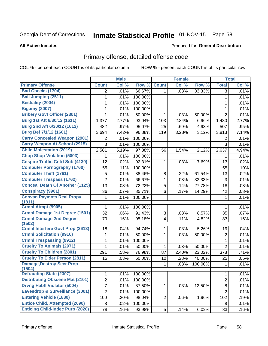# Inmate Statistical Profile 01-NOV-15 Page 58

### **All Active Inmates**

### Produced for General Distribution

# Primary offense, detailed offense code

COL % - percent each COUNT is of its particular column

|                                          |                 | <b>Male</b> |         |                | <b>Female</b> |         |                | <b>Total</b> |
|------------------------------------------|-----------------|-------------|---------|----------------|---------------|---------|----------------|--------------|
| <b>Primary Offense</b>                   | <b>Count</b>    | Col %       | Row %   | <b>Count</b>   | Col %         | Row %   | <b>Total</b>   | Col %        |
| <b>Bad Checks (1704)</b>                 | $\overline{2}$  | .01%        | 66.67%  | 1 <sup>1</sup> | .03%          | 33.33%  | $\overline{3}$ | .01%         |
| Bail Jumping (2511)                      | 1               | .01%        | 100.00% |                |               |         | $\mathbf{1}$   | .01%         |
| <b>Bestiality (2004)</b>                 | 1               | .01%        | 100.00% |                |               |         | 1              | .01%         |
| <b>Bigamy (2007)</b>                     | 1               | .01%        | 100.00% |                |               |         | 1              | .01%         |
| <b>Bribery Govt Officer (2301)</b>       | $\mathbf{1}$    | .01%        | 50.00%  | 1              | .03%          | 50.00%  | $\overline{2}$ | .01%         |
| Burg 1st Aft 6/30/12 (1611)              | 1,377           | 2.77%       | 93.04%  | 103            | 2.84%         | 6.96%   | 1,480          | 2.77%        |
| Burg 2nd Aft 6/30/12 (1612)              | 482             | .97%        | 95.07%  | 25             | .69%          | 4.93%   | 507            | .95%         |
| <b>Burg Bef 7/1/12 (1601)</b>            | 3,694           | 7.42%       | 96.88%  | 119            | 3.28%         | 3.12%   | 3,813          | 7.14%        |
| <b>Carry Concealed Weapon (2901)</b>     | 2               | .01%        | 100.00% |                |               |         | $\overline{2}$ | .01%         |
| <b>Carry Weapon At School (2915)</b>     | 3               | .01%        | 100.00% |                |               |         | 3              | .01%         |
| <b>Child Molestation (2019)</b>          | 2,581           | 5.19%       | 97.88%  | 56             | 1.54%         | 2.12%   | 2,637          | 4.94%        |
| <b>Chop Shop Violation (5003)</b>        | 1               | .01%        | 100.00% |                |               |         | 1              | .01%         |
| <b>Cnspire Traffic Cntrl Sub (4130)</b>  | 12              | .02%        | 92.31%  | $\mathbf{1}$   | .03%          | 7.69%   | 13             | .02%         |
| <b>Computer Pornography (1760)</b>       | 55              | .11%        | 100.00% |                |               |         | 55             | .10%         |
| <b>Computer Theft (1761)</b>             | 5               | .01%        | 38.46%  | 8              | .22%          | 61.54%  | 13             | .02%         |
| <b>Computer Trespass (1762)</b>          | $\overline{2}$  | .01%        | 66.67%  | $\mathbf{1}$   | .03%          | 33.33%  | $\mathbf{3}$   | .01%         |
| <b>Conceal Death Of Another (1125)</b>   | 13              | .03%        | 72.22%  | 5              | .14%          | 27.78%  | 18             | .03%         |
| <b>Conspiracy (9901)</b>                 | 36              | .07%        | 85.71%  | 6              | .17%          | 14.29%  | 42             | .08%         |
| <b>Convsn Paymnts Real Propy</b>         | 1               | .01%        | 100.00% |                |               |         | 1              | .01%         |
| (1811)                                   |                 |             |         |                |               |         |                |              |
| Crmnl Atmpt (9905)                       | 1               | .01%        | 100.00% |                |               |         | 1              | .01%         |
| <b>Crmnl Damage 1st Degree (1501)</b>    | 32              | .06%        | 91.43%  | 3              | .08%          | 8.57%   | 35             | .07%         |
| <b>Crmnl Damage 2nd Degree</b><br>(1502) | 79              | .16%        | 95.18%  | $\overline{4}$ | .11%          | 4.82%   | 83             | .16%         |
| <b>Crmnl Interfere Govt Prop (2613)</b>  | 18              | .04%        | 94.74%  | 1              | .03%          | 5.26%   | 19             | .04%         |
| <b>Crmnl Solicitation (9910)</b>         | 1               | .01%        | 50.00%  | $\mathbf{1}$   | .03%          | 50.00%  | $\overline{2}$ | .01%         |
| <b>Crmnl Trespassing (9912)</b>          | 1               | .01%        | 100.00% |                |               |         | $\mathbf 1$    | .01%         |
| <b>Cruelty To Animals (2971)</b>         | 1               | .01%        | 50.00%  | 1              | .03%          | 50.00%  | $\overline{2}$ | .01%         |
| <b>Cruelty To Children (2801)</b>        | 291             | .58%        | 76.98%  | 87             | 2.40%         | 23.02%  | 378            | .71%         |
| <b>Cruelty To Elder Person (2811)</b>    | 15              | .03%        | 60.00%  | 10             | .28%          | 40.00%  | 25             | .05%         |
| <b>Damage, Destroy Secr Prop</b>         |                 |             |         | 1              | .03%          | 100.00% | 1              | .01%         |
| (1504)                                   |                 |             |         |                |               |         |                |              |
| <b>Defrauding State (2307)</b>           | 1               | .01%        | 100.00% |                |               |         | 1              | .01%         |
| <b>Distributing Obscene Mat (2101)</b>   | $\overline{2}$  | .01%        | 100.00% |                |               |         | $\overline{2}$ | .01%         |
| <b>Drvng Habtl Violator (5004)</b>       | 7               | .01%        | 87.50%  | $\mathbf{1}$   | .03%          | 12.50%  | 8              | .01%         |
| Eavesdrop & Surveillance (3001)          | $\overline{c}$  | .01%        | 100.00% |                |               |         | $\overline{2}$ | .01%         |
| <b>Entering Vehicle (1880)</b>           | 100             | .20%        | 98.04%  | $\overline{2}$ | .06%          | 1.96%   | 102            | .19%         |
| <b>Entice Child, Attempted (2090)</b>    | 8               | .02%        | 100.00% |                |               |         | 8              | .01%         |
| <b>Enticing Child-Indec Purp (2020)</b>  | $\overline{78}$ | .16%        | 93.98%  | $5\vert$       | .14%          | 6.02%   | 83             | .16%         |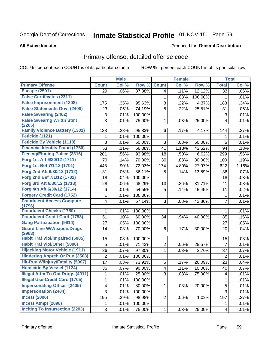# Inmate Statistical Profile 01-NOV-15 Page 59

### **All Active Inmates**

## **Produced for General Distribution**

# Primary offense, detailed offense code

COL % - percent each COUNT is of its particular column

|                                            |                           | <b>Male</b> |         |                | <b>Female</b> |         |                         | <b>Total</b> |
|--------------------------------------------|---------------------------|-------------|---------|----------------|---------------|---------|-------------------------|--------------|
| <b>Primary Offense</b>                     | <b>Count</b>              | Col %       | Row %   | <b>Count</b>   | Col %         | Row %   | <b>Total</b>            | Col %        |
| <b>Escape (2501)</b>                       | 29                        | .06%        | 87.88%  | 4              | .11%          | 12.12%  | $\overline{33}$         | .06%         |
| <b>False Certificates (2311)</b>           |                           |             |         | 1              | .03%          | 100.00% | 1                       | .01%         |
| <b>False Imprisonment (1308)</b>           | 175                       | .35%        | 95.63%  | 8              | .22%          | 4.37%   | 183                     | .34%         |
| <b>False Statements Govt (2408)</b>        | 23                        | .05%        | 74.19%  | 8              | .22%          | 25.81%  | 31                      | .06%         |
| <b>False Swearing (2402)</b>               | $\ensuremath{\mathsf{3}}$ | .01%        | 100.00% |                |               |         | 3                       | .01%         |
| <b>False Swearng Writtn Stmt</b><br>(2205) | 3                         | .01%        | 75.00%  | 1              | .03%          | 25.00%  | 4                       | .01%         |
| <b>Family Violence Battery (1301)</b>      | 138                       | .28%        | 95.83%  | 6              | .17%          | 4.17%   | 144                     | .27%         |
| Feticide (1121)                            | 1                         | .01%        | 100.00% |                |               |         | 1                       | .01%         |
| <b>Feticide By Vehicle (1118)</b>          | 3                         | .01%        | 50.00%  | 3              | .08%          | 50.00%  | 6                       | .01%         |
| <b>Financial Identity Fraud (1756)</b>     | 53                        | .11%        | 56.38%  | 41             | 1.13%         | 43.62%  | 94                      | .18%         |
| <b>Fleeing/Eluding Police (2316)</b>       | 281                       | .56%        | 93.98%  | 18             | .50%          | 6.02%   | 299                     | .56%         |
| Forg 1st Aft 6/30/12 (1711)                | 70                        | .14%        | 70.00%  | 30             | .83%          | 30.00%  | 100                     | .19%         |
| Forg 1st Bef 7/1/12 (1701)                 | 448                       | .90%        | 72.03%  | 174            | 4.80%         | 27.97%  | 622                     | 1.16%        |
| Forg 2nd Aft 6/30/12 (1712)                | 31                        | .06%        | 86.11%  | 5              | .14%          | 13.89%  | 36                      | .07%         |
| Forg 2nd Bef 7/1/12 (1702)                 | 18                        | .04%        | 100.00% |                |               |         | 18                      | .03%         |
| Forg 3rd Aft 6/30/12 (1713)                | 28                        | .06%        | 68.29%  | 13             | .36%          | 31.71%  | 41                      | .08%         |
| Forg 4th Aft 6/30/12 (1714)                | $\,6$                     | .01%        | 54.55%  | 5              | .14%          | 45.45%  | 11                      | .02%         |
| <b>Forgery Credit Card (1752)</b>          | 1                         | .01%        | 100.00% |                |               |         | $\mathbf 1$             | .01%         |
| <b>Fraudulent Access Compute</b><br>(1796) | 4                         | .01%        | 57.14%  | 3              | .08%          | 42.86%  | $\overline{7}$          | .01%         |
| <b>Fraudulent Checks (1750)</b>            | 1                         | .01%        | 100.00% |                |               |         | $\mathbf 1$             | .01%         |
| <b>Fraudulent Credit Card (1753)</b>       | 51                        | .10%        | 60.00%  | 34             | .94%          | 40.00%  | 85                      | .16%         |
| <b>Gang Participation (9914)</b>           | 27                        | .05%        | 100.00% |                |               |         | 27                      | .05%         |
| <b>Guard Line W/Weapon/Drugs</b><br>(2963) | 14                        | .03%        | 70.00%  | 6              | .17%          | 30.00%  | 20                      | .04%         |
| <b>Habit Traf Viol/Impaired (5005)</b>     | 15                        | .03%        | 100.00% |                |               |         | 15                      | .03%         |
| <b>Habit Traf Viol/Other (5006)</b>        | 5                         | .01%        | 71.43%  | 2              | .06%          | 28.57%  | $\overline{7}$          | .01%         |
| <b>Hijacking Motor Vehicle (1911)</b>      | 36                        | .07%        | 97.30%  | 1              | .03%          | 2.70%   | 37                      | .07%         |
| <b>Hindering Appreh Or Pun (2503)</b>      | $\boldsymbol{2}$          | .01%        | 100.00% |                |               |         | $\overline{2}$          | .01%         |
| Hit-Run W/Injury/Fatality (5007)           | 17                        | .03%        | 73.91%  | 6              | .17%          | 26.09%  | 23                      | .04%         |
| <b>Homicide By Vessel (1124)</b>           | 36                        | .07%        | 90.00%  | 4              | .11%          | 10.00%  | 40                      | .07%         |
| <b>Illegal Attm To Obt Drugs (4011)</b>    | 1                         | .01%        | 25.00%  | 3              | .08%          | 75.00%  | $\overline{\mathbf{4}}$ | .01%         |
| <b>Illegal Use-Credit Card (1705)</b>      | 1                         | .01%        | 100.00% |                |               |         | $\mathbf{1}$            | .01%         |
| <b>Impersonating Officer (2405)</b>        | 4                         | .01%        | 80.00%  | 1              | .03%          | 20.00%  | 5                       | .01%         |
| <b>Impersonation (2404)</b>                | 3                         | .01%        | 100.00% |                |               |         | $\overline{3}$          | .01%         |
| <b>Incest (2006)</b>                       | 195                       | .39%        | 98.98%  | $\overline{2}$ | .06%          | 1.02%   | 197                     | .37%         |
| Incest, Atmpt (2098)                       |                           | .01%        | 100.00% |                |               |         | 1                       | .01%         |
| <b>Inciting To Insurrection (2203)</b>     | 3                         | .01%        | 75.00%  | 1              | .03%          | 25.00%  | $\overline{4}$          | .01%         |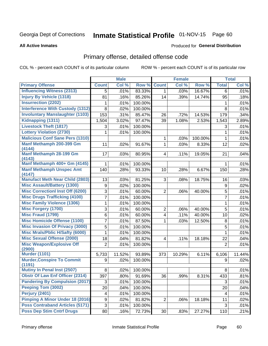# Inmate Statistical Profile 01-NOV-15 Page 60

### **All Active Inmates**

## **Produced for General Distribution**

# Primary offense, detailed offense code

COL % - percent each COUNT is of its particular column

|                                         |                | <b>Male</b> |         |                         | <b>Female</b> |         |                | <b>Total</b> |
|-----------------------------------------|----------------|-------------|---------|-------------------------|---------------|---------|----------------|--------------|
| <b>Primary Offense</b>                  | <b>Count</b>   | Col %       | Row %   | <b>Count</b>            | Col %         | Row %   | <b>Total</b>   | Col %        |
| <b>Influencing Witness (2313)</b>       | 5              | .01%        | 83.33%  | 1 <sup>1</sup>          | .03%          | 16.67%  | 6              | .01%         |
| <b>Injury By Vehicle (1318)</b>         | 81             | .16%        | 85.26%  | 14                      | .39%          | 14.74%  | 95             | .18%         |
| <b>Insurrection (2202)</b>              | 1              | .01%        | 100.00% |                         |               |         | 1              | .01%         |
| <b>Interference With Custody (1312)</b> | 8              | .02%        | 100.00% |                         |               |         | 8              | .01%         |
| <b>Involuntary Manslaughter (1103)</b>  | 153            | .31%        | 85.47%  | 26                      | .72%          | 14.53%  | 179            | .34%         |
| Kidnapping (1311)                       | 1,504          | 3.02%       | 97.47%  | 39                      | 1.08%         | 2.53%   | 1,543          | 2.89%        |
| <b>Livestock Theft (1817)</b>           | 3              | .01%        | 100.00% |                         |               |         | 3              | .01%         |
| <b>Lottery Violation (2730)</b>         | 1              | .01%        | 100.00% |                         |               |         | 1              | .01%         |
| <b>Malicious Conf Sane Pers (1310)</b>  |                |             |         | 1                       | .03%          | 100.00% | $\mathbf{1}$   | .01%         |
| Manf Methamph 200-399 Gm                | 11             | .02%        | 91.67%  | $\mathbf{1}$            | .03%          | 8.33%   | 12             | .02%         |
| (4144)                                  |                |             |         |                         |               |         |                |              |
| Manf Methamph 28-199 Gm<br>(4143)       | 17             | .03%        | 80.95%  | $\overline{4}$          | .11%          | 19.05%  | 21             | .04%         |
| Manf Methamph 400+ Gm (4145)            | 1              | .01%        | 100.00% |                         |               |         | 1              | .01%         |
| <b>Manf Methamph Unspec Amt</b>         | 140            | .28%        | 93.33%  | 10                      | .28%          | 6.67%   | 150            | .28%         |
| (4147)                                  |                |             |         |                         |               |         |                |              |
| <b>Manufact Meth Near Child (2803)</b>  | 13             | .03%        | 81.25%  | 3                       | .08%          | 18.75%  | 16             | .03%         |
| <b>Misc Assault/Battery (1300)</b>      | 9              | .02%        | 100.00% |                         |               |         | 9              | .02%         |
| <b>Misc Correctionl Inst Off (6200)</b> | 3              | .01%        | 60.00%  | $\overline{2}$          | .06%          | 40.00%  | 5              | .01%         |
| <b>Misc Drugs Trafficking (4100)</b>    | 7              | .01%        | 100.00% |                         |               |         | $\overline{7}$ | .01%         |
| <b>Misc Family Violence (1306)</b>      | $\mathbf{1}$   | .01%        | 100.00% |                         |               |         | $\mathbf{1}$   | .01%         |
| <b>Misc Forgery (1700)</b>              | 3              | .01%        | 60.00%  | $\overline{c}$          | .06%          | 40.00%  | 5              | .01%         |
| <b>Misc Fraud (1799)</b>                | 6              | .01%        | 60.00%  | $\overline{\mathbf{4}}$ | .11%          | 40.00%  | 10             | .02%         |
| <b>Misc Homicide Offense (1100)</b>     | 7              | .01%        | 87.50%  | 1                       | .03%          | 12.50%  | 8              | .01%         |
| <b>Misc Invasion Of Privacy (3000)</b>  | 5              | .01%        | 100.00% |                         |               |         | 5              | .01%         |
| <b>Misc Mrals/Pblic H/Safty (6000)</b>  | $\mathbf{1}$   | .01%        | 100.00% |                         |               |         | 1              | .01%         |
| <b>Misc Sexual Offense (2000)</b>       | 18             | .04%        | 81.82%  | $\overline{\mathbf{4}}$ | .11%          | 18.18%  | 22             | .04%         |
| <b>Misc Weapon/Explosive Off</b>        | $\overline{2}$ | .01%        | 100.00% |                         |               |         | $\overline{2}$ | .01%         |
| (2900)<br><b>Murder (1101)</b>          |                | 11.52%      | 93.89%  |                         |               | 6.11%   | 6,106          |              |
| <b>Murder, Conspire To Commit</b>       | 5,733          |             |         | 373                     | 10.29%        |         |                | 11.44%       |
| (1191)                                  | 9              | .02%        | 100.00% |                         |               |         | 9              | .02%         |
| <b>Mutiny In Penal Inst (2507)</b>      | 8              | $.02\%$     | 100.00% |                         |               |         | 8              | .01%         |
| <b>Obstr Of Law Enf Officer (2314)</b>  | 397            | .80%        | 91.69%  | 36                      | .99%          | 8.31%   | 433            | .81%         |
| <b>Pandering By Compulsion (2017)</b>   | 3              | .01%        | 100.00% |                         |               |         | 3              | .01%         |
| Peeping Tom (3002)                      | 20             | .04%        | 100.00% |                         |               |         | 20             | .04%         |
| Perjury (2401)                          | 4              | .01%        | 100.00% |                         |               |         | 4              | .01%         |
| <b>Pimping A Minor Under 18 (2016)</b>  | 9              | .02%        | 81.82%  | $\overline{c}$          | .06%          | 18.18%  | 11             | .02%         |
| <b>Poss Contraband Articles (5171)</b>  | 3              | .01%        | 100.00% |                         |               |         | 3              | .01%         |
| <b>Poss Dep Stim Cntrf Drugs</b>        | 80             | .16%        | 72.73%  | 30 <sup>°</sup>         | .83%          | 27.27%  | 110            | .21%         |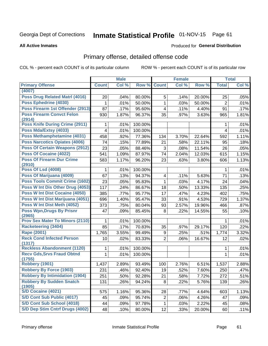# Inmate Statistical Profile 01-NOV-15 Page 61

### **All Active Inmates**

## Produced for General Distribution

# Primary offense, detailed offense code

COL % - percent each COUNT is of its particular column

|                                            |                | <b>Male</b> |         |                         | <b>Female</b> |        |                | <b>Total</b> |
|--------------------------------------------|----------------|-------------|---------|-------------------------|---------------|--------|----------------|--------------|
| <b>Primary Offense</b>                     | <b>Count</b>   | Col %       | Row %   | <b>Count</b>            | Col %         | Row %  | <b>Total</b>   | Col%         |
| (4007)                                     |                |             |         |                         |               |        |                |              |
| <b>Poss Drug Related Matri (4016)</b>      | 20             | .04%        | 80.00%  | 5                       | .14%          | 20.00% | 25             | .05%         |
| Poss Ephedrine (4030)                      | 1              | .01%        | 50.00%  | 1                       | .03%          | 50.00% | $\overline{2}$ | .01%         |
| Poss Firearm 1st Offender (2913)           | 87             | .17%        | 95.60%  | 4                       | .11%          | 4.40%  | 91             | .17%         |
| <b>Poss Firearm Convct Felon</b>           | 930            | 1.87%       | 96.37%  | 35                      | .97%          | 3.63%  | 965            | 1.81%        |
| (2914)                                     |                |             |         |                         |               |        |                |              |
| <b>Poss Knife During Crime (2911)</b>      | 1              | .01%        | 100.00% |                         |               |        | 1              | .01%         |
| Poss Mda/Extsy (4033)                      | $\overline{4}$ | .01%        | 100.00% |                         |               |        | 4              | .01%         |
| Poss Methamphetamine (4031)                | 458            | .92%        | 77.36%  | 134                     | 3.70%         | 22.64% | 592            | 1.11%        |
| <b>Poss Narcotics Opiates (4006)</b>       | 74             | .15%        | 77.89%  | 21                      | .58%          | 22.11% | 95             | .18%         |
| <b>Poss Of Certain Weapons (2912)</b>      | 23             | .05%        | 88.46%  | 3                       | .08%          | 11.54% | 26             | .05%         |
| Poss Of Cocaine (4022)                     | 541            | 1.09%       | 87.97%  | 74                      | 2.04%         | 12.03% | 615            | 1.15%        |
| <b>Poss Of Firearm Dur Crime</b><br>(2910) | 583            | 1.17%       | 96.20%  | 23                      | .63%          | 3.80%  | 606            | 1.13%        |
| <b>Poss Of Lsd (4008)</b>                  | 1              | .01%        | 100.00% |                         |               |        | 1              | .01%         |
| Poss Of Marijuana (4009)                   | 67             | .13%        | 94.37%  | $\overline{\mathbf{4}}$ | .11%          | 5.63%  | 71             | .13%         |
| Poss Tools Commit Crime (1602)             | 23             | .05%        | 95.83%  | 1                       | .03%          | 4.17%  | 24             | .04%         |
| Poss W Int Dis Other Drug (4053)           | 117            | .24%        | 86.67%  | 18                      | .50%          | 13.33% | 135            | .25%         |
| <b>Poss W Int Dist Cocaine (4050)</b>      | 385            | .77%        | 95.77%  | 17                      | .47%          | 4.23%  | 402            | .75%         |
| Poss W Int Dist Marijuana (4051)           | 696            | 1.40%       | 95.47%  | 33                      | .91%          | 4.53%  | 729            | 1.37%        |
| Poss W Int Dist Meth (4052)                | 373            | .75%        | 80.04%  | 93                      | 2.57%         | 19.96% | 466            | .87%         |
| <b>Poss Wpn, Drugs By Prisnr</b>           | 47             | .09%        | 85.45%  | 8                       | .22%          | 14.55% | 55             | .10%         |
| (2965)                                     |                |             |         |                         |               |        |                |              |
| <b>Prov Sex Mater To Minors (2110)</b>     |                | .01%        | 100.00% |                         |               |        | 1              | .01%         |
| <b>Racketeering (3404)</b>                 | 85             | .17%        | 70.83%  | 35                      | .97%          | 29.17% | 120            | .22%         |
| <b>Rape (2001)</b>                         | 1,765          | 3.55%       | 99.49%  | 9                       | .25%          | .51%   | 1,774          | 3.32%        |
| <b>Reck Cond Infected Person</b><br>(1317) | 10             | .02%        | 83.33%  | $\overline{2}$          | .06%          | 16.67% | 12             | .02%         |
| <b>Reckless Abandonment (1120)</b>         | 1              | .01%        | 100.00% |                         |               |        | 1              | .01%         |
| <b>Recv Gds, Srvs Fraud Obtnd</b>          | 1              | .01%        | 100.00% |                         |               |        | 1              | .01%         |
| (1755)                                     |                |             |         |                         |               |        |                |              |
| <b>Robbery (1901)</b>                      | 1,437          | 2.89%       | 93.49%  | 100                     | 2.76%         | 6.51%  | 1,537          | 2.88%        |
| <b>Robbery By Force (1903)</b>             | 231            | .46%        | 92.40%  | 19                      | .52%          | 7.60%  | 250            | .47%         |
| <b>Robbery By Intimidation (1904)</b>      | 251            | .50%        | 92.28%  | 21                      | .58%          | 7.72%  | 272            | .51%         |
| <b>Robbery By Sudden Snatch</b><br>(1905)  | 131            | .26%        | 94.24%  | 8                       | .22%          | 5.76%  | 139            | .26%         |
| <b>S/D Cocaine (4021)</b>                  | 575            | 1.16%       | 95.36%  | 28                      | .77%          | 4.64%  | 603            | 1.13%        |
| S/D Cont Sub Public (4017)                 | 45             | .09%        | 95.74%  | $\overline{c}$          | .06%          | 4.26%  | 47             | .09%         |
| S/D Cont Sub School (4018)                 | 44             | .09%        | 97.78%  | $\mathbf{1}$            | .03%          | 2.22%  | 45             | .08%         |
| S/D Dep Stim Cntrf Drugs (4002)            | 48             | .10%        | 80.00%  | 12                      | .33%          | 20.00% | 60             | .11%         |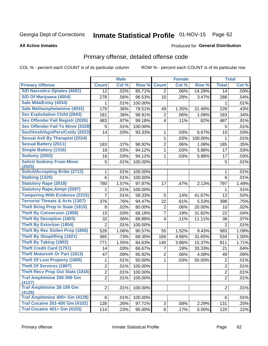# Inmate Statistical Profile 01-NOV-15 Page 62

### **All Active Inmates**

## **Produced for General Distribution**

# Primary offense, detailed offense code

COL % - percent each COUNT is of its particular column

|                                            |                | <b>Male</b> |         |                | <b>Female</b> |         |                 | <b>Total</b> |
|--------------------------------------------|----------------|-------------|---------|----------------|---------------|---------|-----------------|--------------|
| <b>Primary Offense</b>                     | <b>Count</b>   | Col %       | Row %   | <b>Count</b>   | Col %         | Row %   | <b>Total</b>    | Col %        |
| <b>S/D Narcotics Opiates (4001)</b>        | 12             | .02%        | 85.71%  | $\overline{2}$ | .06%          | 14.29%  | 14              | .03%         |
| S/D Of Marijuana (4004)                    | 278            | .56%        | 96.53%  | 10             | .28%          | 3.47%   | 288             | .54%         |
| Sale Mda/Extsy (4034)                      | 1              | .01%        | 100.00% |                |               |         | 1               | .01%         |
| Sale Methamphetamine (4032)                | 179            | .36%        | 78.51%  | 49             | 1.35%         | 21.49%  | 228             | .43%         |
| <b>Sex Exploitation Child (2843)</b>       | 181            | .36%        | 98.91%  | $\overline{2}$ | .06%          | 1.09%   | 183             | .34%         |
| <b>Sex Offender Fail Registr (2026)</b>    | 483            | .97%        | 99.18%  | 4              | .11%          | .82%    | 487             | .91%         |
| <b>Sex Offender Fail To Move (2028)</b>    | 5              | .01%        | 100.00% |                |               |         | 5               | .01%         |
| Sexl/Asslt/Agn/Pers/Cstdy (2023)           | 14             | .03%        | 93.33%  | 1              | .03%          | 6.67%   | 15              | .03%         |
| <b>Sexual Aslt By Therapist (2024)</b>     |                |             |         | 1              | .03%          | 100.00% | 1               | .01%         |
| <b>Sexual Battery (2011)</b>               | 183            | .37%        | 98.92%  | 2              | .06%          | 1.08%   | 185             | .35%         |
| <b>Simple Battery (1316)</b>               | 16             | .03%        | 94.12%  | 1              | .03%          | 5.88%   | 17              | .03%         |
| <b>Sodomy (2002)</b>                       | 16             | .03%        | 94.12%  | 1              | .03%          | 5.88%   | 17              | .03%         |
| <b>Solicit Sodomy From Minor</b><br>(2025) | 5              | .01%        | 100.00% |                |               |         | 5               | .01%         |
| <b>Solicit/Accepting Bribe (2712)</b>      | 1              | .01%        | 100.00% |                |               |         | 1               | .01%         |
| Stalking (1320)                            | 6              | .01%        | 100.00% |                |               |         | $6\phantom{1}6$ | .01%         |
| <b>Statutory Rape (2018)</b>               | 780            | 1.57%       | 97.87%  | 17             | .47%          | 2.13%   | 797             | 1.49%        |
| <b>Statutory Rape, Atmpt (2097)</b>        | 1              | .01%        | 100.00% |                |               |         | 1               | .01%         |
| <b>Tampering With Evidence (2315)</b>      | 7              | .01%        | 58.33%  | 5              | .14%          | 41.67%  | 12              | .02%         |
| <b>Terrorist Threats &amp; Acts (1307)</b> | 376            | .76%        | 94.47%  | 22             | .61%          | 5.53%   | 398             | .75%         |
| <b>Theft Bring Prop In State (1815)</b>    | 8              | .02%        | 80.00%  | $\overline{2}$ | .06%          | 20.00%  | 10              | .02%         |
| <b>Theft By Conversion (1808)</b>          | 15             | .03%        | 68.18%  | 7              | .19%          | 31.82%  | 22              | .04%         |
| <b>Theft By Deception (1803)</b>           | 32             | .06%        | 88.89%  | 4              | .11%          | 11.11%  | 36              | .07%         |
| <b>Theft By Extortion (1804)</b>           | $\overline{2}$ | .01%        | 100.00% |                |               |         | $\overline{2}$  | .01%         |
| Theft By Rec Stolen Prop (1806)            | 528            | 1.06%       | 90.57%  | 55             | 1.52%         | 9.43%   | 583             | 1.09%        |
| <b>Theft By Shoplifting (1821)</b>         | 365            | .73%        | 68.35%  | 169            | 4.66%         | 31.65%  | 534             | 1.00%        |
| <b>Theft By Taking (1802)</b>              | 771            | 1.55%       | 84.63%  | 140            | 3.86%         | 15.37%  | 911             | 1.71%        |
| <b>Theft Credit Card (1751)</b>            | 14             | .03%        | 66.67%  | 7              | .19%          | 33.33%  | 21              | .04%         |
| <b>Theft Motorveh Or Part (1813)</b>       | 47             | .09%        | 95.92%  | 2              | .06%          | 4.08%   | 49              | .09%         |
| <b>Theft Of Lost Property (1805)</b>       | 1              | .01%        | 50.00%  | 1              | .03%          | 50.00%  | $\overline{c}$  | .01%         |
| <b>Theft Of Services (1807)</b>            | $\overline{2}$ | .01%        | 100.00% |                |               |         | $\overline{2}$  | .01%         |
| <b>Theft Recv Prop Out State (1816)</b>    | $\overline{2}$ | .01%        | 100.00% |                |               |         | $\overline{2}$  | .01%         |
| <b>Traf Amphtmine 200-399 Gm</b>           | $\overline{2}$ | .01%        | 100.00% |                |               |         | $\overline{2}$  | .01%         |
| (4127)                                     |                |             |         |                |               |         |                 |              |
| <b>Traf Amphtmine 28-199 Gm</b><br>(4126)  | $\overline{2}$ | .01%        | 100.00% |                |               |         | $\overline{2}$  | .01%         |
| Traf Amphtmine 400+ Gm (4128)              | $\,6$          | .01%        | 100.00% |                |               |         | 6               | .01%         |
| <b>Traf Cocaine 201-400 Gm (4102)</b>      | 128            | .26%        | 97.71%  | $\sqrt{3}$     | .08%          | 2.29%   | 131             | .25%         |
| <b>Traf Cocaine 401+ Gm (4103)</b>         | 114            | .23%        | 95.00%  | $6\phantom{1}$ | .17%          | 5.00%   | 120             | .22%         |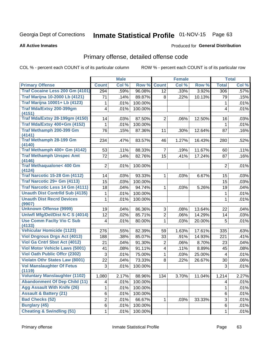# Inmate Statistical Profile 01-NOV-15 Page 63

### **All Active Inmates**

## **Produced for General Distribution**

# Primary offense, detailed offense code

COL % - percent each COUNT is of its particular column

|                                            |                | <b>Male</b> |         |                         | <b>Female</b> |        |                | <b>Total</b> |
|--------------------------------------------|----------------|-------------|---------|-------------------------|---------------|--------|----------------|--------------|
| <b>Primary Offense</b>                     | <b>Count</b>   | Col %       | Row %   | <b>Count</b>            | Col %         | Row %  | <b>Total</b>   | Col %        |
| Traf Cocaine Less 200 Gm (4101)            | 294            | .59%        | 96.08%  | 12                      | .33%          | 3.92%  | 306            | .57%         |
| <b>Traf Marijna 10-2000 Lb (4121)</b>      | 71             | .14%        | 89.87%  | 8                       | .22%          | 10.13% | 79             | .15%         |
| <b>Traf Marijna 10001+ Lb (4123)</b>       | 1              | .01%        | 100.00% |                         |               |        | 1              | .01%         |
| Traf Mda/Extsy 200-399gm                   | 4              | .01%        | 100.00% |                         |               |        | 4              | .01%         |
| (4151)                                     |                |             |         |                         |               |        |                |              |
| <b>Traf Mda/Extsy 28-199gm (4150)</b>      | 14             | .03%        | 87.50%  | $\overline{2}$          | .06%          | 12.50% | 16             | .03%         |
| Traf Mda/Extsy 400+Gm (4152)               | 1              | .01%        | 100.00% |                         |               |        | $\mathbf 1$    | .01%         |
| Traf Methamph 200-399 Gm                   | 76             | .15%        | 87.36%  | 11                      | .30%          | 12.64% | 87             | .16%         |
| (4141)<br><b>Traf Methamph 28-199 Gm</b>   | 234            | .47%        | 83.57%  | 46                      | 1.27%         | 16.43% | 280            | .52%         |
| (4140)                                     |                |             |         |                         |               |        |                |              |
| Traf Methamph 400+ Gm (4142)               | 53             | .11%        | 88.33%  | $\overline{7}$          | .19%          | 11.67% | 60             | .11%         |
| <b>Traf Methamph Unspec Amt</b>            | 72             | .14%        | 82.76%  | 15                      | .41%          | 17.24% | 87             | .16%         |
| (4146)                                     |                |             |         |                         |               |        |                |              |
| <b>Traf Methaqualone&lt; 400 Gm</b>        | $\overline{2}$ | .01%        | 100.00% |                         |               |        | $\overline{2}$ | .01%         |
| (4124)                                     |                |             |         |                         |               |        |                |              |
| <b>Traf Narcotic 15-28 Gm (4112)</b>       | 14             | .03%        | 93.33%  | 1                       | .03%          | 6.67%  | 15             | .03%         |
| Traf Narcotic 29+ Gm (4113)                | 15             | .03%        | 100.00% |                         |               |        | 15             | .03%         |
| Traf Narcotic Less 14 Gm (4111)            | 18             | .04%        | 94.74%  | $\mathbf{1}$            | .03%          | 5.26%  | 19             | .04%         |
| <b>Unauth Dist Contrild Sub (4135)</b>     | 1              | .01%        | 100.00% |                         |               |        | 1              | .01%         |
| <b>Unauth Dist Recrd Devices</b><br>(9907) | 1              | .01%        | 100.00% |                         |               |        | 1              | .01%         |
| <b>Unknown Offense (9999)</b>              | 19             | .04%        | 86.36%  | $\overline{3}$          | .08%          | 13.64% | 22             | .04%         |
| <b>Uniwfl Mfg/Del/Dist N-C S (4014)</b>    | 12             | .02%        | 85.71%  | $\overline{2}$          | .06%          | 14.29% | 14             | .03%         |
| <b>Use Comm Facity Vio C Sub</b>           | 4              | .01%        | 80.00%  | $\mathbf{1}$            | .03%          | 20.00% | 5              | .01%         |
| (4133)                                     |                |             |         |                         |               |        |                |              |
| <b>Vehicular Homicide (1123)</b>           | 276            | .55%        | 82.39%  | 59                      | 1.63%         | 17.61% | 335            | .63%         |
| <b>Viol Dngrous Drgs Act (4013)</b>        | 188            | .38%        | 85.07%  | 33                      | .91%          | 14.93% | 221            | .41%         |
| Viol Ga Cntrl Sbst Act (4012)              | 21             | .04%        | 91.30%  | $\overline{2}$          | .06%          | 8.70%  | 23             | .04%         |
| <b>Viol Motor Vehicle Laws (5001)</b>      | 41             | .08%        | 91.11%  | $\overline{\mathbf{4}}$ | .11%          | 8.89%  | 45             | .08%         |
| <b>Viol Oath Public Offer (2302)</b>       | 3              | .01%        | 75.00%  | 1                       | .03%          | 25.00% | 4              | .01%         |
| <b>Violatn Othr States Law (8001)</b>      | 22             | .04%        | 73.33%  | 8                       | .22%          | 26.67% | 30             | .06%         |
| <b>Vol Manslaughter Of Fetus</b><br>(1119) | 3              | .01%        | 100.00% |                         |               |        | 3              | .01%         |
| <b>Voluntary Manslaughter (1102)</b>       | 1,080          | 2.17%       | 88.96%  | 134                     | 3.70%         | 11.04% | 1,214          | 2.27%        |
| <b>Abandonment Of Dep Child (11)</b>       | 4              | .01%        | 100.00% |                         |               |        | 4              | .01%         |
| <b>Agg Assault With Knife (26)</b>         | $\mathbf{1}$   | .01%        | 100.00% |                         |               |        | $\mathbf{1}$   | .01%         |
| <b>Assault &amp; Battery (21)</b>          | 6              | .01%        | 100.00% |                         |               |        | 6              | .01%         |
| <b>Bad Checks (52)</b>                     | $\overline{2}$ | .01%        | 66.67%  | 1.                      | .03%          | 33.33% | 3              | .01%         |
| <b>Burglary (45)</b>                       | 6              | .01%        | 100.00% |                         |               |        | 6              | .01%         |
| <b>Cheating &amp; Swindling (51)</b>       | $\mathbf 1$    | .01%        | 100.00% |                         |               |        | 1              | .01%         |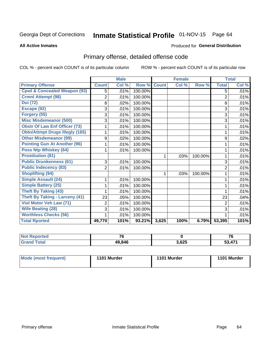# Inmate Statistical Profile 01-NOV-15 Page 64

### **All Active Inmates**

### Produced for General Distribution

# Primary offense, detailed offense code

COL % - percent each COUNT is of its particular column

|                                         |                | <b>Male</b> |           | <b>Female</b> |       |         | <b>Total</b>   |       |
|-----------------------------------------|----------------|-------------|-----------|---------------|-------|---------|----------------|-------|
| <b>Primary Offense</b>                  | <b>Count</b>   | Col %       | Row %     | <b>Count</b>  | Col % | Row %   | <b>Total</b>   | Col % |
| <b>Cpwl &amp; Concealed Weapon (93)</b> | 5              | .01%        | 100.00%   |               |       |         | 5              | .01%  |
| <b>Crmnl Attempt (98)</b>               | $\overline{2}$ | .01%        | 100.00%   |               |       |         | $\overline{2}$ | .01%  |
| <b>Dui (72)</b>                         | 8              | .02%        | 100.00%   |               |       |         | 8              | .01%  |
| Escape (92)                             | 3              | .01%        | 100.00%   |               |       |         | 3              | .01%  |
| Forgery (55)                            | 3              | .01%        | 100.00%   |               |       |         | 3              | .01%  |
| <b>Misc Misdemeanor (500)</b>           | 3              | .01%        | 100.00%   |               |       |         | 3              | .01%  |
| <b>Obstr Of Law Enf Officer (73)</b>    |                | .01%        | 100.00%   |               |       |         |                | .01%  |
| <b>Obtn/Attmpt Drugs Illegly (165)</b>  |                | .01%        | 100.00%   |               |       |         | 1              | .01%  |
| <b>Other Misdemeanor (99)</b>           | 9              | .02%        | 100.00%   |               |       |         | 9              | .02%  |
| <b>Pointing Gun At Another (96)</b>     |                | .01%        | 100.00%   |               |       |         |                | .01%  |
| <b>Poss Ntp Whiskey (64)</b>            |                | .01%        | 100.00%   |               |       |         | 1              | .01%  |
| <b>Prostitution (81)</b>                |                |             |           | 1             | .03%  | 100.00% | 1              | .01%  |
| <b>Public Drunkenness (61)</b>          | 3              | .01%        | 100.00%   |               |       |         | 3              | .01%  |
| <b>Public Indecency (83)</b>            | $\overline{2}$ | .01%        | 100.00%   |               |       |         | $\overline{2}$ | .01%  |
| <b>Shoplifting (94)</b>                 |                |             |           | 1             | .03%  | 100.00% | 1              | .01%  |
| Simple Assault (24)                     | $\mathbf 1$    | .01%        | 100.00%   |               |       |         | 1              | .01%  |
| <b>Simple Battery (25)</b>              |                | .01%        | 100.00%   |               |       |         |                | .01%  |
| <b>Theft By Taking (43)</b>             |                | .01%        | 100.00%   |               |       |         |                | .01%  |
| <b>Theft By Taking - Larceny (41)</b>   | 23             | .05%        | 100.00%   |               |       |         | 23             | .04%  |
| Viol Motor Veh Law (71)                 | 2              | .01%        | 100.00%   |               |       |         | 2              | .01%  |
| <b>Wife Beating (28)</b>                | 3              | .01%        | 100.00%   |               |       |         | 3              | .01%  |
| <b>Worthless Checks (56)</b>            | 1              | .01%        | 100.00%   |               |       |         | 1              | .01%  |
| <b>Total Rported</b>                    | 49,770         | 101%        | $93.21\%$ | 3,625         | 100%  | 6.79%   | 53,395         | 101%  |

| ted. | $\rightarrow$ |       | 70<br>r c |
|------|---------------|-------|-----------|
|      | 49,846        | 3,625 | 474       |

| Mode (most frequent) | 1101 Murder | 1101 Murder | 1101 Murder |
|----------------------|-------------|-------------|-------------|
|                      |             |             |             |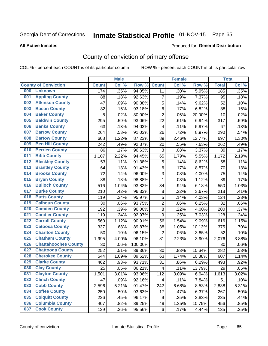# Inmate Statistical Profile 01-NOV-15 Page 65

### **All Active Inmates**

### Produced for General Distribution

# County of conviction of primary offense

COL % - percent each COUNT is of its particular column

|     |                             |              | <b>Male</b> |         | <b>Female</b>             |       |        | <b>Total</b> |       |
|-----|-----------------------------|--------------|-------------|---------|---------------------------|-------|--------|--------------|-------|
|     | <b>County of Conviction</b> | <b>Count</b> | Col %       | Row %   | <b>Count</b>              | Col % | Row %  | <b>Total</b> | Col % |
| 000 | <b>Unknown</b>              | 174          | .35%        | 94.05%  | 11                        | .30%  | 5.95%  | 185          | .35%  |
| 001 | <b>Appling County</b>       | 88           | .18%        | 92.63%  | $\overline{7}$            | .19%  | 7.37%  | 95           | .18%  |
| 002 | <b>Atkinson County</b>      | 47           | .09%        | 90.38%  | $\mathbf 5$               | .14%  | 9.62%  | 52           | .10%  |
| 003 | <b>Bacon County</b>         | 82           | .16%        | 93.18%  | 6                         | .17%  | 6.82%  | 88           | .16%  |
| 004 | <b>Baker County</b>         | 8            | .02%        | 80.00%  | $\overline{2}$            | .06%  | 20.00% | 10           | .02%  |
| 005 | <b>Baldwin County</b>       | 295          | .59%        | 93.06%  | 22                        | .61%  | 6.94%  | 317          | .59%  |
| 006 | <b>Banks County</b>         | 63           | .13%        | 94.03%  | $\overline{4}$            | .11%  | 5.97%  | 67           | .13%  |
| 007 | <b>Barrow County</b>        | 264          | .53%        | 91.03%  | 26                        | .72%  | 8.97%  | 290          | .54%  |
| 008 | <b>Bartow County</b>        | 608          | 1.22%       | 87.23%  | 89                        | 2.46% | 12.77% | 697          | 1.30% |
| 009 | <b>Ben Hill County</b>      | 242          | .49%        | 92.37%  | 20                        | .55%  | 7.63%  | 262          | .49%  |
| 010 | <b>Berrien County</b>       | 86           | .17%        | 96.63%  | $\ensuremath{\mathsf{3}}$ | .08%  | 3.37%  | 89           | .17%  |
| 011 | <b>Bibb County</b>          | 1,107        | 2.22%       | 94.45%  | 65                        | 1.79% | 5.55%  | 1,172        | 2.19% |
| 012 | <b>Bleckley County</b>      | 53           | .11%        | 91.38%  | $\sqrt{5}$                | .14%  | 8.62%  | 58           | .11%  |
| 013 | <b>Brantley County</b>      | 64           | .13%        | 91.43%  | $\,6$                     | .17%  | 8.57%  | 70           | .13%  |
| 014 | <b>Brooks County</b>        | 72           | .14%        | 96.00%  | $\sqrt{3}$                | .08%  | 4.00%  | 75           | .14%  |
| 015 | <b>Bryan County</b>         | 88           | .18%        | 98.88%  | $\mathbf{1}$              | .03%  | 1.12%  | 89           | .17%  |
| 016 | <b>Bulloch County</b>       | 516          | 1.04%       | 93.82%  | 34                        | .94%  | 6.18%  | 550          | 1.03% |
| 017 | <b>Burke County</b>         | 210          | .42%        | 96.33%  | 8                         | .22%  | 3.67%  | 218          | .41%  |
| 018 | <b>Butts County</b>         | 119          | .24%        | 95.97%  | $\sqrt{5}$                | .14%  | 4.03%  | 124          | .23%  |
| 019 | <b>Calhoun County</b>       | 30           | .06%        | 93.75%  | $\overline{c}$            | .06%  | 6.25%  | 32           | .06%  |
| 020 | <b>Camden County</b>        | 192          | .39%        | 96.00%  | 8                         | .22%  | 4.00%  | 200          | .37%  |
| 021 | <b>Candler County</b>       | 119          | .24%        | 92.97%  | 9                         | .25%  | 7.03%  | 128          | .24%  |
| 022 | <b>Carroll County</b>       | 560          | 1.12%       | 90.91%  | 56                        | 1.54% | 9.09%  | 616          | 1.15% |
| 023 | <b>Catoosa County</b>       | 337          | .68%        | 89.87%  | 38                        | 1.05% | 10.13% | 375          | .70%  |
| 024 | <b>Charlton County</b>      | 50           | .10%        | 96.15%  | $\overline{2}$            | .06%  | 3.85%  | 52           | .10%  |
| 025 | <b>Chatham County</b>       | 1,995        | 4.00%       | 96.10%  | 81                        | 2.23% | 3.90%  | 2,076        | 3.88% |
| 026 | <b>Chattahoochee County</b> | 30           | .06%        | 100.00% |                           |       |        | 30           | .06%  |
| 027 | <b>Chattooga County</b>     | 252          | .51%        | 89.36%  | 30                        | .83%  | 10.64% | 282          | .53%  |
| 028 | <b>Cherokee County</b>      | 544          | 1.09%       | 89.62%  | 63                        | 1.74% | 10.38% | 607          | 1.14% |
| 029 | <b>Clarke County</b>        | 462          | .93%        | 93.71%  | 31                        | .86%  | 6.29%  | 493          | .92%  |
| 030 | <b>Clay County</b>          | 25           | .05%        | 86.21%  | $\overline{\mathbf{4}}$   | .11%  | 13.79% | 29           | .05%  |
| 031 | <b>Clayton County</b>       | 1,501        | 3.01%       | 93.06%  | 112                       | 3.09% | 6.94%  | 1,613        | 3.02% |
| 032 | <b>Clinch County</b>        | 47           | .09%        | 92.16%  | 4                         | .11%  | 7.84%  | 51           | .10%  |
| 033 | <b>Cobb County</b>          | 2,596        | 5.21%       | 91.47%  | 242                       | 6.68% | 8.53%  | 2,838        | 5.31% |
| 034 | <b>Coffee County</b>        | 250          | .50%        | 93.63%  | 17                        | .47%  | 6.37%  | 267          | .50%  |
| 035 | <b>Colquitt County</b>      | 226          | .45%        | 96.17%  | 9                         | .25%  | 3.83%  | 235          | .44%  |
| 036 | <b>Columbia County</b>      | 407          | .82%        | 89.25%  | 49                        | 1.35% | 10.75% | 456          | .85%  |
| 037 | <b>Cook County</b>          | 129          | .26%        | 95.56%  | 6                         | .17%  | 4.44%  | 135          | .25%  |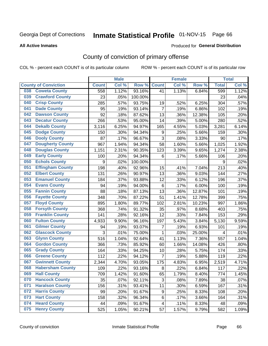# Inmate Statistical Profile 01-NOV-15 Page 66

### **All Active Inmates**

### Produced for General Distribution

# County of conviction of primary offense

COL % - percent each COUNT is of its particular column

|                                |                  | <b>Male</b> |         |                | <b>Female</b> |        |              | <b>Total</b> |
|--------------------------------|------------------|-------------|---------|----------------|---------------|--------|--------------|--------------|
| <b>County of Conviction</b>    | <b>Count</b>     | Col %       | Row %   | <b>Count</b>   | Col %         | Row %  | <b>Total</b> | Col %        |
| <b>Coweta County</b><br>038    | 558              | 1.12%       | 93.16%  | 41             | 1.13%         | 6.84%  | 599          | 1.12%        |
| <b>Crawford County</b><br>039  | 23               | .05%        | 100.00% |                |               |        | 23           | .04%         |
| <b>Crisp County</b><br>040     | 285              | .57%        | 93.75%  | 19             | .52%          | 6.25%  | 304          | .57%         |
| <b>Dade County</b><br>041      | 95               | .19%        | 93.14%  | $\overline{7}$ | .19%          | 6.86%  | 102          | .19%         |
| <b>Dawson County</b><br>042    | 92               | .18%        | 87.62%  | 13             | .36%          | 12.38% | 105          | .20%         |
| 043<br><b>Decatur County</b>   | 266              | .53%        | 95.00%  | 14             | .39%          | 5.00%  | 280          | .52%         |
| <b>Dekalb County</b><br>044    | 3,116            | 6.25%       | 94.97%  | 165            | 4.55%         | 5.03%  | 3,281        | 6.14%        |
| <b>Dodge County</b><br>045     | 150              | .30%        | 94.34%  | 9              | .25%          | 5.66%  | 159          | .30%         |
| <b>Dooly County</b><br>046     | 87               | .17%        | 96.67%  | 3              | .08%          | 3.33%  | 90           | .17%         |
| <b>Dougherty County</b><br>047 | 967              | 1.94%       | 94.34%  | 58             | 1.60%         | 5.66%  | 1,025        | 1.92%        |
| <b>Douglas County</b><br>048   | 1,151            | 2.31%       | 90.35%  | 123            | 3.39%         | 9.65%  | 1,274        | 2.38%        |
| <b>Early County</b><br>049     | 100              | .20%        | 94.34%  | 6              | .17%          | 5.66%  | 106          | .20%         |
| <b>Echols County</b><br>050    | $\boldsymbol{9}$ | .02%        | 100.00% |                |               |        | 9            | .02%         |
| <b>Effingham County</b><br>051 | 198              | .40%        | 92.96%  | 15             | .41%          | 7.04%  | 213          | .40%         |
| <b>Elbert County</b><br>052    | 131              | .26%        | 90.97%  | 13             | .36%          | 9.03%  | 144          | .27%         |
| <b>Emanuel County</b><br>053   | 184              | .37%        | 93.88%  | 12             | .33%          | 6.12%  | 196          | .37%         |
| <b>Evans County</b><br>054     | 94               | .19%        | 94.00%  | $\,6$          | .17%          | 6.00%  | 100          | .19%         |
| <b>Fannin County</b><br>055    | 88               | .18%        | 87.13%  | 13             | .36%          | 12.87% | 101          | .19%         |
| <b>Fayette County</b><br>056   | 348              | .70%        | 87.22%  | 51             | 1.41%         | 12.78% | 399          | .75%         |
| <b>Floyd County</b><br>057     | 895              | 1.80%       | 89.77%  | 102            | 2.81%         | 10.23% | 997          | 1.86%        |
| <b>Forsyth County</b><br>058   | 368              | .74%        | 91.32%  | 35             | .97%          | 8.68%  | 403          | .75%         |
| <b>Franklin County</b><br>059  | 141              | .28%        | 92.16%  | 12             | .33%          | 7.84%  | 153          | .29%         |
| <b>Fulton County</b><br>060    | 4,933            | 9.90%       | 96.16%  | 197            | 5.43%         | 3.84%  | 5,130        | 9.59%        |
| <b>Gilmer County</b><br>061    | 94               | .19%        | 93.07%  | $\overline{7}$ | .19%          | 6.93%  | 101          | .19%         |
| <b>Glascock County</b><br>062  | 3                | .01%        | 75.00%  | 1              | .03%          | 25.00% | 4            | .01%         |
| 063<br><b>Glynn County</b>     | 516              | 1.04%       | 92.64%  | 41             | 1.13%         | 7.36%  | 557          | 1.04%        |
| <b>Gordon County</b><br>064    | 366              | .73%        | 85.92%  | 60             | 1.66%         | 14.08% | 426          | .80%         |
| 065<br><b>Grady County</b>     | 164              | .33%        | 94.25%  | 10             | .28%          | 5.75%  | 174          | .33%         |
| <b>Greene County</b><br>066    | 112              | .22%        | 94.12%  | $\overline{7}$ | .19%          | 5.88%  | 119          | .22%         |
| <b>Gwinnett County</b><br>067  | 2,344            | 4.70%       | 93.05%  | 175            | 4.83%         | 6.95%  | 2,519        | 4.71%        |
| <b>Habersham County</b><br>068 | 109              | .22%        | 93.16%  | 8              | .22%          | 6.84%  | 117          | .22%         |
| 069<br><b>Hall County</b>      | 709              | 1.42%       | 91.60%  | 65             | 1.79%         | 8.40%  | 774          | 1.45%        |
| <b>Hancock County</b><br>070   | 35               | .07%        | 92.11%  | 3              | .08%          | 7.89%  | 38           | .07%         |
| <b>Haralson County</b><br>071  | 156              | .31%        | 93.41%  | 11             | .30%          | 6.59%  | 167          | .31%         |
| <b>Harris County</b><br>072    | 99               | .20%        | 91.67%  | 9              | .25%          | 8.33%  | 108          | .20%         |
| <b>Hart County</b><br>073      | 158              | .32%        | 96.34%  | 6              | .17%          | 3.66%  | 164          | .31%         |
| <b>Heard County</b><br>074     | 44               | .09%        | 91.67%  | 4              | .11%          | 8.33%  | 48           | .09%         |
| <b>Henry County</b><br>075     | 525              | 1.05%       | 90.21%  | 57             | 1.57%         | 9.79%  | 582          | 1.09%        |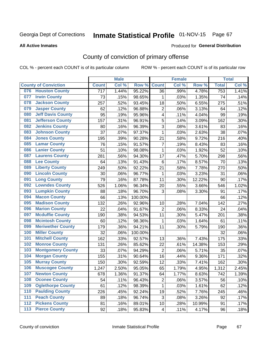# Inmate Statistical Profile 01-NOV-15 Page 67

### **All Active Inmates**

### Produced for General Distribution

# County of conviction of primary offense

COL % - percent each COUNT is of its particular column

|                                 |                  | <b>Male</b> |         |                | <b>Female</b> |        |              | <b>Total</b> |
|---------------------------------|------------------|-------------|---------|----------------|---------------|--------|--------------|--------------|
| <b>County of Conviction</b>     | <b>Count</b>     | Col %       | Row %   | <b>Count</b>   | Col %         | Row %  | <b>Total</b> | Col%         |
| <b>Houston County</b><br>076    | $\overline{717}$ | 1.44%       | 95.22%  | 36             | .99%          | 4.78%  | 753          | 1.41%        |
| <b>Irwin County</b><br>077      | 73               | .15%        | 98.65%  | 1              | .03%          | 1.35%  | 74           | .14%         |
| <b>Jackson County</b><br>078    | 257              | .52%        | 93.45%  | 18             | .50%          | 6.55%  | 275          | .51%         |
| <b>Jasper County</b><br>079     | 62               | .12%        | 96.88%  | $\overline{2}$ | .06%          | 3.13%  | 64           | .12%         |
| <b>Jeff Davis County</b><br>080 | 95               | .19%        | 95.96%  | 4              | .11%          | 4.04%  | 99           | .19%         |
| 081<br><b>Jefferson County</b>  | 157              | .31%        | 96.91%  | 5              | .14%          | 3.09%  | 162          | .30%         |
| <b>Jenkins County</b><br>082    | 80               | .16%        | 96.39%  | 3              | .08%          | 3.61%  | 83           | .16%         |
| <b>Johnson County</b><br>083    | 37               | .07%        | 97.37%  | $\mathbf 1$    | .03%          | 2.63%  | 38           | .07%         |
| <b>Jones County</b><br>084      | 195              | .39%        | 90.28%  | 21             | .58%          | 9.72%  | 216          | .40%         |
| <b>Lamar County</b><br>085      | 76               | .15%        | 91.57%  | $\overline{7}$ | .19%          | 8.43%  | 83           | .16%         |
| <b>Lanier County</b><br>086     | 51               | .10%        | 98.08%  | 1              | .03%          | 1.92%  | 52           | .10%         |
| <b>Laurens County</b><br>087    | 281              | .56%        | 94.30%  | 17             | .47%          | 5.70%  | 298          | .56%         |
| <b>Lee County</b><br>088        | 64               | .13%        | 91.43%  | 6              | .17%          | 8.57%  | 70           | .13%         |
| <b>Liberty County</b><br>089    | 249              | .50%        | 92.22%  | 21             | .58%          | 7.78%  | 270          | .50%         |
| <b>Lincoln County</b><br>090    | 30               | .06%        | 96.77%  | 1              | .03%          | 3.23%  | 31           | .06%         |
| <b>Long County</b><br>091       | 79               | .16%        | 87.78%  | 11             | .30%          | 12.22% | 90           | .17%         |
| <b>Lowndes County</b><br>092    | 526              | 1.06%       | 96.34%  | 20             | .55%          | 3.66%  | 546          | 1.02%        |
| <b>Lumpkin County</b><br>093    | 88               | .18%        | 96.70%  | 3              | .08%          | 3.30%  | 91           | .17%         |
| <b>Macon County</b><br>094      | 66               | .13%        | 100.00% |                |               |        | 66           | .12%         |
| <b>Madison County</b><br>095    | 132              | .26%        | 92.96%  | 10             | .28%          | 7.04%  | 142          | .27%         |
| <b>Marion County</b><br>096     | 22               | .04%        | 91.67%  | $\overline{2}$ | .06%          | 8.33%  | 24           | .04%         |
| <b>Mcduffie County</b><br>097   | 190              | .38%        | 94.53%  | 11             | .30%          | 5.47%  | 201          | .38%         |
| <b>Mcintosh County</b><br>098   | 60               | .12%        | 98.36%  | 1              | .03%          | 1.64%  | 61           | .11%         |
| <b>Meriwether County</b><br>099 | 179              | .36%        | 94.21%  | 11             | .30%          | 5.79%  | 190          | .36%         |
| <b>Miller County</b><br>100     | 32               | .06%        | 100.00% |                |               |        | 32           | .06%         |
| <b>Mitchell County</b><br>101   | 162              | .33%        | 92.57%  | 13             | .36%          | 7.43%  | 175          | .33%         |
| <b>Monroe County</b><br>102     | 131              | .26%        | 85.62%  | 22             | .61%          | 14.38% | 153          | .29%         |
| <b>Montgomery County</b><br>103 | 33               | .07%        | 94.29%  | $\overline{2}$ | .06%          | 5.71%  | 35           | .07%         |
| <b>Morgan County</b><br>104     | 155              | .31%        | 90.64%  | 16             | .44%          | 9.36%  | 171          | .32%         |
| <b>Murray County</b><br>105     | 150              | .30%        | 92.59%  | 12             | .33%          | 7.41%  | 162          | .30%         |
| <b>Muscogee County</b><br>106   | 1,247            | 2.50%       | 95.05%  | 65             | 1.79%         | 4.95%  | 1,312        | 2.45%        |
| 107<br><b>Newton County</b>     | 678              | 1.36%       | 91.37%  | 64             | 1.77%         | 8.63%  | 742          | 1.39%        |
| <b>Oconee County</b><br>108     | 54               | .11%        | 96.43%  | $\overline{2}$ | .06%          | 3.57%  | 56           | .10%         |
| <b>Oglethorpe County</b><br>109 | 61               | .12%        | 98.39%  | 1              | .03%          | 1.61%  | 62           | .12%         |
| <b>Paulding County</b><br>110   | 226              | .45%        | 92.24%  | 19             | .52%          | 7.76%  | 245          | .46%         |
| <b>Peach County</b><br>111      | 89               | .18%        | 96.74%  | 3              | .08%          | 3.26%  | 92           | .17%         |
| <b>Pickens County</b><br>112    | 81               | .16%        | 89.01%  | 10             | .28%          | 10.99% | 91           | .17%         |
| <b>Pierce County</b><br>$113$   | 92               | .18%        | 95.83%  | 4              | .11%          | 4.17%  | 96           | .18%         |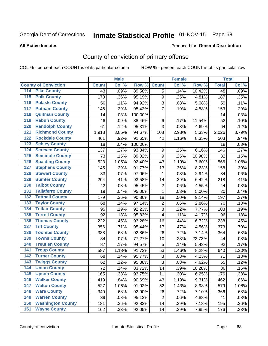# Inmate Statistical Profile 01-NOV-15 Page 68

### **All Active Inmates**

### Produced for General Distribution

# County of conviction of primary offense

COL % - percent each COUNT is of its particular column

|                                        |              | <b>Male</b> |         |                | <b>Female</b> |        |                 | <b>Total</b> |
|----------------------------------------|--------------|-------------|---------|----------------|---------------|--------|-----------------|--------------|
| <b>County of Conviction</b>            | <b>Count</b> | Col %       | Row %   | <b>Count</b>   | Col %         | Row %  | <b>Total</b>    | Col %        |
| <b>Pike County</b><br>114              | 43           | .09%        | 89.58%  | 5              | .14%          | 10.42% | $\overline{48}$ | .09%         |
| <b>Polk County</b><br>$\overline{115}$ | 178          | .36%        | 95.19%  | 9              | .25%          | 4.81%  | 187             | .35%         |
| <b>Pulaski County</b><br>116           | 56           | .11%        | 94.92%  | 3              | .08%          | 5.08%  | 59              | .11%         |
| <b>Putnam County</b><br>117            | 146          | .29%        | 95.42%  | $\overline{7}$ | .19%          | 4.58%  | 153             | .29%         |
| 118<br><b>Quitman County</b>           | 14           | .03%        | 100.00% |                |               |        | 14              | .03%         |
| <b>Rabun County</b><br>119             | 46           | .09%        | 88.46%  | 6              | .17%          | 11.54% | 52              | .10%         |
| <b>Randolph County</b><br>120          | 61           | .12%        | 95.31%  | 3              | .08%          | 4.69%  | 64              | .12%         |
| <b>Richmond County</b><br>121          | 1,918        | 3.85%       | 94.67%  | 108            | 2.98%         | 5.33%  | 2,026           | 3.79%        |
| <b>Rockdale County</b><br>122          | 461          | .92%        | 91.65%  | 42             | 1.16%         | 8.35%  | 503             | .94%         |
| <b>Schley County</b><br>123            | 18           | .04%        | 100.00% |                |               |        | 18              | .03%         |
| <b>Screven County</b><br>124           | 137          | .27%        | 93.84%  | 9              | .25%          | 6.16%  | 146             | .27%         |
| <b>Seminole County</b><br>125          | 73           | .15%        | 89.02%  | 9              | .25%          | 10.98% | 82              | .15%         |
| 126<br><b>Spalding County</b>          | 523          | 1.05%       | 92.40%  | 43             | 1.19%         | 7.60%  | 566             | 1.06%        |
| 127<br><b>Stephens County</b>          | 145          | .29%        | 91.77%  | 13             | .36%          | 8.23%  | 158             | .30%         |
| <b>Stewart County</b><br>128           | 33           | .07%        | 97.06%  | 1              | .03%          | 2.94%  | 34              | .06%         |
| <b>Sumter County</b><br>129            | 204          | .41%        | 93.58%  | 14             | .39%          | 6.42%  | 218             | .41%         |
| <b>Talbot County</b><br>130            | 42           | .08%        | 95.45%  | $\mathbf 2$    | .06%          | 4.55%  | 44              | .08%         |
| <b>Taliaferro County</b><br>131        | 19           | .04%        | 95.00%  | $\mathbf{1}$   | .03%          | 5.00%  | 20              | .04%         |
| <b>Tattnall County</b><br>132          | 179          | .36%        | 90.86%  | 18             | .50%          | 9.14%  | 197             | .37%         |
| <b>Taylor County</b><br>133            | 68           | .14%        | 97.14%  | $\overline{2}$ | .06%          | 2.86%  | 70              | .13%         |
| <b>Telfair County</b><br>134           | 95           | .19%        | 92.23%  | 8              | .22%          | 7.77%  | 103             | .19%         |
| <b>Terrell County</b><br>135           | 92           | .18%        | 95.83%  | 4              | .11%          | 4.17%  | 96              | .18%         |
| <b>Thomas County</b><br>136            | 222          | .45%        | 93.28%  | 16             | .44%          | 6.72%  | 238             | .45%         |
| <b>Tift County</b><br>137              | 356          | .71%        | 95.44%  | 17             | .47%          | 4.56%  | 373             | .70%         |
| <b>Toombs County</b><br>138            | 338          | .68%        | 92.86%  | 26             | .72%          | 7.14%  | 364             | .68%         |
| <b>Towns County</b><br>139             | 34           | .07%        | 77.27%  | 10             | .28%          | 22.73% | 44              | .08%         |
| <b>Treutlen County</b><br>140          | 87           | .17%        | 94.57%  | 5              | .14%          | 5.43%  | 92              | .17%         |
| <b>Troup County</b><br>141             | 587          | 1.18%       | 91.72%  | 53             | 1.46%         | 8.28%  | 640             | 1.20%        |
| <b>Turner County</b><br>142            | 68           | .14%        | 95.77%  | 3              | .08%          | 4.23%  | 71              | .13%         |
| <b>Twiggs County</b><br>143            | 62           | .12%        | 95.38%  | 3              | .08%          | 4.62%  | 65              | .12%         |
| <b>Union County</b><br>144             | 72           | .14%        | 83.72%  | 14             | .39%          | 16.28% | 86              | .16%         |
| 145<br><b>Upson County</b>             | 165          | .33%        | 93.75%  | 11             | .30%          | 6.25%  | 176             | .33%         |
| <b>Walker County</b><br>146            | 419          | .84%        | 90.69%  | 43             | 1.19%         | 9.31%  | 462             | .86%         |
| <b>Walton County</b><br>147            | 527          | 1.06%       | 91.02%  | 52             | 1.43%         | 8.98%  | 579             | 1.08%        |
| <b>Ware County</b><br>148              | 340          | .68%        | 92.90%  | 26             | .72%          | 7.10%  | 366             | .68%         |
| <b>Warren County</b><br>149            | 39           | .08%        | 95.12%  | $\overline{2}$ | .06%          | 4.88%  | 41              | .08%         |
| <b>Washington County</b><br>150        | 181          | .36%        | 92.82%  | 14             | .39%          | 7.18%  | 195             | .36%         |
| <b>Wayne County</b><br>151             | 162          | .33%        | 92.05%  | 14             | .39%          | 7.95%  | 176             | .33%         |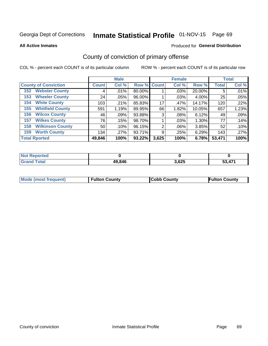# Inmate Statistical Profile 01-NOV-15 Page 69

**All Active Inmates** 

## Produced for General Distribution

# County of conviction of primary offense

COL % - percent each COUNT is of its particular column

|                                |              | <b>Male</b> |             |       | <b>Female</b> |          |              | <b>Total</b> |
|--------------------------------|--------------|-------------|-------------|-------|---------------|----------|--------------|--------------|
| <b>County of Conviction</b>    | <b>Count</b> | Col %       | Row % Count |       | Col %         | Row %    | <b>Total</b> | Col %        |
| <b>Webster County</b><br>152   | 4            | $.01\%$     | 80.00%      |       | .03%          | 20.00%   | 5            | .01%         |
| <b>Wheeler County</b><br>153   | 24           | .05%        | 96.00%      |       | .03%          | 4.00%    | 25           | .05%         |
| <b>White County</b><br>154     | 103          | .21%        | 85.83%      | 17    | .47%          | 14.17%   | 120          | .22%         |
| <b>Whitfield County</b><br>155 | 591          | 1.19%       | 89.95%      | 66    | 1.82%         | 10.05%   | 657          | 1.23%        |
| <b>Wilcox County</b><br>156    | 46           | $.09\%$     | 93.88%      | 3     | .08%          | 6.12%    | 49           | .09%         |
| <b>Wilkes County</b><br>157    | 76           | .15%        | 98.70%      |       | .03%          | $1.30\%$ | 77           | .14%         |
| <b>Wilkinson County</b><br>158 | 50           | .10%        | 96.15%      | 2     | .06%          | 3.85%    | 52           | .10%         |
| <b>Worth County</b><br>159     | 134          | .27%        | 93.71%      | 9     | .25%          | 6.29%    | 143          | .27%         |
| <b>Total Rported</b>           | 49,846       | 100%        | 93.22%      | 3,625 | 100%          | 6.78%    | 53,471       | 100%         |

| <b>Not Reported</b> |        |       |        |
|---------------------|--------|-------|--------|
| <b>Grand Total</b>  | 49,846 | 3,625 | 53,471 |

| Mode (most frequent) | <b>Fulton County</b> | <b>Cobb County</b> | <b>Fulton County</b> |
|----------------------|----------------------|--------------------|----------------------|
|                      |                      |                    |                      |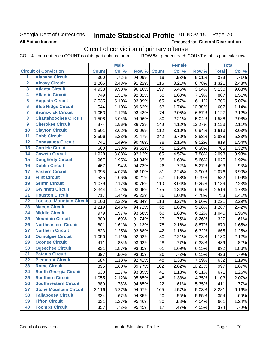# **Georgia Dept of Corrections All Active Inmates**

# Inmate Statistical Profile 01-NOV-15 Page 70

Produced for General Distribution

# Circuit of conviction of primary offense

COL % - percent each COUNT is of its particular column ROW % - percent each COUNT is of its particular row

|                         |                                 |              | <b>Male</b> |        |                 | <b>Female</b> |        |                    | <b>Total</b> |
|-------------------------|---------------------------------|--------------|-------------|--------|-----------------|---------------|--------|--------------------|--------------|
|                         | <b>Circuit of Conviction</b>    | <b>Count</b> | Col %       | Row %  | <b>Count</b>    | Col %         | Row %  | <b>Total</b>       | Col %        |
| 1                       | <b>Alapaha Circuit</b>          | 360          | .72%        | 94.99% | $\overline{19}$ | .53%          | 5.01%  | 379                | .71%         |
| $\overline{2}$          | <b>Alcovy Circuit</b>           | 1,205        | 2.43%       | 91.22% | 116             | 3.21%         | 8.78%  | 1,321              | 2.48%        |
| $\overline{\mathbf{3}}$ | <b>Atlanta Circuit</b>          | 4,933        | 9.93%       | 96.16% | 197             | 5.45%         | 3.84%  | 5,130              | 9.63%        |
| 4                       | <b>Atlantic Circuit</b>         | 749          | 1.51%       | 92.81% | 58              | 1.60%         | 7.19%  | 807                | 1.51%        |
| 5                       | <b>Augusta Circuit</b>          | 2,535        | 5.10%       | 93.89% | 165             | 4.57%         | 6.11%  | 2,700              | 5.07%        |
| $\overline{\mathbf{6}}$ | <b>Blue Ridge Circuit</b>       | 544          | 1.10%       | 89.62% | 63              | 1.74%         | 10.38% | 607                | 1.14%        |
| $\overline{\mathbf{7}}$ | <b>Brunswick Circuit</b>        | 1,053        | 2.12%       | 93.43% | 74              | 2.05%         | 6.57%  | 1,127              | 2.12%        |
| 8                       | <b>Chattahoochee Circuit</b>    | 1,508        | 3.04%       | 94.96% | 80              | 2.21%         | 5.04%  | 1,588              | 2.98%        |
| $\overline{9}$          | <b>Cherokee Circuit</b>         | 974          | 1.96%       | 86.73% | 149             | 4.12%         | 13.27% | 1,123              | 2.11%        |
| 10                      | <b>Clayton Circuit</b>          | 1,501        | 3.02%       | 93.06% | 112             | 3.10%         | 6.94%  | 1,613              | 3.03%        |
| $\overline{11}$         | <b>Cobb Circuit</b>             | 2,596        | 5.23%       | 91.47% | 242             | 6.70%         | 8.53%  | 2,838              | 5.33%        |
| 12                      | <b>Conasauga Circuit</b>        | 741          | 1.49%       | 90.48% | 78              | 2.16%         | 9.52%  | 819                | 1.54%        |
| $\overline{13}$         | <b>Cordele Circuit</b>          | 660          | 1.33%       | 93.62% | 45              | 1.25%         | 6.38%  | 705                | 1.32%        |
| $\overline{14}$         | <b>Coweta Circuit</b>           | 1,928        | 3.88%       | 92.12% | 165             | 4.57%         | 7.88%  | 2,093              | 3.93%        |
| $\overline{15}$         | <b>Dougherty Circuit</b>        | 967          | 1.95%       | 94.34% | 58              | 1.60%         | 5.66%  | 1,025              | 1.92%        |
| 16                      | <b>Dublin Circuit</b>           | 467          | .94%        | 94.73% | 26              | .72%          | 5.27%  | 493                | .93%         |
| $\overline{17}$         | <b>Eastern Circuit</b>          | 1,995        | 4.02%       | 96.10% | 81              | 2.24%         | 3.90%  | $\overline{2,076}$ | 3.90%        |
| 18                      | <b>Flint Circuit</b>            | 525          | 1.06%       | 90.21% | 57              | 1.58%         | 9.79%  | 582                | 1.09%        |
| 19                      | <b>Griffin Circuit</b>          | 1,079        | 2.17%       | 90.75% | 110             | 3.04%         | 9.25%  | 1,189              | 2.23%        |
| 20                      | <b>Gwinnett Circuit</b>         | 2,344        | 4.72%       | 93.05% | 175             | 4.84%         | 6.95%  | 2,519              | 4.73%        |
| $\overline{21}$         | <b>Houston Circuit</b>          | 717          | 1.44%       | 95.22% | 36              | 1.00%         | 4.78%  | 753                | 1.41%        |
| $\overline{22}$         | <b>Lookout Mountain Circuit</b> | 1,103        | 2.22%       | 90.34% | 118             | 3.27%         | 9.66%  | 1,221              | 2.29%        |
| 23                      | <b>Macon Circuit</b>            | 1,219        | 2.45%       | 94.72% | 68              | 1.88%         | 5.28%  | 1,287              | 2.42%        |
| 24                      | <b>Middle Circuit</b>           | 979          | 1.97%       | 93.68% | 66              | 1.83%         | 6.32%  | 1,045              | 1.96%        |
| $\overline{25}$         | <b>Mountain Circuit</b>         | 300          | .60%        | 91.74% | 27              | .75%          | 8.26%  | 327                | .61%         |
| 26                      | <b>Northeastern Circuit</b>     | 801          | 1.61%       | 91.13% | 78              | 2.16%         | 8.87%  | 879                | 1.65%        |
| $\overline{27}$         | <b>Northern Circuit</b>         | 623          | 1.25%       | 93.68% | 42              | 1.16%         | 6.32%  | 665                | 1.25%        |
| 28                      | <b>Ocmulgee Circuit</b>         | 1,050        | 2.11%       | 92.92% | 80              | 2.21%         | 7.08%  | 1,130              | 2.12%        |
| 29                      | <b>Oconee Circuit</b>           | 411          | .83%        | 93.62% | 28              | .77%          | 6.38%  | 439                | .82%         |
| 30                      | <b>Ogeechee Circuit</b>         | 931          | 1.87%       | 93.85% | 61              | 1.69%         | 6.15%  | 992                | 1.86%        |
| $\overline{31}$         | <b>Pataula Circuit</b>          | 397          | .80%        | 93.85% | 26              | .72%          | 6.15%  | 423                | .79%         |
| 32                      | <b>Piedmont Circuit</b>         | 584          | 1.18%       | 92.41% | 48              | 1.33%         | 7.59%  | 632                | 1.19%        |
| 33                      | <b>Rome Circuit</b>             | 895          | 1.80%       | 89.77% | 102             | 2.82%         | 10.23% | 997                | 1.87%        |
| 34                      | <b>South Georgia Circuit</b>    | 630          | 1.27%       | 93.89% | 41              | 1.13%         | 6.11%  | 671                | 1.26%        |
| 35                      | <b>Southern Circuit</b>         | 1,055        | 2.12%       | 95.65% | 48              | 1.33%         | 4.35%  | 1,103              | 2.07%        |
| 36                      | <b>Southwestern Circuit</b>     | 389          | .78%        | 94.65% | 22              | .61%          | 5.35%  | 411                | .77%         |
| 37                      | <b>Stone Mountain Circuit</b>   | 3,116        | 6.27%       | 94.97% | 165             | 4.57%         | 5.03%  | 3,281              | 6.16%        |
| 38                      | <b>Tallapoosa Circuit</b>       | 334          | .67%        | 94.35% | 20              | .55%          | 5.65%  | 354                | .66%         |
| 39                      | <b>Tifton Circuit</b>           | 631          | 1.27%       | 95.46% | 30              | .83%          | 4.54%  | 661                | 1.24%        |
| 40                      | <b>Toombs Circuit</b>           | 357          | .72%        | 95.45% | 17              | .47%          | 4.55%  | 374                | .70%         |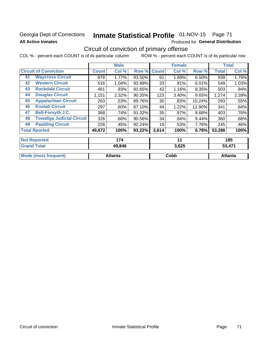# **Georgia Dept of Corrections All Active Inmates**

# Inmate Statistical Profile 01-NOV-15 Page 71

Produced for General Distribution

# Circuit of conviction of primary offense

COL % - percent each COUNT is of its particular column ROW % - percent each COUNT is of its particular row

|                                        |              | <b>Male</b> |        |              | <b>Female</b> |        |              | <b>Total</b> |
|----------------------------------------|--------------|-------------|--------|--------------|---------------|--------|--------------|--------------|
| <b>Circuit of Conviction</b>           | <b>Count</b> | Col %       | Row %  | <b>Count</b> | Col %         | Row %  | <b>Total</b> | Col %        |
| <b>Waycross Circuit</b><br>41          | 878          | 1.77%       | 93.50% | 61           | 1.69%         | 6.50%  | 939          | 1.76%        |
| <b>Western Circuit</b><br>42           | 516          | 1.04%       | 93.99% | 33           | .91%          | 6.01%  | 549          | 1.03%        |
| <b>Rockdale Circuit</b><br>43          | 461          | .93%        | 91.65% | 42           | 1.16%         | 8.35%  | 503          | .94%         |
| <b>Douglas Circuit</b><br>44           | 1,151        | 2.32%       | 90.35% | 123          | 3.40%         | 9.65%  | 1,274        | 2.39%        |
| <b>Appalachian Circuit</b><br>45       | 263          | .53%        | 89.76% | 30           | .83%          | 10.24% | 293          | .55%         |
| <b>Enotah Circuit</b><br>46            | 297          | $.60\%$     | 87.10% | 44           | 1.22%         | 12.90% | 341          | .64%         |
| <b>Bell-Forsyth J.C.</b><br>47         | 368          | .74%        | 91.32% | 35           | .97%          | 8.68%  | 403          | .76%         |
| <b>Towaliga Judicial Circuit</b><br>48 | 326          | .66%        | 90.56% | 34           | .94%          | 9.44%  | 360          | .68%         |
| <b>Paulding Circuit</b><br>49          | 226          | .45%        | 92.24% | 19           | .53%          | 7.76%  | 245          | .46%         |
| <b>Total Rported</b>                   | 49,672       | 100%        | 93.22% | 3,614        | 100%          | 6.78%  | 53,286       | 100%         |
|                                        |              |             |        |              |               |        |              |              |
| <b>Not Reported</b>                    |              | 174         |        |              | 11            |        |              | 185          |
| <b>Grand Total</b>                     |              | $AQ$ $R$    |        |              | 3 625         |        |              | 53 171       |

| $\sim$ , $\sim$ | $-$ , $-$ | .       |  |
|-----------------|-----------|---------|--|
|                 |           |         |  |
| Atlanta         | Cobb      | Atlanta |  |
|                 |           |         |  |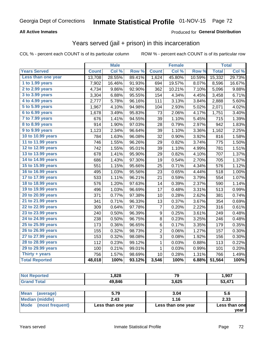# Georgia Dept of Corrections **Inmate Statistical Profile** 01-NOV-15 Page 72

## **All Active Inmates**

## Produced for **General Distribution**

# Years served (jail + prison) in this incarceration

COL % - percent each COUNT is of its particular column ROW % - percent each COUNT is of its particular row

|                        |              | <b>Male</b> |                  |                         | <b>Female</b> |                  |              | <b>Total</b> |
|------------------------|--------------|-------------|------------------|-------------------------|---------------|------------------|--------------|--------------|
| <b>Years Served</b>    | <b>Count</b> | Col %       | Row <sup>%</sup> | <b>Count</b>            | Col %         | Row <sup>%</sup> | <b>Total</b> | Col %        |
| Less than one year     | 13,708       | 28.55%      | 89.41%           | 1,624                   | 45.80%        | 10.59%           | 15,332       | 29.73%       |
| 1 to 1.99 years        | 7,902        | 16.46%      | 91.93%           | 694                     | 19.57%        | 8.07%            | 8,596        | 16.67%       |
| 2 to 2.99 years        | 4,734        | 9.86%       | 92.90%           | 362                     | 10.21%        | 7.10%            | 5,096        | 9.88%        |
| 3 to 3.99 years        | 3,304        | 6.88%       | 95.55%           | 154                     | 4.34%         | 4.45%            | 3,458        | 6.71%        |
| 4 to 4.99 years        | 2,777        | 5.78%       | 96.16%           | 111                     | 3.13%         | 3.84%            | 2,888        | 5.60%        |
| 5 to 5.99 years        | 1,967        | 4.10%       | 94.98%           | 104                     | 2.93%         | 5.02%            | 2,071        | 4.02%        |
| 6 to 6.99 years        | 1,678        | 3.49%       | 95.83%           | 73                      | 2.06%         | 4.17%            | 1,751        | 3.40%        |
| 7 to 7.99 years        | 676          | 1.41%       | 94.55%           | 39                      | 1.10%         | 5.45%            | 715          | 1.39%        |
| <b>8 to 8.99 years</b> | 914          | 1.90%       | 97.03%           | 28                      | 0.79%         | 2.97%            | 942          | 1.83%        |
| 9 to 9.99 years        | 1,123        | 2.34%       | 96.64%           | 39                      | 1.10%         | 3.36%            | 1,162        | 2.25%        |
| 10 to 10.99 years      | 784          | 1.63%       | 96.08%           | 32                      | 0.90%         | 3.92%            | 816          | 1.58%        |
| 11 to 11.99 years      | 746          | 1.55%       | 96.26%           | 29                      | 0.82%         | 3.74%            | 775          | 1.50%        |
| 12 to 12.99 years      | 742          | 1.55%       | 95.01%           | 39                      | 1.10%         | 4.99%            | 781          | 1.51%        |
| 13 to 13.99 years      | 678          | 1.41%       | 95.90%           | 29                      | 0.82%         | 4.10%            | 707          | 1.37%        |
| 14 to 14.99 years      | 686          | 1.43%       | 97.30%           | 19                      | 0.54%         | 2.70%            | 705          | 1.37%        |
| 15 to 15.99 years      | 551          | 1.15%       | 95.66%           | 25                      | 0.71%         | 4.34%            | 576          | 1.12%        |
| 16 to 16.99 years      | 495          | 1.03%       | 95.56%           | 23                      | 0.65%         | 4.44%            | 518          | 1.00%        |
| 17 to 17.99 years      | 533          | 1.11%       | 96.21%           | 21                      | 0.59%         | 3.79%            | 554          | 1.07%        |
| 18 to 18.99 years      | 576          | 1.20%       | 97.63%           | 14                      | 0.39%         | 2.37%            | 590          | 1.14%        |
| 19 to 19.99 years      | 496          | 1.03%       | 96.69%           | 17                      | 0.48%         | 3.31%            | 513          | 0.99%        |
| 20 to 20.99 years      | 371          | 0.77%       | 97.38%           | 10                      | 0.28%         | 2.62%            | 381          | 0.74%        |
| 21 to 21.99 years      | 341          | 0.71%       | 96.33%           | 13                      | 0.37%         | 3.67%            | 354          | 0.69%        |
| 22 to 22.99 years      | 309          | 0.64%       | 97.78%           | 7                       | 0.20%         | 2.22%            | 316          | 0.61%        |
| 23 to 23.99 years      | 240          | 0.50%       | 96.39%           | 9                       | 0.25%         | 3.61%            | 249          | 0.48%        |
| 24 to 24.99 years      | 238          | 0.50%       | 96.75%           | 8                       | 0.23%         | 3.25%            | 246          | 0.48%        |
| 25 to 25.99 years      | 173          | 0.36%       | 96.65%           | 6                       | 0.17%         | 3.35%            | 179          | 0.35%        |
| 26 to 26.99 years      | 155          | 0.32%       | 98.73%           | $\overline{\mathbf{c}}$ | 0.06%         | 1.27%            | 157          | 0.30%        |
| 27 to 27.99 years      | 153          | 0.32%       | 98.08%           | 3                       | 0.08%         | 1.92%            | 156          | 0.30%        |
| 28 to 28.99 years      | 112          | 0.23%       | 99.12%           | 1                       | 0.03%         | 0.88%            | 113          | 0.22%        |
| 29 to 29.99 years      | 100          | 0.21%       | 99.01%           | 1                       | 0.03%         | 0.99%            | 101          | 0.20%        |
| Thirty + years         | 756          | 1.57%       | 98.69%           | 10                      | 0.28%         | 1.31%            | 766          | 1.49%        |
| <b>Total Reported</b>  | 48,018       | 100%        | 93.12%           | 3,546                   | 100%          | 6.88%            | 51,564       | 100%         |

| <b>rteo</b><br>N | ,828   | $\sim$<br>-2 | 1,907           |
|------------------|--------|--------------|-----------------|
| <b>Total</b>     | 49,846 | 3,625        | A74<br>-0<br>vu |
|                  |        |              |                 |

| Mean<br>(average)    | 5.79               | 3.04               | 5.6           |
|----------------------|--------------------|--------------------|---------------|
| Median (middle)      | 2.43               | 1.16               | 2.33          |
| Mode (most frequent) | Less than one year | Less than one year | Less than one |
|                      |                    |                    | vear          |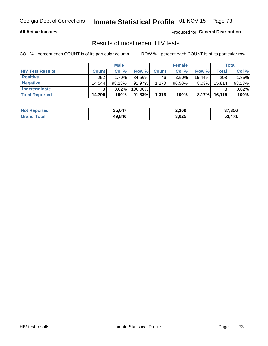#### **All Active Inmates**

Produced for **General Distribution**

## Results of most recent HIV tests

|                         | <b>Male</b>  |          |           | <b>Female</b> |           |           | Total   |        |
|-------------------------|--------------|----------|-----------|---------------|-----------|-----------|---------|--------|
| <b>HIV Test Results</b> | <b>Count</b> | Col%     | Row %I    | <b>Count</b>  | Col %     | Row %     | Total   | Col %  |
| <b>Positive</b>         | 252          | $1.70\%$ | 84.56%    | 46            | $3.50\%$  | $15.44\%$ | 298     | 1.85%  |
| <b>Negative</b>         | 14.544       | 98.28%   | 91.97%    | 1,270         | $96.50\%$ | $8.03\%$  | 15,814  | 98.13% |
| <b>Indeterminate</b>    | ີ            | 0.02%    | 100.00%   |               |           |           |         | 0.02%  |
| <b>Total Reported</b>   | 14,799       | 100%     | $91.83\%$ | 1,316         | 100%      | $8.17\%$  | 16, 115 | 100%   |

| <b>Not Reported</b> | 35,047 | 2,309 | 37,356 |
|---------------------|--------|-------|--------|
| <b>Grand Total</b>  | 49,846 | 3,625 | 53,471 |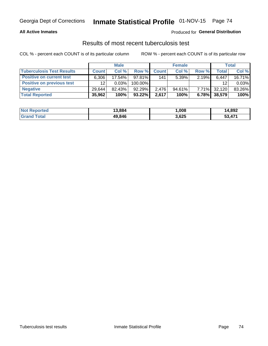#### **All Active Inmates**

### Produced for **General Distribution**

## Results of most recent tuberculosis test

|                                  | <b>Male</b>     |           |           | <b>Female</b> |        |          | Total  |        |
|----------------------------------|-----------------|-----------|-----------|---------------|--------|----------|--------|--------|
| <b>Tuberculosis Test Results</b> | <b>Count</b>    | Col%      | Row %     | <b>Count</b>  | Col %  | Row %    | Total  | Col %  |
| <b>Positive on current test</b>  | 6.306           | $17.54\%$ | $97.81\%$ | 141           | 5.39%  | 2.19%    | 6,447  | 16.71% |
| <b>Positive on previous test</b> | 12 <sup>2</sup> | 0.03%     | 100.00%   |               |        |          | 12     | 0.03%  |
| <b>Negative</b>                  | 29.644          | $82.43\%$ | $92.29\%$ | 2.476         | 94.61% | $7.71\%$ | 32,120 | 83.26% |
| <b>Total Reported</b>            | 35,962          | 100%      | $93.22\%$ | 2,617         | 100%   | 6.78%    | 38,579 | 100%   |

| <b>Not Reported</b> | 13,884 | 1,008 | 14,892 |
|---------------------|--------|-------|--------|
| <b>Grand Total</b>  | 49,846 | 3,625 | 53,471 |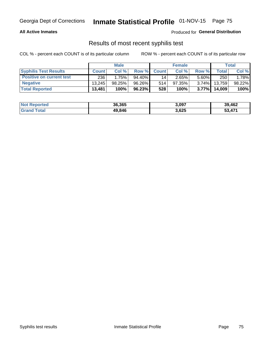#### **All Active Inmates**

Produced for **General Distribution**

## Results of most recent syphilis test

|                                 | <b>Male</b>  |           |        | <b>Female</b> |           |          | Total   |        |
|---------------------------------|--------------|-----------|--------|---------------|-----------|----------|---------|--------|
| <b>Syphilis Test Results</b>    | <b>Count</b> | Col%      | Row %  | <b>Count</b>  | Col %     | Row %    | Total I | Col %  |
| <b>Positive on current test</b> | 236          | 1.75%     | 94.40% | 14            | 2.65%     | $5.60\%$ | 250     | 1.78%  |
| <b>Negative</b>                 | 13.245       | $98.25\%$ | 96.26% | 514           | $97.35\%$ | $3.74\%$ | 13.759  | 98.22% |
| <b>Total Reported</b>           | 13,481       | 100%      | 96.23% | 528           | 100%      | $3.77\%$ | 14,009  | 100%   |

| <b>Not Reported</b> | 36,365 | 3,097 | 39,462                   |
|---------------------|--------|-------|--------------------------|
| <b>Grand Total</b>  | 49.846 | 3,625 | $\rightarrow$<br>- 53.47 |